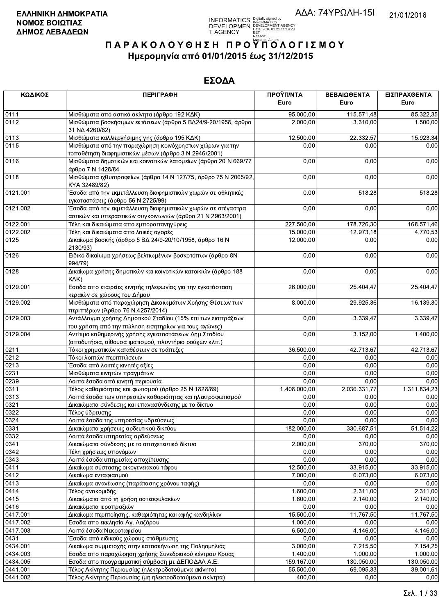**INFORMATICS** Digitally signed by<br>DEVELOPMEN DEVELOPMENT AGENCY<br>T AGENCY Early 2016.01.21 11:19:23<br>T AGENCY Early 2016.01.21 11:19:23

# ΠΑΡΑΚΟΛΟΥΘΗΣΗ ΠΡΟΥΠΌΛΟΓΙΣΜΟΥ Ημερομηνία από 01/01/2015 έως 31/12/2015

| ΚΩΔΙΚΟΣ  | <b>ПЕРІГРАФН</b>                                                                                                           | ΠΡΟΫΠ/ΝΤΑ<br>Euro | ΒΕΒΑΙΩΘΕΝΤΑ<br>Euro | ΕΙΣΠΡΑΧΘΕΝΤΑ<br>Euro |
|----------|----------------------------------------------------------------------------------------------------------------------------|-------------------|---------------------|----------------------|
|          |                                                                                                                            |                   |                     |                      |
| 0111     | Μισθώματα από αστικά ακίνητα (άρθρο 192 ΚΔΚ)                                                                               | 95.000,00         | 115.571,48          | 85.322,35            |
| 0112     | Μισθώματα βοσκήσιμων εκτάσεων (άρθρο 5 ΒΔ24/9-20/1958, άρθρο<br>31 NA 4260/62)                                             | 2.000,00          | 3.310,00            | 1.500,00             |
| 0113     | Μισθώματα καλλιεργήσιμης γης (άρθρο 195 ΚΔΚ)                                                                               | 12.500,00         | 22.332,57           | 15.923,34            |
| 0115     | Μισθώματα από την παραχώρηση κοινόχρηστων χώρων για την<br>τοποθέτηση διαφημιστικών μέσων (άρθρο 3 Ν 2946/2001)            | 0,00              | 0,00                | 0,00                 |
| 0116     | Μισθώματα δημοτικών και κοινοτικών λατομείων (άρθρο 20 Ν 669/77<br>άρθρο 7 Ν 1428/84                                       | 0,00              | 0,00                | 0,00                 |
| 0118     | Μισθώματα ιχθυοτροφείων (άρθρο 14 Ν 127/75, άρθρο 75 Ν 2065/92,<br>KYA 32489/82)                                           | 0,00              | 0,00                | 0,00                 |
| 0121.001 | Έσοδα από την εκμετάλλευση διαφημιστικών χωρών σε αθλητικές<br>εγκαταστάσεις (άρθρο 56 Ν 2725/99)                          | 0,00              | 518,28              | 518,28               |
| 0121.002 | Έσοδα από την εκμετάλλευση διαφημιστικών χωρών σε στέγαστρα<br>αστικών και υπεραστικών συγκοινωνιών (άρθρο 21 Ν 2963/2001) | 0,00              | 0,00                | 0,00                 |
| 0122.001 | Τέλη και δικαιώματα απο εμποροπανηγύρεις                                                                                   | 227.500,00        | 178.726,30          | 168.571,46           |
| 0122.002 | Τέλη και δικαιώματα απο λαικές αγορές                                                                                      | 15.000,00         | 12.973,18           | 4.770,53             |
| 0125     | Δικαίωμα βοσκής (άρθρο 5 ΒΔ 24/9-20/10/1958, άρθρο 16 Ν<br>2130/93)                                                        | 12.000,00         | 0,00                | 0,00                 |
| 0126     | Ειδικό δικαίωμα χρήσεως βελτιωμένων βοσκοτόπων (άρθρο 8Ν<br>994/79)                                                        | 0,00              | 0,00                | 0,00                 |
| 0128     | Δικαίωμα χρήσης δημοτικών και κοινοτικών κατοικιών (άρθρο 188<br>$K\Delta K$                                               | 0,00              | 0,00                | 0,00                 |
| 0129.001 | Εσοδα απο εταιρείες κινητής τηλεφωνίας για την εγκατάσταση<br>κεραιών σε χώρους του Δήμου                                  | 26.000,00         | 25.404,47           | 25.404,47            |
| 0129.002 | Μισθώματα από παραχώρηση Δικαιωμάτων Χρήσης Θέσεων των<br>περιπτέρων (Άρθρο 76 Ν.4257/2014)                                | 8.000,00          | 29.925,36           | 16.139,30            |
| 0129.003 | Αντάλλαγμα χρήσης Δημοτικού Σταδίου (15% επι των εισπράξεων<br>του χρήστη από την πώληση εισητηρίων για τους αγώνες)       | 0,00              | 3.339,47            | 3.339,47             |
| 0129.004 | Αντίτιμο καθημερινής χρήσης εγκαταστάσεων Δημ. Σταδίου<br>(αποδυτήρια, αίθουσα ιματισμού, πλυντήριο ρούχων κλπ.)           | 0,00              | 3.152,00            | 1.400,00             |
| 0211     | Τόκοι χρηματικών καταθέσεων σε τράπεζες                                                                                    | 36.500,00         | 42.713,67           | 42.713,67            |
| 0212     | Τόκοι λοιπών περιπτώσεων                                                                                                   | 0,00              | 0,00                | 0,00                 |
| 0213     | Έσοδα από λοιπές κινητές αξίες                                                                                             | 0,00              | 0,00                | 0,00                 |
| 0231     | Μισθώματα κινητών πραγμάτων                                                                                                | 0,00              | 0,00                | 0,00                 |
| 0239     | Λοιπά έσοδα από κινητή περιουσία                                                                                           | 0,00              | 0,00                | 0,00                 |
| 0311     | Τέλος καθαριότητας και φωτισμού (άρθρο 25 Ν 1828/89)                                                                       | 1.408.000,00      | 2.036.331,77        | 1.311.834,23         |
| 0313     | Λοιπά έσοδα των υπηρεσιών καθαριότητας και ηλεκτροφωτισμού                                                                 | 0,00              | 0,00                | 0,00                 |
| 0321     | Δικαιώματα σύνδεσης και επανασύνδεσης με το δίκτυο                                                                         | 0,00              | 0,00                | 0,00                 |
| 0322     | Τέλος ύδρευσης                                                                                                             | 0,00              | 0,00                | 0,00                 |
| 0324     | Λοιπά έσοδα της υπηρεσίας υδρεύσεως                                                                                        | 0,00              | 0,00                | 0,00                 |
| 0331     | Δικαιώματα χρήσεως αρδευτικού δικτύου                                                                                      | 182.000,00        | 330.687,51          | 51.514,22            |
| 0332     | Λοιπά έσοδα υπηρεσίας αρδεύσεως                                                                                            | 0,00              | 0,00                | 0,00                 |
| 0341     | Δικαιώματα σύνδεσης με το αποχετευτικό δίκτυο                                                                              | 2.000,00          | 370,00              | 370,00               |
| 0342     | Τέλη χρήσεως υπονόμων                                                                                                      | 0,00              | 0,00                | 0,00                 |
| 0343     | Λοιπά έσοδα υπηρεσίας αποχέτευσης                                                                                          | 0,00              | 0,00                | 0.00                 |
| 0411     | Δικαίωμα σύστασης οικογενειακού τάφου                                                                                      | 12.500,00         | 33.915,00           | 33.915.00            |
| 0412     | Δικαίωμα ενταφιασμού                                                                                                       | 7.000,00          | 6.073,00            | 6.073,00             |
| 0413     | Δικαίωμα ανανέωσης (παράτασης χρόνου ταφής)                                                                                | 0,00              | 0,00                | 0,00                 |
| 0414     | Τέλος ανακομιδής                                                                                                           | 1.600,00          | 2.311,00            | 2.311,00             |
| 0415     | Δικαιώματα από τη χρήση οστεοφυλακίων                                                                                      | 1.600,00          | 2.140,00            | 2.140,00             |
| 0416     | Δικαιώματα ιεροπραξιών                                                                                                     | 0,00              | 0,00                | 0,00                 |
| 0417.001 | Δικαίωμα περιποίησης, καθαριότητας και αφής κανδηλίων                                                                      | 15.500,00         | 11.767,50           | 11.767,50            |
| 0417.002 | Εσοδα απο εκκλησία Αγ. Λαζάρου                                                                                             | 1.000,00          | 0,00                | 0,00                 |
| 0417.003 | Λοιπά έσοδα Νεκροταφείου                                                                                                   | 6.500,00          | 4.146,00            | 4.146,00             |
| 0431     | Έσοδα από ειδικούς χώρους στάθμευσης                                                                                       | 0,00              | 0,00                | 0,00                 |
| 0434.001 | Δικαίωμα συμμετοχής στην κατασκήνωση της Παληομηλιάς                                                                       | 3.000,00          | 7.215,50            | 7.154,25             |
| 0434.003 | Εσοδα απο παραχώρηση χρήσης Συνεδριακού κέντρου Κρυας                                                                      | 1.400,00          | 1.000,00            | 1.000,00             |
| 0434.005 | Εσοδα απο προγραμματική σύμβαση με ΔΕΠΟΔΑΛ Α.Ε.                                                                            | 159.167,00        | 130.050,00          | 130.050,00           |
| 0441.001 | Τέλος Ακίνητης Περιουσίας (ηλεκτροδοτούμενα ακίνητα)                                                                       | 55.500,00         | 69.095,33           | 39.001,61            |
| 0441.002 | Τέλος Ακίνητης Περιουσίας (μη ηλεκτροδοτούμενα ακίνητα)                                                                    | 400,00            | 0.00                | 0,00                 |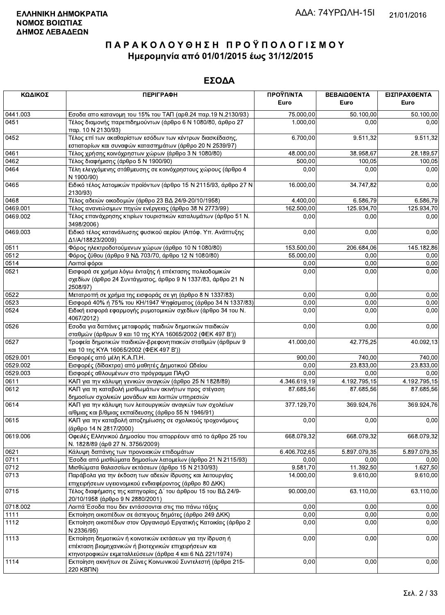| ΚΩΔΙΚΟΣ  | <b>ПЕРІГРАФН</b>                                                                                                                                 | ΠΡΟΫΠ/ΝΤΑ<br>Euro     | ΒΕΒΑΙΩΘΕΝΤΑ<br>Euro | ΕΙΣΠΡΑΧΘΕΝΤΑ<br>Euro |
|----------|--------------------------------------------------------------------------------------------------------------------------------------------------|-----------------------|---------------------|----------------------|
| 0441.003 | Εσοδα απο κατανομη του 15% του ΤΑΠ (αρθ.24 παρ.19 Ν.2130/93)                                                                                     |                       |                     |                      |
| 0451     | Τέλος διαμονής παρεπιδημούντων (άρθρο 6 Ν 1080/80, άρθρο 27<br>παρ. 10 N 2130/93)                                                                | 75.000,00<br>1.000,00 | 50.100,00<br>0,00   | 50.100,00<br>0,00    |
| 0452     | Τέλος επί των ακαθαρίστων εσόδων των κέντρων διασκέδασης,<br>εστιατορίων και συναφών καταστημάτων (άρθρο 20 Ν 2539/97)                           | 6.700,00              | 9.511,32            | 9.511,32             |
| 0461     | Τέλος χρήσης κοινόχρηστων χώρων (άρθρο 3 Ν 1080/80)                                                                                              | 48.000,00             | 38.958,67           | 28.189,57            |
| 0462     | Τέλος διαφήμισης (άρθρο 5 Ν 1900/90)                                                                                                             | 500,00                | 100,05              | 100,05               |
| 0464     | Τέλη ελεγχόμενης στάθμευσης σε κοινόχρηστους χώρους (άρθρο 4<br>N 1900/90)                                                                       | 0,00                  | 0,00                | 0,00                 |
| 0465     | Ειδικό τέλος λατομικών προϊόντων (άρθρο 15 Ν 2115/93, άρθρο 27 Ν<br>2130/93)                                                                     | 16.000,00             | 34.747,82           | 0,00                 |
| 0468     | Τέλος αδειών οικοδομών (άρθρο 23 ΒΔ 24/9-20/10/1958)                                                                                             | 4.400,00              | 6.586,79            | 6.586,79             |
| 0469.001 | Τέλος ανανεώσιμων πηγών ενέργειας (άρθρο 38 Ν 2773/99)                                                                                           | 162.500,00            | 125.934,70          | 125.934,70           |
| 0469.002 | Τέλος επανάχρησης κτιρίων τουριστικών καταλυμάτων (άρθρο 51 Ν.<br>3498/2006)                                                                     | 0,00                  | 0,00                | 0,00                 |
| 0469.003 | Ειδικό τέλος κατανάλωσης φυσικού αερίου (Απόφ. Υπ. Ανάπτυξης<br>Δ1/A/18823/2009)                                                                 | 0,00                  | 0,00                | 0,00                 |
| 0511     | Φόρος ηλεκτροδοτούμενων χώρων (άρθρο 10 Ν 1080/80)                                                                                               | 153.500,00            | 206.684,06          | 145.182,86           |
| 0512     | Φόρος ζύθου (άρθρο 9 ΝΔ 703/70, άρθρο 12 Ν 1080/80)                                                                                              | 55.000,00             | 0,00                | 0,00                 |
| 0514     | Λοιποί φόροι                                                                                                                                     | 0,00                  | 0,00                | 0,00                 |
| 0521     | Εισφορά σε χρήμα λόγω ένταξης ή επέκτασης πολεοδομικών<br>σχεδίων (άρθρο 24 Συντάγματος, άρθρο 9 Ν 1337/83, άρθρο 21 Ν<br>2508/97)               | 0,00                  | 0,00                | 0,00                 |
| 0522     | Μετατροπή σε χρήμα της εισφοράς σε γη (άρθρο 8 Ν 1337/83)                                                                                        | 0,00                  | 0,00                | 0,00                 |
| 0523     | Εισφορά 40% ή 75% του ΚΗ/1947 Ψηφίσματος (άρθρο 34 Ν 1337/83)                                                                                    | 0,00                  | 0,00                | 0,00                 |
| 0524     | Ειδική εισφορά εφαρμογής ρυμοτομικών σχεδίων (άρθρο 34 του Ν.<br>4067/2012)                                                                      | 0,00                  | 0,00                | 0,00                 |
| 0526     | Εσοδα για δαπάνες μεταφοράς παιδιών δημοτικών παιδικών<br>σταθμών (άρθρων 9 και 10 της ΚΥΑ 16065/2002 (ΦΕΚ 497 Β'))                              | 0,00                  | 0,00                | 0,00                 |
| 0527     | Τροφεία δημοτικών παιδικών-βρεφονηπιακών σταθμών (άρθρων 9<br>και 10 της ΚΥΑ 16065/2002 (ΦΕΚ 497 Β'))                                            | 41.000,00             | 42.775,25           | 40.092,13            |
| 0529.001 | Εισφορές από μέλη Κ.Α.Π.Η.                                                                                                                       | 900,00                | 740,00              | 740,00               |
| 0529.002 | Εισφορές (δίδακτρα) από μαθητές Δημοτικού Ωδείου                                                                                                 | 0,00                  | 23.833,00           | 23.833,00            |
| 0529.003 | Εισφορές αθλουμένων στο πρόγραμμα ΠΑγΟ                                                                                                           | 0,00                  | 0,00                | 0,00                 |
| 0611     | ΚΑΠ για την κάλυψη γενικών αναγκών (άρθρο 25 Ν 1828/89)                                                                                          | 4.346.619,19          | 4.192.795,15        | 4.192.795,15         |
| 0612     | ΚΑΠ για τη καταβολή μισθωμάτων ακινήτων προς στέγαση<br>δημοσίων σχολικών μονάδων και λοιπών υπηρεσιών                                           | 87.685,56             | 87.685,56           | 87.685,56            |
| 0614     | ΚΑΠ για την κάλυψη των λειτουργικών αναγκών των σχολείων<br>α/θμιας και β/θμιας εκπαίδευσης (άρθρο 55 Ν 1946/91)                                 | 377.129,70            | 369.924,76          | 369.924,76           |
| 0615     | ΚΑΠ για την καταβολή αποζημίωσης σε σχολικούς τροχονόμους<br>(άρθρο 14 Ν 2817/2000)                                                              | 0,00                  | 0,00                | 0,00                 |
| 0619.006 | Οφειλές Ελληνικού Δημοσίου που απορρέουν από το άρθρο 25 του<br>Ν. 1828/89 (άρθ 27 Ν. 3756/2009)                                                 | 668.079,32            | 668.079,32          | 668.079,32           |
| 0621     | Κάλυψη δαπάνης των προνοιακών επιδομάτων                                                                                                         | 6.406.702,65          | 5.897.079,35        | 5.897.079,35         |
| 0711     | Έσοδα από μισθώματα δημοσίων λατομείων (άρθρο 21 Ν 2115/93)                                                                                      | 0,00                  | 0,00                | 0,00                 |
| 0712     | Μισθώματα θαλασσίων εκτάσεων (άρθρο 15 Ν 2130/93)                                                                                                | 9.581,70              | 11.392,50           | 1.627,50             |
| 0713     | Παράβολα για την έκδοση των αδειών ίδρυσης και λειτουργίας<br>επιχειρήσεων υγειονομικού ενδιαφέροντος (άρθρο 80 ΔΚΚ)                             | 14.000,00             | 9.610,00            | 9.610,00             |
| 0715     | Τέλος διαφήμισης της κατηγορίας Δ΄ του άρθρου 15 του ΒΔ 24/9-<br>20/10/1958 (άρθρο 9 Ν 2880/2001)                                                | 90.000,00             | 63.110,00           | 63.110,00            |
| 0718.002 | Λοιπά Έσοδα που δεν εντάσσονται στις πιο πάνω τάξεις                                                                                             | 0,00                  | 0,00                | 0,00                 |
| 1111     | Εκποίηση οικοπέδων σε άστεγους δημότες (άρθρο 249 ΔΚΚ)                                                                                           | 0,00                  | 0,00                | 0,00                 |
| 1112     | Εκποίηση οικοπέδων στον Οργανισμό Εργατικής Κατοικίας (άρθρο 2<br>N 2336/95)                                                                     | 0,00                  | 0,00                | 0,00                 |
| 1113     | Εκποίηση δημοτικών ή κοινοτικών εκτάσεων για την ίδρυση ή<br>επέκταση βιομηχανικών ή βιοτεχνικών επιχειρήσεων και                                | 0,00                  | 0,00                | 0,00                 |
| 1114     | κτηνοτροφικών εκμεταλλεύσεων (άρθρα 4 και 6 ΝΔ 221/1974)<br>Εκποίηση ακινήτων σε Ζώνες Κοινωνικού Συντελεστή (άρθρα 215-<br>220 KB <sub>UN</sub> | 0,00                  | 0,00                | 0,00                 |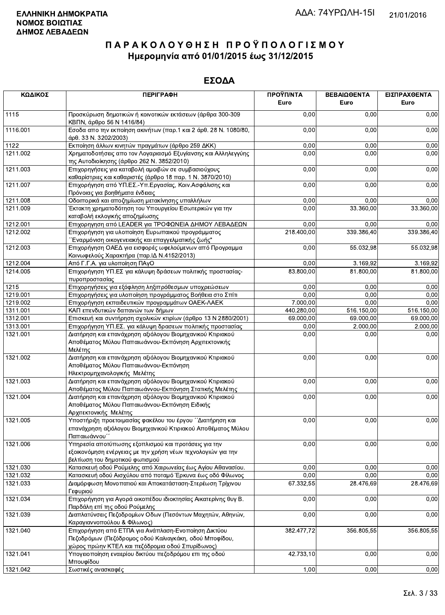| ΚΩΔΙΚΟΣ           | <b>ПЕРІГРАФН</b>                                                                                                                                                  | ΠΡΟΫΠ/ΝΤΑ<br>Euro | ΒΕΒΑΙΩΘΕΝΤΑ<br>Euro | ΕΙΣΠΡΑΧΘΕΝΤΑ<br>Euro |
|-------------------|-------------------------------------------------------------------------------------------------------------------------------------------------------------------|-------------------|---------------------|----------------------|
| 1115              | Προσκύρωση δημοτικών ή κοινοτικών εκτάσεων (άρθρα 300-309<br>ΚΒΠΝ, άρθρο 56 Ν 1416/84)                                                                            | 0,00              | 0,00                | 0,00                 |
| 1116.001          | Εσοδα απο την εκποίηση ακινήτων (παρ.1 και 2 άρθ. 28 Ν. 1080/80,<br>άρθ. 33 Ν. 3202/2003)                                                                         | 0,00              | 0,00                | 0,00                 |
| $11\overline{22}$ | Εκποίηση άλλων κινητών πραγμάτων (άρθρο 259 ΔΚΚ)                                                                                                                  | 0,00              | 0,00                | 0,00                 |
| 1211.002          | Χρηματοδοτήσεις απο τον Λογαριασμό Εξυγίανσης και Αλληλεγγύης<br>της Αυτοδιοίκησης (άρθρο 262 Ν. 3852/2010)                                                       | 0,00              | 0,00                | 0,00                 |
| 1211.003          | Επιχορηγήσεις για καταβολή αμοιβών σε συμβασιούχους<br>καθαρίστριες και καθαριστές (άρθρο 18 παρ. 1 Ν. 3870/2010)                                                 | 0,00              | 0,00                | 0,00                 |
| 1211.007          | Επιχορήγηση από ΥΠ.ΕΣ.-Υπ.Εργασίας, Κοιν.Ασφάλισης και<br>Πρόνοιας για βοηθήματα ένδειας                                                                          | 0,00              | 0,00                | 0,00                 |
| 1211.008          | Οδοιπορικά και αποζημίωση μετακίνησης υπαλλήλων                                                                                                                   | 0,00              | 0,00                | 0,00                 |
| 1211.009          | Έκτακτη χρηματοδότηση του Υπουργείου Εσωτερικών για την<br>καταβολή εκλογικής αποζημίωσης                                                                         | 0,00              | 33.360,00           | 33.360,00            |
| 1212.001          | Επιχορηγηση από LEADER για ΤΡΟΦΩΝΕΙΑ ΔΗΜΟΥ ΛΕΒΑΔΕΩΝ                                                                                                               | 0,00              | 0,00                | 0,00                 |
| 1212.002          | Επιχορήγηση για υλοποίηση Ευρωπαικού προγράμματος<br>΄΄Εναρμόνιση οικογενειακής και επαγγελματικής ζωής"                                                          | 218.400,00        | 339.386,40          | 339.386,40           |
| 1212.003          | Επιχορήγηση ΟΑΕΔ για εισφορές ωφελούμενων από Προγραμμα<br>Κοινωφελούς Χαρακτήρα (παρ. ΙΔ Ν.4152/2013)                                                            | 0,00              | 55.032,98           | 55.032,98            |
| 1212.004          | Από Γ.Γ.Α. για υλοποίηση ΠΑγΟ                                                                                                                                     | 0,00              | 3.169,92            | 3.169,92             |
| 1214.005          | Επιχορήγηση ΥΠ.ΕΣ για κάλυψη δράσεων πολιτικής προστασίας-<br>πυροπροστασίας                                                                                      | 83.800,00         | 81.800,00           | 81.800,00            |
| 1215              | Επιχορηγήσεις για εξόφληση ληξιπρόθεσμων υποχρεώσεων                                                                                                              | 0,00              | 0,00                | 0,00                 |
| 1219.001          | Επιχορηγήσεις για υλοποίηση προγράμματος Βοήθεια στο Σπίτι                                                                                                        | 0,00              | 0,00                | 0,00                 |
| 1219.002          | Επιχορήγηση εκπαιδευτικών προγραμμάτων ΟΑΕΚ-ΛΑΕΚ                                                                                                                  | 7.000,00          | 0,00                | 0,00                 |
| 1311.001          | ΚΑΠ επενδυτικών δαπανών των δήμων                                                                                                                                 | 440.280,00        | 516.150,00          | 516.150,00           |
| 1312.001          | Επισκευή και συντήρηση σχολικών κτιρίων (άρθρο 13 Ν 2880/2001)                                                                                                    | 69.000,00         | 69.000,00           | 69.000,00            |
| 1313.001          | Επιχορήγηση ΥΠ.ΕΣ. για κάλυψη δρασεων πολιτικής προστασίας                                                                                                        | 0,00              | 2.000,00            | 2.000,00             |
| 1321.001          | Διατήρηση και επανάχρηση αξιόλογου Βιομηχανικού Κτιριακού<br>Αποθέματος Μύλου Παπαιωάννου-Εκπόνηση Αρχιτεκτονικής<br>Μελέτης                                      | 0,00              | 0,00                | 0,00                 |
| 1321.002          | Διατήρηση και επανάχρηση αξιόλογου Βιομηχανικού Κτιριακού<br>Αποθέματος Μύλου Παπαιωάννου-Εκπόνηση<br>Ηλεκτρομηχανολογικής Μελέτης                                | 0,00              | 0,00                | 0,00                 |
| 1321.003          | Διατήρηση και επανάχρηση αξιόλογου Βιομηχανικού Κτιριακού<br>Αποθέματος Μύλου Παπαιωάννου-Εκπόνηση Στατικής Μελέτης                                               | 0,00              | 0,00                | 0,00                 |
| 1321.004          | Διατήρηση και επανάχρηση αξιόλογου Βιομηχανικού Κτιριακού<br>Αποθέματος Μύλου Παπαιωάννου-Εκπόνηση Ειδικής<br>Αρχιτεκτονικής Μελέτης                              | 0,00              | 0,00                | 0,00                 |
| 1321.005          | Υποστήριξη προετοιμασίας φακέλου του έργου ΄΄Διατήρηση και<br>επανάχρηση αξιόλογου Βιομηχανικού Κτιριακού Αποθέματος Μύλου<br>Παπαιωάννου'                        | 0,00              | 0,00                | 0,00                 |
| 1321.006          | Υπηρεσία αποτύπωσης εξοπλισμού και προτάσεις για την<br>εξοικονόμηση ενέργειας με την χρήση νέων τεχνολογιών για την<br>βελτίωση του δημοτικού φωτισμού           | 0,00              | 0,00                | 0,00                 |
| 1321.030          | Κατασκευή οδού Ρούμελης από Χαιρωνείας έως Αγίου Αθανασίου.                                                                                                       | 0,00              | 0,00                | 0,00                 |
| 1321.032          | Κατασκευή οδού Αισχύλου από ποταμό Έρκυνα έως οδό Φίλωνος                                                                                                         | 0,00              | 0,00                | 0,00                 |
| 1321.033          | Διαμόρφωση Μονοπατιού και Αποκατάσταση-Στερέωση Τρίχινου<br>Γεφυριού                                                                                              | 67.332,55         | 28.476,69           | 28.476,69            |
| 1321.034          | Επιχορήγηση για Αγορά οικοπέδου ιδιοκτησίας Αικατερίνης θυγ Β.<br>Παρδάλη επί της οδού Ρούμελης                                                                   | 0,00              | 0,00                | 0,00                 |
| 1321.039          | Διαπλατύνσεις Πεζοδρομίων Οδων (Πεσόντων Μαχητών, Αθηνών,<br>Καραγιαννοπούλου & Φίλωνος)                                                                          | 0,00              | 0,00                | 0,00                 |
| 1321.040          | Επιχορήγηση από ΕΤΠΑ για Ανάπλαση-Ενοποίηση Δικτύου<br>Πεζοδρόμων (Πεζόδρομος οδού Καλιαγκάκη, οδού Μποφίδου,<br>χώρος πρώην ΚΤΕΛ και πεζόδρομια οδού Σπυρίδωνος) | 382.477,72        | 356.805,55          | 356.805,55           |
| 1321.041          | Υπογειοποίηση εναερίου δικτύου πεζοδρόμου επι της οδού<br>Μπουφίδου                                                                                               | 42.733,10         | 0,00                | 0,00                 |
| 1321.042          | Σωστικές ανασκαφές                                                                                                                                                | 1.00              | 0.00                | 0.00                 |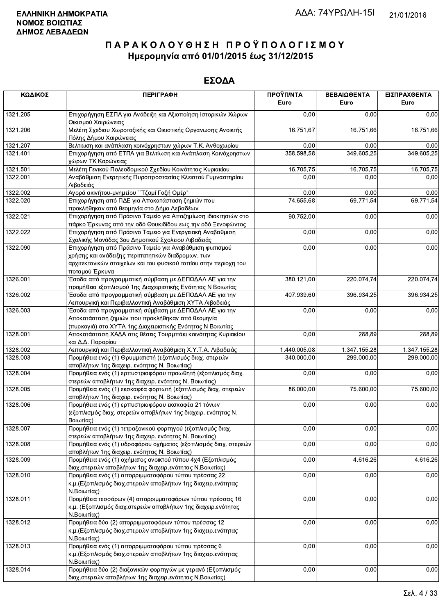| ΚΩΔΙΚΟΣ  | <b>ПЕРІГРАФН</b>                                                                                            | ΠΡΟΫΠ/ΝΤΑ<br>Euro | ΒΕΒΑΙΩΘΕΝΤΑ<br>Euro | ΕΙΣΠΡΑΧΘΕΝΤΑ<br>Euro |
|----------|-------------------------------------------------------------------------------------------------------------|-------------------|---------------------|----------------------|
| 1321.205 | Επιχορήγηση ΕΣΠΑ για Ανάδειξη και Αξιοποίηση Ιστορικών Χώρων                                                | 0,00              | 0,00                | 0,00                 |
|          | Οικισμού Χαιρώνειας                                                                                         |                   |                     |                      |
| 1321.206 | Μελέτη Σχεδιου Χωροταξικής και Οικιστικής Οργανωσης Ανοικτής<br>Πόλης Δήμου Χαιρώνειας                      | 16.751,67         | 16.751,66           | 16.751,66            |
| 1321.207 | Βελτιωση και ανάπλαση κοινόχρηστων χώρων Τ.Κ. Ανθοχωρίου                                                    | 0,00              | 0,00                | 0,00                 |
| 1321.401 | Επιχορήγηση από ΕΤΠΑ για Βελτίωση και Ανάπλαση Κοινόχρηστων                                                 | 358.598,58        | 349 605,25          | 349.605,25           |
|          | χώρων ΤΚ Κορώνειας                                                                                          |                   |                     |                      |
| 1321.501 | Μελέτη Γενικού Πολεοδομικού Σχεδίου Κοινότητας Κυριακίου                                                    | 16.705,75         | 16.705,75           | 16.705,75            |
| 1322.001 | Αναβάθμιση Ενερητικής Πυροπροστασίας Κλειστού Γυμναστηρίου                                                  | 0,00              | 0,00                | 0,00                 |
|          | Λιβαδειάς                                                                                                   |                   |                     |                      |
| 1322.002 | Αγορά ακινήτου-μνημείου ΄΄ Τζαμί Γαζή Ομέρ"                                                                 | 0,00              | 0,00                | 0,00                 |
| 1322.020 | Επιχορήγηση από ΠΔΕ για Αποκατάσταση ζημιών που<br>προκλήθηκαν από θεομηνία στο Δήμο Λεβαδέων               | 74.655,68         | 69.771,54           | 69.771,54            |
| 1322.021 | Επιχορήγηση από Πράσινο Ταμείο για Αποζημίωση ιδιοκτησιών στο                                               | 90.752,00         | 0,00                | 0,00                 |
|          | πάρκο Έρκυνας από την οδό Θουκιδίδου εως την οδό Ξενοφώντος                                                 |                   |                     |                      |
| 1322.022 | Επιχορήγηση από Πράσινο Ταμειο για Ενεργειακή Αναβαθμιση                                                    | 0,00              | 0,00                | 0,00                 |
|          | Σχολικής Μονάδας 3ου Δημοτικού Σχολειου Λιβαδειάς                                                           |                   |                     |                      |
| 1322.090 | Επιχορήγηση από Πράσινο Ταμείο για Αναβάθμιση φωτισμού<br>χρήσης και ανάδειξης περιπατητικών διαδρομων, των | 0,00              | 0,00                | 0,00                 |
|          | αρχιτεκτονικών στοιχείων και του φυσικού τοπίου στην περιοχη του                                            |                   |                     |                      |
|          | ποταμού Έρκυνα                                                                                              |                   |                     |                      |
| 1326.001 | Έσοδα από προγραμματική σύμβαση με ΔΕΠΟΔΑΛ ΑΕ για την                                                       | 380.121,00        | 220.074,74          | 220.074,74           |
|          | προμήθεια εξοπλισμού 1ης Διαχειριστικής Ενότητας Ν Βοιωτίας                                                 |                   |                     |                      |
| 1326.002 | Έσοδα από προγραμματική σύμβαση με ΔΕΠΟΔΑΛ ΑΕ για την                                                       | 407.939,60        | 396.934,25          | 396.934,25           |
|          | Λειτουργική και Περιβαλλοντική Αναβάθμιση ΧΥΤΑ Λιβαδειάς                                                    |                   |                     |                      |
| 1326.003 | Έσοδα από προγραμματική σύμβαση με ΔΕΠΟΔΑΛ ΑΕ για την                                                       | 0,00              | $\overline{0,00}$   | 0,00                 |
|          | Αποκατάσταση ζημιών που προκλήθηκαν από θεομηνία                                                            |                   |                     |                      |
|          | (πυρκαγιά) στο ΧΥΤΑ 1ης Διαχειριστικής Ενότητας Ν Βοιωτίας                                                  |                   |                     |                      |
| 1328.001 | Αποκατάσταση ΧΑΔΑ στις θέσεις Τουρμπάκι κοινότητας Κυριακίου<br>και Δ.Δ. Παρορίου                           | 0,00              | 288,89              | 288,89               |
| 1328.002 | Λειτουργική και Περιβαλλοντική Αναβάθμιση Χ.Υ.Τ.Α. Λιβαδειάς                                                | 1.440.005,08      | 1.347.155,28        | 1.347.155,28         |
| 1328.003 | Προμήθεια ενός (1) Θρυμματιστή (εξοπλισμός διαχ. στερεών                                                    | 340.000,00        | 299.000,00          | 299.000,00           |
|          | αποβλήτων 1ης διαχειρ. ενότητας Ν. Βοιωτίας)                                                                |                   |                     |                      |
| 1328.004 | Προμήθεια ενός (1) ερπυστριοφόρου προωθητή (εξοπλισμός διαχ.                                                | 0,00              | 0,00                | 0,00                 |
|          | στερεών αποβλήτων 1ης διαχειρ. ενότητας Ν. Βοιωτίας)                                                        |                   |                     |                      |
| 1328.005 | Προμήθεια ενός (1) εκσκαφέα φορτωτή (εξοπλισμός διαχ. στερεών                                               | 86.000,00         | 75.600,00           | 75.600,00            |
|          | αποβλήτων 1ης διαχειρ. ενότητας Ν. Βοιωτίας)                                                                |                   |                     |                      |
| 1328.006 | Προμήθεια ενός (1) ερπυστριοφόρου εκσκαφέα 21 τόνων                                                         | 0,00              | 0,00                | 0,00                 |
|          | (εξοπλισμός διαχ. στερεών αποβλήτων 1ης διαχειρ. ενότητας Ν.                                                |                   |                     |                      |
| 1328.007 | Βοιωτίας)<br>Προμήθεια ενός (1) τετραξονικού φορτηγού (εξοπλισμός διαχ.                                     | 0,00              | 0,00                | 0,00                 |
|          | στερεών αποβλήτων 1ης διαχειρ. ενότητας Ν. Βοιωτίας)                                                        |                   |                     |                      |
| 1328.008 | Προμήθεια ενός (1) υδροφόρου οχήματος (εξοπλισμός διαχ. στερεών                                             | 0,00              | 0,00                | 0,00                 |
| 1328.009 | αποβλήτων 1ης διαχειρ. ενότητας Ν. Βοιωτίας)<br>Προμήθεια ενός (1) οχήματος ανοικτού τύπου 4χ4 (Εξοπλισμός  | 0,00              | 4.616,26            | 4.616,26             |
|          | διαχ.στερεών αποβλήτων 1ης διαχειρ.ενότητας Ν.Βοιωτίας)                                                     |                   |                     |                      |
| 1328.010 | Προμήθεια ενός (1) απορριμματοφόρου τύπου πρέσσας 22                                                        | 0,00              | 0,00                | 0,00                 |
|          | κ.μ. (Εξοπλισμός διαχ.στερεών αποβλήτων 1ης διαχειρ.ενότητας                                                |                   |                     |                      |
|          | Ν.Βοιωτίας)                                                                                                 |                   |                     |                      |
| 1328.011 | Προμήθεια τεσσάρων (4) απορριμματοφόρων τύπου πρέσσας 16                                                    | 0,00              | 0,00                | 0,00                 |
|          | κ.μ. (Εξοπλισμός διαχ.στερεών αποβλήτων 1ης διαχειρ.ενότητας                                                |                   |                     |                      |
|          | Ν.Βοιωτίας)                                                                                                 |                   |                     |                      |
| 1328.012 | Προμήθεια δύο (2) απορριμματοφόρων τύπου πρέσσας 12                                                         | 0,00              | 0,00                | 0,00                 |
|          | κ.μ. (Εξοπλισμός διαχ.στερεών αποβλήτων 1ης διαχειρ.ενότητας                                                |                   |                     |                      |
| 1328.013 | Ν.Βοιωτίας)<br>Προμήθεια ενός (1) απορριμματοφόρου τύπου πρέσσας 6                                          | 0,00              | 0,00                | 0,00                 |
|          | κ.μ. (Εξοπλισμός διαχ.στερεών αποβλήτων 1ης διαχειρ.ενότητας                                                |                   |                     |                      |
|          | Ν.Βοιωτίας)                                                                                                 |                   |                     |                      |
| 1328.014 | Προμήθεια δύο (2) διαξονικών φορτηγών με γερανό (Εξοπλισμός                                                 | 0,00              | 0,00                | 0,00                 |
|          | διαν στερεών αποβλήτων 1ης διαγειρ ενότητας Ν.Βοιωτίας)                                                     |                   |                     |                      |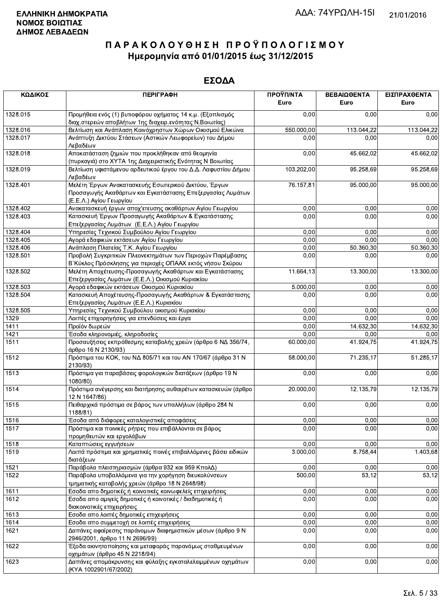| ΚΩΔΙΚΟΣ  | <b>ПЕРІГРАФН</b>                                                                                                                              | ΠΡΟΫΠ/ΝΤΑ<br>Euro | ΒΕΒΑΙΩΘΕΝΤΑ<br>Euro | ΕΙΣΠΡΑΧΘΕΝΤΑ<br>Euro |
|----------|-----------------------------------------------------------------------------------------------------------------------------------------------|-------------------|---------------------|----------------------|
| 1328.015 | Προμήθεια ενός (1) βυτιοφόρου οχήματος 14 κ.μ. (Εξοπλισμός<br>διαχ.στερεών αποβλήτων 1ης διαχειρ.ενότητας Ν.Βοιωτίας)                         | 0,00              | 0,00                | 0,00                 |
| 1328.016 | Βελτίωση και Ανάπλαση Κοινόχρηστων Χώρων Οικισμού Ελικώνα                                                                                     | 550.000,00        | 113.044,22          | 113.044,22           |
| 1328.017 | Ανάπτυξη Δικτύου Στάσεων (Αστικών Λεωφορείων) του Δήμου<br>Λεβαδέων                                                                           | 0,00              | 0,00                | 0,00                 |
| 1328.018 | Αποκατάσταση ζημιών που προκλήθηκαν από θεομηνία<br>(πυρκαγιά) στο ΧΥΤΑ 1ης Διαχειριστικής Ενότητας Ν Βοιωτίας                                | 0,00              | 45.662,02           | 45.662,02            |
| 1328.019 | Βελτίωση υφιστάμενου αρδευτικού έργου του Δ.Δ. Λαφυστίου Δήμου<br>Λεβαδέων                                                                    | 103.202,00        | 95.258,69           | 95.258,69            |
| 1328.401 | Μελέτη Έργων Ανακατασκευής Εσωτερικού Δικτύου, Έργων<br>Προσαγωγής Ακαθάρτων και Εγκατάστασης Επεξεργασίας Λυμάτων<br>(Ε.Ε.Λ.) Αγίου Γεωργίου | 76.157,81         | 95.000,00           | 95.000,00            |
| 1328.402 | Ανακατασκευή έργων αποχ'ετευσης ακαθάρτων Αγίου Γεωργίου                                                                                      | 0,00              | 0,00                | 0,00                 |
| 1328.403 | Κατασκευή Έργων Προσαγωγής Ακαθάρτων & Εγκατάστασης<br>Επεξεργασίας Λυμάτων (Ε.Ε.Λ.) Αγίου Γεωργίου                                           | 0,00              | 0,00                | 0,00                 |
| 1328.404 | Υπηρεσίες Τεχνικού Συμβούλου Αγίου Γεωργίου                                                                                                   | 0,00              | 0,00                | 0,00                 |
| 1328.405 | Αγορά εδαφικών εκτάσεων Αγίου Γεωργίου                                                                                                        | 0,00              | 0,00                | 0,00                 |
| 1328.406 | Ανάπλαση Πλατείας Τ.Κ. Αγίου Γεωργίου                                                                                                         | 0,00              | 50.360,30           | 50.360,30            |
| 1328.501 | Προβολή Συγκριτικών Πλεονεκτημάτων των Περιοχών Παρέμβασης<br>Β΄ Κύκλος Πρόσκλησης για περιοχές ΟΠΑΑΧ εκτός νήσου Σκύρου                      | 0,00              | 0,00                | 0,00                 |
| 1328.502 | Μελέτη Αποχέτευσης-Προσαγωγής Ακαθάρτων και Εγκατάστασης<br>Επεξεργασίας Λυμάτων (Ε.Ε.Λ.) Οικισμού Κυριακίου                                  | 11.664,13         | 13.300,00           | 13.300,00            |
| 1328.503 | Αγορά εδαφικών εκτάσεων Οικισμού Κυριακίου                                                                                                    | 5.000,00          | 0,00                | 0,00                 |
| 1328.504 | Κατασκευή Αποχέτευσης-Προσαγωγής Ακαθάρτων & Εγκατάστασης<br>Επεξεργασίας Λυμάτων (Ε.Ε.Λ.) Κυριακίου                                          | 0,00              | 0,00                | 0,00                 |
| 1328.505 | Υπηρεσίες Τεχνικού Συμβούλου οικισμού Κυριακίου                                                                                               | 0,00              | 0,00                | 0,00                 |
| 1329     | Λοιπές επιχορηγήσεις για επενδύσεις και έργα                                                                                                  | 0,00              | 0,00                | 0,00                 |
| 1411     | Προϊόν δωρεών                                                                                                                                 | 0,00              | 14.632,30           | 14.632,30            |
| 1421     | Έσοδα κληρονομιές, κληροδοσίες                                                                                                                | 0,00              | 0,00                | 0,00                 |
| 1511     | Προσαυξήσεις εκπρόθεσμης καταβολής χρεών (άρθρο 6 ΝΔ 356/74,<br>άρθρο 16 Ν 2130/93)                                                           | 60.000,00         | 41.924,75           | 41.924,75            |
| 1512     | Πρόστιμα του ΚΟΚ, του ΝΔ 805/71 και του ΑΝ 170/67 (άρθρο 31 Ν<br>2130/93)                                                                     | 58.000,00         | 71.235,17           | 51.285,17            |
| 1513     | Πρόστιμα για παραβάσεις φορολογικών διατάξεων (άρθρο 19 Ν<br>1080/80)                                                                         | 0,00              | 0,00                | 0,00                 |
| 1514     | Πρόστιμα ανέγερσης και διατήρησης αυθαιρέτων κατασκευών (άρθρο<br>12 N 1647/86)                                                               | 20.000,00         | 12.135,79           | 12.135,79            |
| 1515     | Πειθαρχικά πρόστιμα σε βάρος των υπαλλήλων (άρθρο 284 Ν<br>1188/81)                                                                           | 0,00              | 0,00                | 0,00                 |
| 1516     | Έσοδα από διάφορες καταλογιστικές αποφάσεις                                                                                                   | 0,00              | 0,00                | 0,00                 |
| 1517     | Πρόστιμα και ποινικές ρήτρες που επιβάλλονται σε βάρος<br>προμηθευτών και εργολάβων                                                           | 0,00              | 0,00                | 0,00                 |
| 1518     | Καταπτώσεις εγγυήσεων                                                                                                                         | 0,00              | 0,00                | 0,00                 |
| 1519     | Λοιπά πρόστιμα και χρηματικές ποινές επιβαλλόμενες βάσει ειδικών<br>διατάξεων                                                                 | 3.000,00          | 8.758,44            | 1.403,68             |
| 1521     | Παράβολα πλειστηριασμών (άρθρα 932 και 959 ΚπολΔ)                                                                                             | 0,00              | 0,00                | 0,00                 |
| 1522     | Παράβολα υποβαλλόμενα για την χορήγηση διευκολύνσεων<br>τμηματικής καταβολής χρεών (άρθρο 18 Ν 2648/98)                                       | 500,00            | 53,12               | 53,12                |
| 1611     | Εσοδα απο δημοτικές ή κοινοτικές κοινωφελείς επιχειρήσεις                                                                                     | 0,00              | 0,00                | 0,00                 |
| 1612     | Εσοδα απο αμιγείς δημοτικές ή κοινοτικές / διαδημοτικές ή<br>διακοινοτικές επιχειρήσεις                                                       | 0,00              | 0,00                | 0,00                 |
| 1613     | Εσοδα απο λοιπές δημοτικές επιχειρήσεις                                                                                                       | 0,00              | 0,00                | 0,00                 |
| 1614     | Εσοδα απο συμμετοχή σε λοιπές επιχειρήσεις                                                                                                    | 0,00              | 0,00                | 0,00                 |
| 1621     | Δαπάνες αφαίρεσης παράνομων διαφημιστικών μέσων (άρθρο 9 Ν<br>2946/2001, άρθρο 11 Ν 2696/99)                                                  | 0,00              | 0,00                | 0,00                 |
| 1622     | Έξοδα ακινητοποίησης και μεταφοράς παρανόμως σταθμευμένων<br>οχημάτων (άρθρο 45 Ν 2218/94)                                                    | 0,00              | 0,00                | 0,00                 |
| 1623     | Δαπάνες απομάκρυνσης και φύλαξης εγκαταλελειμμένων οχημάτων<br>(KYA 1002901/67/2002)                                                          | 0,00              | 0,00                | 0,00                 |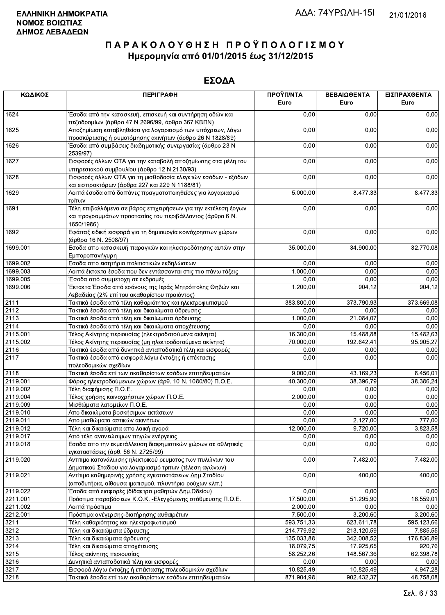| ΚΩΔΙΚΟΣ  | <b>ПЕРІГРАФН</b>                                                                                                                          | ΠΡΟΫΠ/ΝΤΑ<br>Euro | ΒΕΒΑΙΩΘΕΝΤΑ<br>Euro | ΕΙΣΠΡΑΧΘΕΝΤΑ<br>Euro |
|----------|-------------------------------------------------------------------------------------------------------------------------------------------|-------------------|---------------------|----------------------|
| 1624     | Έσοδα από την κατασκευή, επισκευή και συντήρηση οδών και<br>πεζοδρομίων (άρθρο 47 Ν 2696/99, άρθρο 367 ΚΒΠΝ)                              | 0,00              | 0,00                | 0,00                 |
| 1625     | Αποζημίωση καταβληθείσα για λογαριασμό των υπόχρεων, λόγω                                                                                 | 0,00              | 0,00                | 0,00                 |
| 1626     | προσκύρωσης ή ρυμοτόμησης ακινήτων (άρθρο 26 Ν 1828/89)<br>Έσοδα από συμβάσεις διαδημοτικής συνεργασίας (άρθρο 23 Ν<br>2539/97)           | 0,00              | 0,00                | 0,00                 |
| 1627     | Εισφορές άλλων ΟΤΑ για την καταβολή αποζημίωσης στα μέλη του<br>υπηρεσιακού συμβουλίου (άρθρο 12 Ν 2130/93)                               | 0,00              | 0,00                | 0,00                 |
| 1628     | Εισφορές άλλων ΟΤΑ για τη μισθοδοσία ελεγκτών εσόδων - εξόδων<br>και εισπρακτόρων (άρθρα 227 και 229 Ν 1188/81)                           | 0,00              | 0,00                | 0,00                 |
| 1629     | Λοιπά έσοδα από δαπάνες πραγματοποιηθείσες για λογαριασμό<br>τρίτων                                                                       | 5.000,00          | 8.477,33            | 8.477,33             |
| 1691     | Τέλη επιβαλλόμενα σε βάρος επιχειρήσεων για την εκτέλεση έργων<br>και προγραμμάτων προστασίας του περιβάλλοντος (άρθρο 6 Ν.<br>1650/1986) | 0,00              | 0,00                | 0,00                 |
| 1692     | Εφάπαξ ειδική εισφορά για τη δημιουργία κοινόχρηστων χώρων<br>(άρθρο 16 Ν. 2508/97)                                                       | 0,00              | 0,00                | 0,00                 |
| 1699.001 | Εσοδα απο κατασκευή παραγκών και ηλεκτροδότησης αυτών στην<br>Εμποροπανήγυρη                                                              | 35.000,00         | 34.900,00           | 32.770,08            |
| 1699.002 | Εσοδα απο εισητήρια πολιτιστικών εκδηλώσεων                                                                                               | 0,00              | 0,00                | 0,00                 |
| 1699.003 | Λοιπά έκτακτα έσοδα που δεν εντάσσονται στις πιο πάνω τάξεις                                                                              | 1.000,00          | 0,00                | 0,00                 |
| 1699.005 | Έσοδα από συμμετοχη σε εκδρομές                                                                                                           | 0,00              | 0,00                | 0,00                 |
| 1699.006 | Έκτακτα Έσοδα από εράνους της Ιεράς Μητρόπολης Θηβών και<br>Λεβαδείας (2% επί του ακαθαρίστου προιόντος)                                  | 1.200,00          | 904,12              | 904,12               |
| 2111     | Τακτικά έσοδα από τέλη καθαριότητας και ηλεκτροφωτισμού                                                                                   | 383.800,00        | 373.790,93          | 373.669,08           |
| 2112     | Τακτικά έσοδα από τέλη και δικαιώματα ύδρευσης                                                                                            | 0,00              | 0,00                | 0,00                 |
| 2113     | Τακτικά έσοδα από τέλη και δικαίωματα άρδευσης                                                                                            | 1.000,00          | 21.084,07           | 0,00                 |
| 2114     | Τακτικά έσοδα από τέλη και δικαιώματα αποχέτευσης                                                                                         | 0,00              | 0,00                | 0,00                 |
| 2115.001 | Τέλος Ακίνητης περιουσίας (ηλεκτροδοτούμενα ακίνητα)                                                                                      | 16.300,00         | 15.488,88           | 15.482,63            |
| 2115.002 | Τέλος Ακίνητης περιουσίας (μη ηλεκτροδοτούμενα ακίνητα)                                                                                   | 70.000,00         | 192.642,41          | 95.905,27            |
| 2116     | Τακτικά έσοδα από δυνητικά ανταποδοτικά τέλη και εισφορές                                                                                 | 0,00              | 0,00                | 0,00                 |
| 2117     | Τακτικά έσοδα από εισφορά λόγω ένταξης ή επέκτασης<br>πολεοδομικών σχεδίων                                                                | 0,00              | 0,00                | 0,00                 |
| 2118     | Τακτικά έσοδα επί των ακαθαρίστων εσόδων επιτηδευματιών                                                                                   | 9.000,00          | 43.169,23           | 8.456,01             |
| 2119.001 | Φόρος ηλεκτροδούμενων χώρων (άρθ. 10 Ν. 1080/80) Π.Ο.Ε.                                                                                   | 40.300,00         | 38.396,79           | 38.386,24            |
| 2119.002 | Τέλη διαφήμισης Π.Ο.Ε.                                                                                                                    | 0,00              | 0,00                | 0,00                 |
| 2119.004 | Τέλος χρήσης κοινοχρήστων χώρων Π.Ο.Ε.                                                                                                    | 2.000,00          | 0,00                | 0,00                 |
| 2119.009 | Μισθώματα λατομείων Π.Ο.Ε.                                                                                                                | 0,00              | 0,00                | 0,00                 |
| 2119.010 | Απο δικαιώματα βοσκήσιμων εκτάσεων                                                                                                        | 0,00              | 0,00                | 0,00                 |
| 2119.011 | Απο μισθώματα αστικών ακινήτων                                                                                                            | 0,00              | 2.127,00            | 777,00               |
| 2119.012 | Τέλη και δικαιώματα απο λαική αγορά                                                                                                       | 12.000,00         | 9.720,00            | 3.823,58             |
| 2119.017 | Από τέλη ανανεώσιμων πηγών ενέργειας                                                                                                      | 0,00              | 0,00                | 0,00                 |
| 2119.018 | Εσοδα απο την εκμετάλλευση διαφημιστικών χώρων σε αθλητικές<br>εγκαταστάσεις (άρθ. 56 Ν. 2725/99)                                         | 0,00              | 0,00                | 0,00                 |
| 2119.020 | Αντιτιμο κατανάλωσης ηλεκτρικού ρευματος των πυλώνων του<br>Δημοτικού Σταδιου για λογαριασμό τριτων (τέλεση αγώνων)                       | 0,00              | 7.482,00            | 7.482,00             |
| 2119.021 | Αντίτιμο καθημερινής χρήσης εγκαταστάσεων Δημ.Σταδίου<br>(αποδυτήρια, αίθουσα ιματισμού, πλυντήριο ρούχων κλπ.)                           | 0,00              | 400,00              | 400,00               |
| 2119.022 | Έσοδα από εισφορές (δίδακτρα μαθητών Δημ.Ωδείου)                                                                                          | 0,00              | 0,00                | 0,00                 |
| 2211.001 | Πρόστιμα παραβάσεων Κ.Ο.Κ. - Ελεγχόμενης στάθμευσης Π.Ο.Ε.                                                                                | 17.500,00         | 51.295,90           | 16.559,01            |
| 2211.002 | Λοιπά πρόστιμα                                                                                                                            | 2.000,00          | 0,00                | 0,00                 |
| 2212.001 | Πρόστιμα ανέγερσης-διατήρησης αυθαιρέτων                                                                                                  | 7.500,00          | 3.200,60            | 3.200,60             |
| 3211     | Τέλη καθαριότητας και ηλεκτροφωτισμού                                                                                                     | 593.751,33        | 623.611,78          | 595.123,66           |
| 3212     | Τέλη και δικαιώματα ύδρευσης                                                                                                              | 214.779,92        | 213.120,59          | 7.885,55             |
| 3213     | Τέλη και δικαιώματα άρδευσης                                                                                                              | 135.033,88        | 342.008,52          | 176.836,89           |
| 3214     | Τέλη και δικαιώματα αποχέτευσης                                                                                                           | 18.079,75         | 17.925,65           | 920,76               |
| 3215     | Τέλος ακίνητης περιουσίας                                                                                                                 | 58.252,26         | 148.567,36          | 62.398,78            |
| 3216     | Δυνητικά ανταποδοτικά τέλη και εισφορές                                                                                                   | 0,00              | 0,00                | 0,00                 |
| 3217     | Εισφορά λόγω ένταξης ή επέκτασης πολεοδομικών σχεδίων                                                                                     | 10.825,49         | 10.825,49           | 4.947,28             |
| 3218     | Τακτικά έσοδα επί των ακαθαρίστων εσόδων επιτηδευματιών                                                                                   | 871.904.98        | 902.432.37          | 48.758.08            |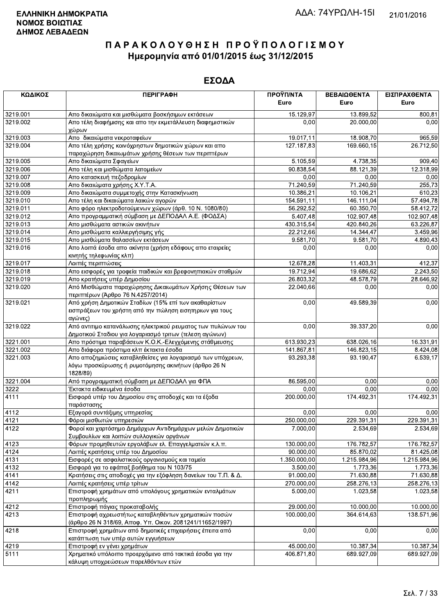| ΚΩΔΙΚΟΣ              | <b>ПЕРІГРАФН</b>                                                                                      | ΠΡΟΫΠ/ΝΤΑ               | ΒΕΒΑΙΩΘΕΝΤΑ             | ΕΙΣΠΡΑΧΘΕΝΤΑ         |
|----------------------|-------------------------------------------------------------------------------------------------------|-------------------------|-------------------------|----------------------|
|                      |                                                                                                       | Euro                    | Euro                    | Euro                 |
| 3219.001             | Απο δικαιώματα και μισθώματα βοσκήσιμων εκτάσεων                                                      | 15.129,97               | 13.899,52               | 800,81               |
| 3219.002             | Απο τέλη διαφήμισης και απο την εκμετάλλευση διαφημιστικών<br>χώρων                                   | 0,00                    | 20.000,00               | 0,00                 |
| 3219.003             | Απο δικαιώματα νεκροταφείων                                                                           | 19.017,11               | 18.908,70               | 965,59               |
| 3219.004             | Απο τέλη χρήσης κοινόχρηστων δημοτικών χώρων και απο                                                  | 127.187,83              | 169.660,15              | 26.712,50            |
|                      | παραχώρηση δικαιωμάτων χρήσης θέσεων των περιπτέρων                                                   |                         |                         |                      |
| 3219.005             | Απο δικαιώματα Σφαγείων                                                                               | 5.105,59                | 4.738,35                | 909,40               |
| 3219.006             | Απο τέλη και μισθώματα λατομείων                                                                      | 90.838,54               | 88.121,39               | 12.318,99            |
| 3219.007             | Απο κατασκευή πεζοδρομίων                                                                             | 0,00                    | 0,00                    | 0,00                 |
| 3219.008             | Απο δικαιώματα χρήσης Χ.Υ.Τ.Α.                                                                        | 71.240,59               | 71.240,59               | 255,73               |
| 3219.009             | Απο δικαιώματα συμμετοχής στην Κατασκήνωση                                                            | 10.386,21               | 10.106,21               | 610,23               |
| 3219.010             | Απο τέλη και δικαιώματα λαικών αγορών                                                                 | 154.591,11              | 146.111,04              | 57.494,78            |
| 3219.011             | Απο φόρο ηλεκτροδοτούμενων χώρων (άρθ. 10 Ν. 1080/80)                                                 | 56.292,52               | 60.350,70               | 58.412,72            |
| 3219.012             | Απο προγραμματική σύμβαση με ΔΕΠΟΔΑΛ Α.Ε. (ΦΟΔΣΑ)                                                     | 5.407,48                | 102.907,48              | 102.907,48           |
| 3219.013             | Απο μισθώματα αστικών ακινήτων                                                                        | 430.315,54              | 420.840,26              | 63.226,87            |
| 3219.014             | Απο μισθώματα καλλιεργήσιμης γής                                                                      | 22.212,66               | 14.344,47               | 3.459,96             |
| 3219.015             | Απο μισθώματα θαλασσίων εκτάσεων                                                                      | 9.581,70                | 9.581,70                | 4.890,43             |
| 3219.016             | Απο λοιπά έσοδα απο ακίνητα (χρήση εδάφους απο εταιρείες                                              | 0,00                    | 0,00                    | 0,00                 |
|                      | κινητής τηλεφωνίας κλπ)                                                                               |                         |                         |                      |
| 3219.017             | Λοιπές περιπτώσεις                                                                                    | 12.678,28               | 11.403,31               | 412,37               |
| 3219.018             | Απο εισφορές για τροφεία παιδικών και βρεφονηπιακών σταθμών                                           | 19.712,94               | 19.686,62               | 2.243,50             |
| 3219.019             | Απο κρατήσεις υπέρ Δημοσίου                                                                           | 26.803,32               | 48.578,79               | 28.646,92            |
| 3219.020             | Από Μισθώματα παραχώρησης Δικαιωμάτων Χρήσης Θέσεων των<br>περιπτέρων (Άρθρο 76 Ν.4257/2014)          | 22.040,66               | 0,00                    | 0,00                 |
| 3219.021             | Από χρήση Δημοτικών Σταδίων (15% επί των ακαθαρίστων                                                  | 0,00                    | 49.589,39               | 0,00                 |
|                      | εισπράξεων του χρήστη από την πώληση εισητηριων για τους                                              |                         |                         |                      |
|                      | αγώνες)                                                                                               |                         |                         |                      |
| 3219.022             | Από αντιτιμο κατανάλωσης ηλεκτρικού ρευματος των πυλώνων του                                          | 0,00                    | 39.337,20               | 0,00                 |
| 3221.001             | Δημοτικού Σταδιου για λογαριασμό τριτων (τελεση αγώνων)                                               |                         |                         |                      |
|                      | Απο πρόστιμα παραβάσεων Κ.Ο.Κ.-Ελεγχόμενης στάθμευσης                                                 | 613.930,23              | 638.026,16              | 16.331,91            |
| 3221.002<br>3221.003 | Απο διάφορα πρόστιμα κλπ έκτακτα έσοδα<br>Απο αποζημιώσεις καταβληθείσες για λογαριασμό των υπόχρεων, | 141.867,81<br>93.293,38 | 146.823,15<br>93.190,47 | 8.424,08<br>6.539,17 |
|                      | λόγω προσκύρωσης ή ρυμοτόμησης ακινήτων (άρθρο 26 Ν<br>1828/89)                                       |                         |                         |                      |
| 3221.004             | Από προγραμματική σύμβαση με ΔΕΠΟΔΑΛ για ΦΠΑ                                                          | 86.595,00               | 0,00                    | 0,00                 |
| 3222                 | Έκτακτα ειδικευμένα έσοδα                                                                             | 0,00                    | 0,00                    | 0,00                 |
| 4111                 | Εισφορά υπέρ του Δημοσίου στις αποδοχές και τα έξοδα<br>παράστασης                                    | 200.000,00              | 174.492,31              | 174.492,31           |
| 4112                 | Εξαγορά συντάξιμης υπηρεσίας                                                                          | 0,00                    | 0,00                    | 0,00                 |
| 4121                 | Φόροι μισθωτών υπηρεσιών                                                                              | 250.000,00              | 229.391,31              | 229.391,31           |
| 4122                 | Φοροί και χαρτόσημο Δημάρχων Αντιδημάρχων μελών Δημοτικών                                             | 7.000,00                | 2.534,69                | 2.534,69             |
|                      | Συμβουλίων και λοιπών συλλογικών οργάνων                                                              |                         |                         |                      |
| 4123                 | Φόρων προμηθευτών εργολάβων ελ. Επαγγελματιών κ.λ.π.                                                  | 130.000,00              | 176.782,57              | 176.782,57           |
| 4124                 | Λοιπές κρατήσεις υπέρ του Δημοσίου                                                                    | 90.000,00               | 85.870,02               | 81.425,08            |
| 4131                 | Εισφορές σε ασφαλιστικούς οργανισμούς και ταμεία                                                      | 1.350.000,00            | 1.215.984,96            | 1.215.984,96         |
| 4132                 | Εισφορά για το εφάπαξ βοήθημα του Ν 103/75                                                            | 3.500,00                | 1.773,36                | 1.773,36             |
| 4141                 | Κρατήσεις στις αποδοχές για την εξόφληση δανείων του Τ.Π. & Δ.                                        | 91.000,00               | 71.630,88               | 71.630,88            |
| 4142                 | Λοιπές κρατήσεις υπέρ τρίτων                                                                          | 270.000,00              | 258.276,13              | 258.276,13           |
| 4211                 | Επιστροφή χρημάτων από υπολόγους χρηματικών ενταλμάτων                                                | 5.000,00                | 1.023,58                | 1.023,58             |
|                      | προπληρωμής                                                                                           |                         |                         |                      |
| 4212                 | Επιστροφή πάγιας προκαταβολής                                                                         | 29.000,00               | 10.000,00               | 10.000,00            |
| 4213                 | Επιστροφή αχρεωστήτως καταβληθέντων χρηματικών ποσών                                                  | 100.000,00              | 364.614,63              | 138.571,96           |
|                      | (άρθρο 26 Ν 318/69, Αποφ. Υπ. Οικον. 2081241/11652/1997)                                              |                         |                         |                      |
| 4218                 | Επιστροφή χρημάτων από δημοτικές επιχειρήσεις έπειτα από                                              | 0,00                    | 0,00                    | 0,00                 |
|                      | κατάπτωση των υπέρ αυτών εγγυήσεων                                                                    |                         |                         |                      |
| 4219                 | Επιστροφή εν γένει χρημάτων                                                                           | 45.000,00               | 10.387,34               | 10.387,34            |
| 5111                 | Χρηματικό υπόλοιπο προερχόμενο από τακτικά έσοδα για την                                              | 406.871,80              | 689.927,09              | 689.927,09           |
|                      | κάλυψη υποχρεώσεων παρελθόντων ετών                                                                   |                         |                         |                      |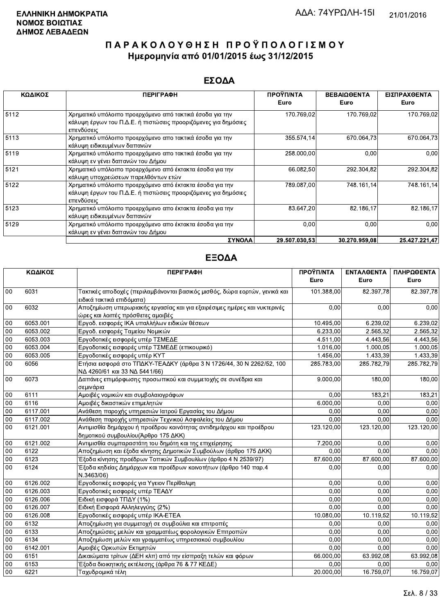### ΕΣΟΔΑ

| ΚΩΔΙΚΟΣ | <b>ПЕРІГРАФН</b>                                                                                                                         | ΠΡΟΫΠ/ΝΤΑ<br>Euro | ΒΕΒΑΙΩΘΕΝΤΑ<br>Euro | ΕΙΣΠΡΑΧΘΕΝΤΑ<br>Euro |
|---------|------------------------------------------------------------------------------------------------------------------------------------------|-------------------|---------------------|----------------------|
| 5112    | Χρηματικό υπόλοιπο προερχόμενο από τακτικά έσοδα για την<br>κάλυψη έργων του Π.Δ.Ε. ή πιστώσεις προοριζόμενες για δημόσιες<br>επενδύσεις | 170.769,02        | 170.769,02          | 170.769,02           |
| 5113    | Χρηματικό υπόλοιπο προερχόμενο απο τακτικά έσοδα για την<br>κάλυψη ειδικευμένων δαπανών                                                  | 355.574,14        | 670.064,73          | 670.064,73           |
| 5119    | Χρηματικό υπόλοιπο προερχόμενο απο τακτικά έσοδα για την<br>κάλυψη εν γένει δαπανών του Δήμου                                            | 258.000,00        | 0,00                | 0,00                 |
| 5121    | Χρηματικό υπόλοιπο προερχόμενο από έκτακτα έσοδα για την<br>κάλυψη υποχρεώσεων παρελθόντων ετών                                          | 66.082,50         | 292.304.82          | 292.304,82           |
| 5122    | Χρηματικό υπόλοιπο προερχόμενο από έκτακτα έσοδα για την<br>κάλυψη έργων του Π.Δ.Ε. ή πιστώσεις προοριζόμενες για δημόσιες<br>επενδύσεις | 789.087,00        | 748.161,14          | 748.161,14           |
| 5123    | Χρηματικό υπόλοιπο προερχόμενο απο έκτακτα έσοδα για την<br>κάλυψη ειδικευμένων δαπανών                                                  | 83.647,20         | 82.186,17           | 82.186,17            |
| 5129    | Χρηματικό υπόλοιπο προερχόμενο απο έκτακτα έσοδα για την<br>κάλυψη εν γένει δαπανών του Δήμου                                            | 0,00              | 0,00                | 0.00                 |
|         | ΣΥΝΟΛΑ                                                                                                                                   | 29.507.030,53     | 30.270.959.08       | 25.427.221.47        |

|        | ΚΩΔΙΚΟΣ  | <b>ПЕРІГРАФН</b>                                                                                               | ΠΡΟΫΠ/ΝΤΑ  | ΕΝΤΑΛΘΕΝΤΑ | ΠΛΗΡΩΘΕΝΤΑ |
|--------|----------|----------------------------------------------------------------------------------------------------------------|------------|------------|------------|
|        |          |                                                                                                                | Euro       | Euro       | Euro       |
| 00     | 6031     | Τακτικές αποδοχές (περιλαμβάνονται βασικός μισθός, δώρα εορτών, γενικά και<br>ειδικά τακτικά επιδόματα)        | 101.388,00 | 82.397,78  | 82.397,78  |
| 00     | 6032     | Αποζημίωση υπερωριακής εργασίας και για εξαιρέσιμες ημέρες και νυκτερινές<br>ώρες και λοιπές πρόσθετες αμοιβές | 0,00       | 0,00       | 0,00       |
| 00     | 6053.001 | Εργοδ. εισφορές ΙΚΑ υπαλλήλων ειδικών θέσεων                                                                   | 10.495,00  | 6.239,02   | 6.239,02   |
| 00     | 6053.002 | Εργοδ. εισφορές Ταμείου Νομικών                                                                                | 6.233,00   | 2.565,32   | 2.565,32   |
| 00     | 6053.003 | Εργοδοτικές εισφορές υπέρ ΤΣΜΕΔΕ                                                                               | 4.511,00   | 4.443,56   | 4.443,56   |
| 00     | 6053.004 | Εργοδοτικές εισφορές υπέρ ΤΣΜΕΔΕ (επικουρικό)                                                                  | 1.016,00   | 1.000.05   | 1.000,05   |
| 00     | 6053.005 | Εργοδοτικές εισφορές υπέρ ΚΥΤ                                                                                  | 1.456,00   | 1.433,39   | 1.433,39   |
| $00\,$ | 6056     | Ετήσια εισφορά στο ΤΠΔΚΥ-ΤΕΑΔΚΥ (άρθρα 3 Ν 1726/44, 30 Ν 2262/52, 100<br>ΝΔ 4260/61 και 33 ΝΔ 5441/66)         | 285.783,00 | 285.782.79 | 285.782,79 |
| 00     | 6073     | Δαπάνες επιμόρφωσης προσωπικού και συμμετοχής σε συνέδρια και<br>σεμινάρια                                     | 9.000,00   | 180,00     | 180,00     |
| 00     | 6111     | Αμοιβές νομικών και συμβολαιογράφων                                                                            | 0.00       | 183,21     | 183,21     |
| 00     | 6116     | Αμοιβές δικαστικών επιμελητών                                                                                  | 6.000.00   | 0.00       | 0.00       |
| 00     | 6117.001 | Ανάθεση παροχής υπηρεσιών Ιατρού Εργασίας του Δήμου                                                            | 0.00       | 0,00       | 0.00       |
| 00     | 6117.002 | Ανάθεση παροχής υπηρεσιών Τεχνικού Ασφαλείας του Δήμου                                                         | 0,00       | 0,00       | 0.00       |
| 00     | 6121.001 | Αντιμισθία δημάρχου ή προέδρου κοινότητας αντιδημάρχου και προέδρου<br>δημοτικού συμβουλίου (Άρθρο 175 ΔΚΚ)    | 123.120,00 | 123.120,00 | 123.120,00 |
| 00     | 6121.002 | Αντιμισθία συμπαραστάτη του δημότη και της επιχείρησης                                                         | 7.200,00   | 0.00       | 0.00       |
| 00     | 6122     | Αποζημίωση και έξοδα κίνησης Δημοτικών Συμβούλων (άρθρο 175 ΔΚΚ)                                               | 0.00       | 0.00       | 0.00       |
| 00     | 6123     | Έξοδα κίνησης προέδρων Τοπικών Συμβουλίων (άρθρο 4 Ν 2539/97)                                                  | 87.600,00  | 87.600,00  | 87.600,00  |
| 00     | 6124     | Έξοδα κηδείας Δημάρχων και προέδρων κοινοτήτων (άρθρο 140 παρ.4<br>N.3463/06)                                  | 0,00       | 0,00       | 0,00       |
| 00     | 6126.002 | Εργοδοτικές εισφορές για Υγειον Περίθαλψη                                                                      | 0.00       | 0,00       | 0.00       |
| 00     | 6126.003 | Εργοδοτικές εισφορές υπέρ ΤΕΑΔΥ                                                                                | 0,00       | 0.00       | 0.00       |
| $00\,$ | 6126.006 | Ειδική εισφορά ΤΠΔΥ (1%)                                                                                       | 0,00       | 0,00       | 0,00       |
| 00     | 6126.007 | Ειδική Εισφορά Αλληλεγγύης (2%)                                                                                | 0.00       | 0.00       | 0.00       |
| 00     | 6126.008 | Εργοδοτικές εισφορές υπέρ ΙΚΑ-ΕΤΕΑ                                                                             | 10.080,00  | 10.119,52  | 10.119,52  |
| 00     | 6132     | Αποζημίωση για συμμετοχή σε συμβούλια και επιτροπές                                                            | 0,00       | 0,00       | 0,00       |
| 00     | 6133     | Αποζημιώσεις μελών και γραμματέως φορολογικών Επιτροπών                                                        | 0,00       | 0,00       | 0,00       |
| 00     | 6134     | Αποζημίωση μελών και γραμματέως υπηρεσιακού συμβουλίου                                                         | 0.00       | 0,00       | 0.00       |
| 00     | 6142.001 | Αμοιβές Ορκωτών Εκτιμητών                                                                                      | 0,00       | 0,00       | 0,00       |
| 00     | 6151     | Δικαιώματα τρίτων (ΔΕΗ κλπ) από την είσπραξη τελών και φόρων                                                   | 66.000,00  | 63.992,08  | 63.992,08  |
| 00     | 6153     | Έξοδα διοικητικής εκτέλεσης (άρθρα 76 & 77 ΚΕΔΕ)                                                               | 0,00       | 0,00       | 0,00       |
| 00     | 6221     | Ταχυδρομικά τέλη                                                                                               | 20.000.00  | 16.759.07  | 16.759,07  |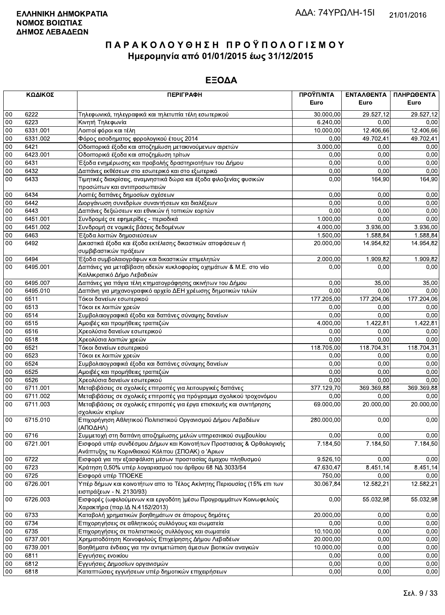|        | ΚΩΔΙΚΟΣ  | <b>ПЕРІГРАФН</b>                                                          | ΠΡΟΫΠ/ΝΤΑ<br>Euro | ΕΝΤΑΛΘΕΝΤΑ<br>Euro | ΠΛΗΡΩΘΕΝΤΑ<br>Euro |
|--------|----------|---------------------------------------------------------------------------|-------------------|--------------------|--------------------|
| 00     | 6222     | Τηλεφωνικά, τηλεγραφικά και τηλετυπία τέλη εσωτερικού                     | 30.000,00         | 29.527,12          | 29.527,12          |
| 00     | 6223     | Κινητή Τηλεφωνία                                                          | 6.240,00          | 0,00               | 0,00               |
| 00     | 6331.001 | Λοιποί φόροι και τέλη                                                     | 10.000,00         | 12.406,66          | 12.406,66          |
| 00     | 6331.002 | Φόρος εισοδηματος φρρολογικού έτους 2014                                  | 0,00              | 49.702,41          | 49.702,41          |
| 00     | 6421     | Οδοιπορικά έξοδα και αποζημίωση μετακινούμενων αιρετών                    | 3.000,00          | 0,00               | 0,00               |
| 00     | 6423.001 | Οδοιπορικά έξοδα και αποζημίωση τρίτων                                    | 0,00              | 0,00               | 0,00               |
| 00     | 6431     | Έξοδα ενημέρωσης και προβολής δραστηριοτήτων του Δήμου                    | 0,00              | 0,00               | 0,00               |
| 00     | 6432     | Δαπάνες εκθέσεων στο εσωτερικό και στο εξωτερικό                          | 0,00              | 0,00               | 0,00               |
| 00     | 6433     | Τιμητικές διακρίσεις, αναμνηστικά δώρα και έξοδα φιλοξενίας φυσικών       | 0,00              | 164,90             | 164,90             |
|        |          | προσώπων και αντιπροσωπειών                                               |                   |                    |                    |
| 00     | 6434     | Λοιπές δαπάνες δημοσίων σχέσεων                                           | 0,00              | 0,00               | 0,00               |
| $00\,$ | 6442     | Διοργάνωση συνεδρίων συναντήσεων και διαλέξεων                            | 0,00              | 0,00               | 0,00               |
| $00\,$ | 6443     | Δαπάνες δεξιώσεων και εθνικών ή τοπικών εορτών                            | 0,00              | 0,00               | 0,00               |
| 00     | 6451.001 | Συνδρομές σε εφημερίδες - περιοδικά                                       | 1.000,00          | 0,00               | 0,00               |
| 00     | 6451.002 | Συνδρομή σε νομικές βάσεις δεδομένων                                      | 4.000,00          | 3.936,00           | 3.936,00           |
| $00\,$ | 6463     | Έξοδα λοιπών δημοσιεύσεων                                                 | 1.500,00          | 1.588,84           | 1.588,84           |
| $00\,$ | 6492     | Δικαστικά έξοδα και έξοδα εκτέλεσης δικαστικών αποφάσεων ή                | 20.000,00         | 14.954,82          | 14.954,82          |
|        |          | συμβιβαστικών πράξεων                                                     |                   |                    |                    |
| 00     | 6494     | Έξοδα συμβολαιογράφων και δικαστικών επιμελητών                           | 2.000,00          | 1.909,82           | 1.909,82           |
| 00     | 6495.001 | Δαπάνες για μεταβίβαση αδειών κυκλοφορίας οχημάτων & Μ.Ε. στο νέο         | 0,00              | 0,00               | 0,00               |
|        |          | Καλλικρατικό Δήμο Λεβαδεών                                                |                   |                    |                    |
| 00     | 6495.007 | Δαπάνες για πάγια τέλη κτηματογράφησης ακινήτων του Δήμου                 | 0,00              | 35,00              | 35,00              |
| 00     | 6495.010 | Δαπάνη για μηχανογραφικό αρχείο ΔΕΗ χρέωσης δημοτικών τελών               | 0,00              | 0,00               | 0,00               |
| 00     | 6511     | Τόκοι δανείων εσωτερικού                                                  | 177.205,00        | 177.204,06         | 177.204,06         |
| 00     | 6513     | Τόκοι εκ λοιπών χρεών                                                     | 0.00              | 0.00               | 0,00               |
| 00     | 6514     | Συμβολαιογραφικά έξοδα και δαπάνες σύναψης δανείων                        | 0,00              | 0,00               | 0,00               |
| 00     | 6515     | Αμοιβές και προμήθειες τραπεζών                                           | 4.000,00          | 1.422,81           | 1.422,81           |
| 00     | 6516     | Χρεολύσια δανείων εσωτερικού                                              | 0,00              | 0.00               | 0,00               |
| 00     | 6518     | Χρεολύσια λοιπών χρεών                                                    | 0,00              | 0,00               | 0,00               |
| 00     | 6521     | Τόκοι δανείων εσωτερικού                                                  | 118.705,00        | 118.704,31         | 118.704,31         |
| 00     | 6523     | Τόκοι εκ λοιπών χρεών                                                     | 0,00              | 0,00               | 0,00               |
| 00     | 6524     | Συμβολαιογραφικά έξοδα και δαπάνες σύναψης δανείων                        | 0,00              | 0,00               | 0,00               |
| 00     | 6525     | Αμοιβές και προμήθειες τραπεζών                                           | 0,00              | 0,00               | 0,00               |
| 00     | 6526     | Χρεολύσια δανείων εσωτερικού                                              | 0,00              | 0,00               | 0,00               |
| 00     | 6711.001 | Μεταβιβάσεις σε σχολικές επιτροπές για λειτουργικές δαπάνες               | 377.129,70        | 369.369,88         | 369.369,88         |
| $00\,$ | 6711.002 | Μεταβιβάσεις σε σχολικές επιτροπές για πρόγραμμα σχολικού τροχονόμου      | 0,00              | 0,00               | 0,00               |
| 00     | 6711.003 | Μεταβιβάσεις σε σχολικές επιτροπές για έργα επισκευής και συντήρησης      | 69.000,00         | 20.000,00          | 20.000,00          |
|        |          | σχολικών κτιρίων                                                          |                   |                    |                    |
| 00     | 6715.010 | Επιχορήγηση Αθλητικού Πολιτιστικού Οργανισμού Δήμου Λεβαδέων              | 280.000,00        | 0,00               | 0,00               |
| 00     | 6716     | (ΑΠΟΔΗΛ)<br>Συμμετοχή στη δαπάνη αποζημίωσης μελών υπηρεσιακού συμβουλίου | 0,00              | 0,00               | 0,00               |
| $00\,$ | 6721.001 | Εισφορά υπέρ συνδέσμου Δήμων και Κοινοτήτων Προστασιας & Ορθολογικής      | 7.184,50          | 7.184,50           | 7.184,50           |
|        |          | Ανάπτυξης τιυ Κορινθιακού Κόλπου (ΣΠΟΑΚ) ο 'Αριων                         |                   |                    |                    |
| 00     | 6722     | Εισφορά για την εξασφάλιση μέσων προστασίας άμαχου πληθυσμού              | 9.526,10          | 0,00               | 0,00               |
| 00     | 6723     | Κράτηση 0,50% υπέρ λογαριασμού του άρθρου 68 ΝΔ 3033/54                   | 47.630,47         | 8.451,14           | 8.451,14           |
| $00\,$ | 6725     | Εισφορά υπέρ ΤΠΟΕΚΕ                                                       | 750,00            | 0,00               | 0,00               |
| 00     | 6726.001 | Υπέρ δήμων και κοινοτήτων απο το Τέλος Ακίνητης Περιουσίας (15% επι των   | 30.067,84         | 12.582,21          | 12.582,21          |
|        |          | εισπράξεων - Ν. 2130/93)                                                  |                   |                    |                    |
| 00     | 6726.003 | Εισφορές (ωφελούμενων και εργοδότη )μέσω Προγραμμάτων Κοινωφελούς         | 0,00              | 55.032,98          | 55.032,98          |
|        |          | Χαρακτήρα (παρ. ΙΔ Ν.4152/2013)                                           |                   |                    |                    |
| 00     | 6733     | Καταβολή χρηματικών βοηθημάτων σε άπορους δημότες                         | 20.000,00         | 0,00               | 0,00               |
| 00     | 6734     | Επιχορηγήσεις σε αθλητικούς συλλόγους και σωματεία                        | 0,00              | 0,00               | 0,00               |
| 00     | 6735     | Επιχορηγήσεις σε πολιτιστικούς συλλόγους και σωματεία                     | 10.100,00         | 0,00               | 0,00               |
| 00     | 6737.001 | Χρηματοδότηση Κοινοφελούς Επιχείρησης Δήμου Λεβαδέων                      | 20.000,00         | 0,00               | 0,00               |
| 00     | 6739.001 | Βοηθήματα ένδειας για την αντιμετώπιση άμεσων βιοτικών αναγκών            | 10.000,00         | 0,00               | 0,00               |
| 00     | 6811     | Εγγυήσεις ενοικίου                                                        | 0,00              | 0,00               | 0,00               |
| 00     | 6812     | Εγγυήσεις Δημοσίων οργανισμών                                             | 0,00              | 0,00               | 0,00               |
| 00     | 6818     | Καταπτώσεις εγγυήσεων υπέρ δημοτικών επιχειρήσεων                         | 0,00              | 0,00               | 0,00               |
|        |          |                                                                           |                   |                    |                    |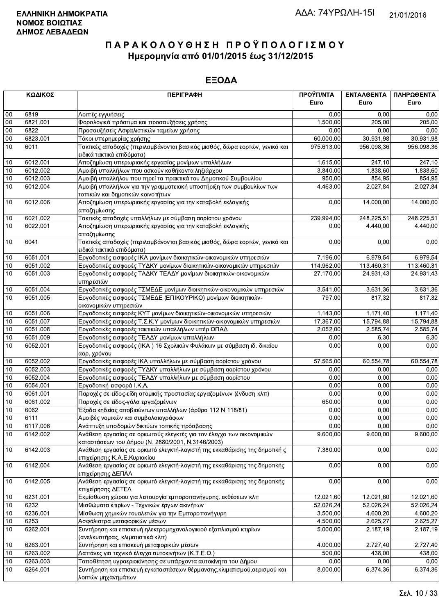|      | ΚΩΔΙΚΟΣ  | <b>ПЕРІГРАФН</b>                                                                                                          | ΠΡΟΫΠ/ΝΤΑ              | ΕΝΤΑΛΘΕΝΤΑ            | ΠΛΗΡΩΘΕΝΤΑ             |
|------|----------|---------------------------------------------------------------------------------------------------------------------------|------------------------|-----------------------|------------------------|
|      |          |                                                                                                                           | Euro                   | Euro                  | Euro                   |
| 00   | 6819     | Λοιπές εγγυήσεις                                                                                                          | 0,00                   | 0.00                  | 0,00                   |
| 00   | 6821.001 | Φορολογικά πρόστιμα και προσαυξήσεις χρήσης                                                                               | 1.500,00               | 205,00                | 205,00                 |
| 00   | 6822     | Προσαυξήσεις Ασφαλιστικών ταμείων χρήσης                                                                                  | 0,00                   | 0.00                  | 0,00                   |
| 00   | 6823.001 | Τόκοι υπερημερίας χρήσης                                                                                                  | 60.000,00              | 30.931,98             | 30.931,98              |
| 10   | 6011     | Τακτικές αποδοχές (περιλαμβάνονται βασικός μισθός, δώρα εορτών, γενικά και<br>ειδικά τακτικά επιδόματα)                   | 975.613.00             | 956.098,36            | 956.098,36             |
| 10   | 6012.001 | Αποζημίωση υπερωριακής εργασίας μονίμων υπαλλήλων                                                                         | 1.615,00               | 247,10                | 247,10                 |
| 10   | 6012.002 | Αμοιβή υπαλλήλων που ασκούν καθήκοντα ληξιάρχου                                                                           | 3.840,00               | 1.838,60              | 1.838,60               |
| 10   | 6012.003 | Αμοιβή υπαλλήλου που τηρεί τα πρακτικά του Δημοτικού Συμβουλίου                                                           | 950,00                 | 854,95                | 854,95                 |
| 10   | 6012.004 | Αμοιβή υπαλλήλων για την γραμματειακή υποστήριξη των συμβουλίων των<br>τοπικών και δημοτικών κοινοτήτων                   | $\overline{4}$ .463,00 | 2.027,84              | 2.027,84               |
| 10   | 6012.006 | Αποζημίωση υπερωριακής εργασίας για την καταβολή εκλογικής<br>αποζημίωσης                                                 | 0,00                   | 14.000,00             | 14.000,00              |
| 10   | 6021.002 | Τακτικές αποδοχές υπαλλήλων με σύμβαση αορίστου χρόνου                                                                    | 239.994,00             | 248.225.51            | 248.225,51             |
| 10   | 6022.001 | Αποζημίωση υπερωριακής εργασίας για την καταβολή εκλογικής<br>αποζημίωσης                                                 | 0,00                   | 4.440,00              | 4.440,00               |
| 10   | 6041     | Τακτικές αποδοχές (περιλαμβάνονται βασικός μισθός, δώρα εορτών, γενικά και<br>ειδικά τακτικά επιδόματα)                   | 0,00                   | 0,00                  | 0,00                   |
| 10   | 6051.001 | Εργοδοτικές εισφορές ΙΚΑ μονίμων διοικητικών-οικονομικών υπηρεσιών                                                        | 7.196,00               | 6.979,54              | 6.979,54               |
| 10   | 6051.002 | Εργοδοτικές εισφορές ΤΥΔΚΥ μονίμων διοικητικών-οικονομικών υπηρεσιών                                                      | 114.962,00             | 113.460,31            | 113.460,31             |
| 10   | 6051.003 | Εργοδοτικές εισφορές ΤΑΔΚΥ ΤΕΑΔΥ μονίμων διοικητικών-οικονομικών<br>υπηρεσιών                                             | 27.170.00              | 24.931.43             | 24.931,43              |
| 10   | 6051.004 | Εργοδοτικές εισφορές ΤΣΜΕΔΕ μονίμων διοικητικών-οικονομικών υπηρεσιών                                                     | 3.541,00               | 3.631,36              | 3.631,36               |
| 10   | 6051.005 | Εργοδοτικές εισφορές ΤΣΜΕΔΕ (ΕΠΙΚΟΥΡΙΚΟ) μονίμων διοικητικών-<br>οικονομικών υπηρεσιών                                    | 797,00                 | 817,32                | 817,32                 |
| 10   | 6051.006 | Εργοδοτικές εισφορές ΚΥΤ μονίμων διοικητικών-οικονομικών υπηρεσιών                                                        | 1.143,00               | $\overline{1.171,40}$ | 1.171,40               |
| 10   | 6051.007 | Εργοδοτικές εισφορές Τ.Σ.Κ.Υ μονίμων διοικητικών-οικονομικών υπηρεσιών                                                    | 17.367,00              | 15.794,88             | 15.794,88              |
| 10   | 6051.008 | Εργοδοτικές εισφορές τακτικών υπαλλήλων υπέρ ΟΠΑΔ                                                                         | 2.052,00               | 2.585,74              | 2.585,74               |
| 10   | 6051.009 | Εργοδοτικές εισφορές ΤΕΑΔΥ μονίμων υπαλλήλων                                                                              | 0,00                   | 6,30                  | 6,30                   |
| 10   | 6052.001 | Εργοδοτικές εισφορές (ΙΚΑ) 16 Σχολικών Φυλάκων με σύμβαση ιδ. δικαίου<br>αορ. χρόνου                                      | 0,00                   | 0,00                  | 0,00                   |
| 10   | 6052.002 | Εργοδοτικές εισφορές ΙΚΑ υπαλλήλων με σύμβαση αορίστου χρόνου                                                             | 57.565,00              | 60.554,78             | 60.554,78              |
| 10   | 6052.003 | Εργοδοτικές εισφορές ΤΥΔΚΥ υπαλλήλων με σύμβαση αορίστου χρόνου                                                           | 0,00                   | 0,00                  | 0,00                   |
| 10   | 6052.004 | Εργοδοτικές εισφορές ΤΕΑΔΥ υπαλλήλων με σύμβαση αορίστου                                                                  | 0.00                   | 0,00                  | 0,00                   |
| 10   | 6054.001 | Εργοδοτική εισφορά Ι.Κ.Α.                                                                                                 | 0,00                   | 0,00                  | 0,00                   |
| 10   | 6061.001 | Παροχές σε είδος-είδη ατομικής προστασίας εργαζομένων (ένδυση κλπ)                                                        | 0,00                   | 0,00                  | 0,00                   |
| 10   | 6061.002 | Παροχές σε είδος-γάλα εργαζομένων                                                                                         | 650,00                 | 0,00                  | 0,00                   |
| 10   | 6062     | Έξοδα κηδείας αποβιούντων υπαλλήλων (άρθρο 112 Ν 118/81)                                                                  | 0,00                   | 0,00                  | 0,00                   |
| $10$ | 6111     | Αμοιβές νομικών και συμβολαιογράφων                                                                                       | 0,00                   | 0,00                  | 0,00                   |
| 10   | 6117.006 | Ανάπτυξη υποδομών δικτύων τοπικής πρόσβασης                                                                               | $\overline{0,00}$      | 0,00                  | 0,00                   |
| 10   | 6142.002 | Ανάθεση εργασίας σε ορκωτούς ελεγκτές για τον έλεγχο των οικονομικών<br>καταστάσεων του Δήμου (Ν. 2880/2001, Ν.3146/2003) | 9.600,00               | 9.600,00              | 9.600,00               |
| 10   | 6142.003 | Ανάθεση εργασίας σε ορκωτό ελεγκτή-λογιστή της εκκαθάρισης της δημοτική ς<br>επιχείρησης Κ.Α.Ε.Κυριακίου                  | 7.380,00               | 0,00                  | 0,00                   |
| 10   | 6142.004 | Ανάθεση εργασίας σε ορκωτό ελεγκτή-λογιστή της εκκαθάρισης της δημοτικής<br>επιχείρησης ΔΕΠΑΛ                             | 0,00                   | 0,00                  | 0,00                   |
| 10   | 6142.005 | Ανάθεση εργασίας σε ορκωτό ελεγκτή-λογιστή της εκκαθάρισης της δημοτικής<br>επιχείρησης ΔΕΤΕΛ                             | 0,00                   | 0,00                  | 0,00                   |
| 10   | 6231.001 | Εκμίσθωση χώρου για λειτουργία εμποροπανήγυρης, εκθέσεων κλπ                                                              | 12.021,60              | 12.021,60             | 12.021,60              |
| 10   | 6232     | Μισθώματα κτιρίων - Τεχνικών έργων ακινήτων                                                                               | 52.026,24              | 52.026,24             | $\overline{52.026,24}$ |
| 10   | 6236.001 | Μίσθωση χημικών τουαλετών για την Εμποροπανήγυρη                                                                          | 3.500,00               | 4.600,20              | 4.600,20               |
| 10   | 6253     | Ασφάλιστρα μεταφορικών μέσων                                                                                              | 4.500,00               | 2.625,27              | 2.625,27               |
| 10   | 6262.001 | Συντήρηση και επισκευή ηλεκτρομηχανολογικιού εξοπλισμού κτιρίων<br>(ανελκυστήρας, κλιματιστικά κλπ)                       | 5.000,00               | 2.187,19              | 2.187,19               |
| $10$ | 6263.001 | Συντήρηση και επισκευή μεταφορικών μέσων                                                                                  | 4.000,00               | 2.727,40              | 2.727,40               |
| 10   | 6263.002 | Δαπάνες για τεχνικό έλεγχο αυτοκινήτων (Κ.Τ.Ε.Ο.)                                                                         | 500,00                 | 438,00                | 438,00                 |
| 10   | 6263.003 | Τοποθέτηση υγραεριοκίνησης σε υπάρχοντα αυτοκίνητα του Δήμου                                                              | 0,00                   | 0,00                  | 0,00                   |
| 10   | 6264.001 | Συντήρηση και επισκευή εγκαταστάσεων θέρμανσης, κλιματισμού, αερισμού και<br>λοιπών μηχανημάτων                           | 8.000,00               | 6.374,36              | 6.374,36               |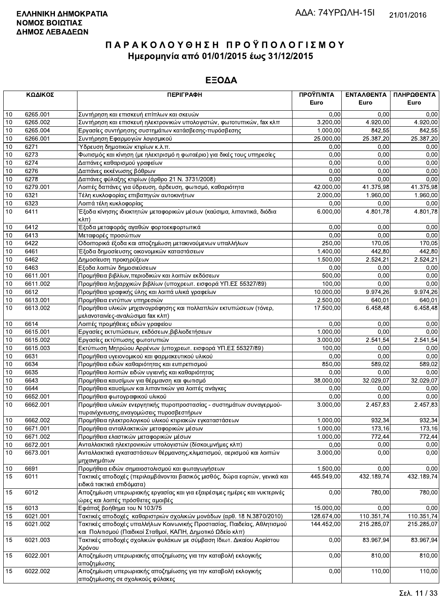|            | ΚΩΔΙΚΟΣ              | <b>ПЕРІГРАФН</b>                                                                                                                       | ΠΡΟΫΠ/ΝΤΑ<br>Euro    | ΕΝΤΑΛΘΕΝΤΑ<br>Euro | ΠΛΗΡΩΘΕΝΤΑ<br>Euro |
|------------|----------------------|----------------------------------------------------------------------------------------------------------------------------------------|----------------------|--------------------|--------------------|
| 10         | 6265.001             | Συντήρηση και επισκευή επίπλων και σκευών                                                                                              | 0,00                 | 0.00               | 0,00               |
| 10         | 6265.002             | Συντήρηση και επισκευή ηλεκτρονικών υπολογιστών, φωτοτυπικών, fax κλπ                                                                  | 3.200,00             | 4.920.00           | 4.920,00           |
| 10         | 6265.004             | Εργασίες συντήρησης συστημάτων κατάσβεσης-πυρόσβεσης                                                                                   | 1.000,00             | 842,55             | 842,55             |
| 10         | 6266.001             | Συντήρηση Εφαρμογών λογισμικού                                                                                                         | 25.000.00            | 25.387,20          | 25.387,20          |
| 10         | 6271                 | Ύδρευση δημοτικών κτιρίων κ.λ.π.                                                                                                       | 0,00                 | 0,00               | 0,00               |
| 10         | 6273                 | Φωτισμός και κίνηση (με ηλεκτρισμό η φωταέριο) για δικές τους υπηρεσίες                                                                | 0,00                 | 0.00               | 0,00               |
| 10         | 6274                 | Δαπάνες καθαρισμού γραφείων                                                                                                            | 0,00                 | 0,00               | 0,00               |
| 10         | 6276                 | Δαπάνες εκκένωσης βόθρων                                                                                                               | 0,00                 | 0,00               | 0,00               |
| 10         | 6278                 | Δαπάνες φύλαξης κτιρίων (άρθρο 21 Ν. 3731/2008)                                                                                        | 0,00                 | 0,00               | 0,00               |
| 10         | 6279.001             | Λοιπές δαπάνες για ύδρευση, άρδευση, φωτισμό, καθαριότητα                                                                              | 42.000,00            | 41.375,98          | 41.375,98          |
| $10$       | 6321                 | Τέλη κυκλοφορίας επιβατηγών αυτοκινήτων                                                                                                | 2.000,00             | 1.960,00           | 1.960,00           |
| 10         | 6323                 | Λοιπά τέλη κυκλοφορίας                                                                                                                 | 0,00                 | 0,00               | 0,00               |
| 10         | 6411                 | Έξοδα κίνησης ιδιοκτητών μεταφορικών μέσων (καύσιμα, λιπαντικά, διόδια<br>$\kappa\lambda\pi$ )                                         | 6.000,00             | 4.801,78           | 4.801,78           |
| 10         | 6412                 | Έξοδα μεταφοράς αγαθών φορτοεκφορτωτικά                                                                                                | 0,00                 | 0.00               | 0,00               |
| $10$       | 6413                 | Μεταφορές προσώπων                                                                                                                     | 0,00                 | 0.00               | 0,00               |
| 10         | 6422                 | Οδοιπορικά έξοδα και αποζημίωση μετακινούμενων υπαλλήλων                                                                               | 250.00               | 170.05             | 170,05             |
| 10         | 6461                 | Έξοδα δημοσίευσης οικονομικών καταστάσεων                                                                                              | 1.400,00             | 442.80             | 442,80             |
| $10$       | 6462                 | Δημοσίευση προκηρύξεων                                                                                                                 | 1.500.00             | 2.524,21           | 2.524,21           |
| 10         | 6463                 | Εξοδα λοιπών δημοσιεύσεων                                                                                                              | 0,00                 | 0,00               | 0,00               |
| 10         | 6611.001             | Προμήθεια βιβλίων, περιοδικών και λοιπών εκδόσεων                                                                                      | 500,00               | 0,00               | 0,00               |
| 10         | 6611.002             | Προμήθεια ληξιαρχικών βιβλίων (υποχρεωτ. εισφορά ΥΠ.ΕΣ 55327/89)                                                                       | 100,00               | 0,00               | 0,00               |
| 10         | 6612                 | Προμήθεια γραφικής ύλης και λοιπά υλικά γραφείων                                                                                       | 10.000,00            | 9.974,26           | 9.974,26           |
| $10$       | 6613.001             | Προμήθεια εντύπων υπηρεσιών                                                                                                            | 2.500,00             | 640.01             | 640,01             |
| 10         | 6613.002             | Προμήθεια υλικών μηχανογράφησης και πολλαπλών εκτυπώσεων (τόνερ,<br>μελανοταινίες-αναλώσιμα fax κλπ)                                   | 17.500,00            | 6.458,48           | 6.458,48           |
| 10         | 6614                 | Λοιπές προμήθειες ειδών γραφείου                                                                                                       | 0,00                 | 0,00               | 0,00               |
| 10         | 6615.001             | Εργασίες εκτυπώσεων, εκδόσεων, βιβλιοδετήσεων                                                                                          | 1.000,00             | 0,00               | 0,00               |
| 10         | 6615.002             | Εργασίες εκτύπωσης φωτοτυπιών                                                                                                          | 3.000,00             | 2.541,54           | 2.541,54           |
| 10         | 6615.003             | Εκτύπωση Μητρώου Αρρένων (υποχρεωτ. εισφορά ΥΠ.ΕΣ 55327/89)                                                                            | 100,00               | 0,00               | 0,00               |
| $10$       | 6631                 | Προμήθεια υγειονομικού και φαρμακευτικού υλικού                                                                                        | 0,00                 | 0,00               | 0,00               |
| 10         | 6634                 | Προμήθεια ειδών καθαριότητας και ευπρεπισμού                                                                                           | 850,00               | 589,02             | 589,02             |
| 10         | 6635                 | Προμήθεια λοιπών ειδών υγιεινής και καθαριότητας                                                                                       | 0,00                 | 0,00               | 0,00               |
| 10         | 6643                 | Προμήθεια καυσίμων για θέρμανση και φωτισμό                                                                                            | 38.000,00            | 32.029,07          | 32.029,07          |
| $10$       | 6644                 | Προμήθεια καυσίμων και λιπαντικών για λοιπές ανάγκες                                                                                   | 0,00                 | 0,00               | 0,00               |
| $10$<br>10 | 6652.001<br>6662.001 | Προμήθεια φωτογραφικού υλικού<br>Προμήθεια υλικών ενεργητικής πυροπροστασίας - συστημάτων συναγερμού-                                  | 0,00<br>3.000,00     | 0,00<br>2.457,83   | 0,00<br>2.457,83   |
|            |                      | πυρανίχνευσης, αναγομώσεις πυροσβεστήρων                                                                                               |                      |                    |                    |
| $10$       | 6662.002<br>6671.001 | Προμήθεια ηλεκτρολογικού υλικού κτιριακών εγκαταστάσεων<br>Προμήθεια ανταλλακτικών μεταφορικών μέσων                                   | 1.000,00<br>1.000,00 | 932,34<br>173,16   | 932,34<br>173,16   |
| 10<br>10   | 6671.002             | Προμήθεια ελαστικών μεταφορικών μέσων                                                                                                  | 1.000,00             | 772,44             | 772,44             |
| 10         | 6672.001             | Ανταλλακτικά ηλεκτρονικών υπολογιστών (δίσκοι, μνήμες κλπ)                                                                             | 0,00                 | 0,00               | 0,00               |
| 10         | 6673.001             | Ανταλλακτικά εγκαταστάσεων θέρμανσης, κλιματισμού, αερισμού και λοιπών                                                                 | 3.000,00             | 0,00               | 0,00               |
|            |                      | μηχανημάτων                                                                                                                            |                      |                    |                    |
| $10$       | 6691                 | Προμήθεια ειδών σημαιοστολισμού και φωταγωγήσεων                                                                                       | 1.500,00             | 0,00               | 0,00               |
| 15         | 6011                 | Τακτικές αποδοχές (περιλαμβάνονται βασικός μισθός, δώρα εορτών, γενικά και<br>ειδικά τακτικά επιδόματα)                                | 445.549,00           | 432.189,74         | 432.189,74         |
| 15         | 6012                 | Αποζημίωση υπερωριακής εργασίας και για εξαιρέσιμες ημέρες και νυκτερινές<br>ώρες και λοιπές πρόσθετες αμοιβές                         | 0,00                 | 780,00             | 780,00             |
| 15         | 6013                 | Εφάπαξ βοήθημα του Ν 103/75                                                                                                            | 15.000,00            | 0,00               | 0,00               |
| 15         | 6021.001             | Τακτικές αποδοχές καθαριστριών σχολικών μονάδων (αρθ. 18 Ν.3870/2010)                                                                  | 128.674,00           | 110.351,74         | 110.351,74         |
| 15         | 6021.002             | Τακτικές αποδοχές υπαλλήλων Κοινωνικής Προστασίας, Παιδείας, Αθλητισμού<br>και Πολιτισμού (Παιδικοί Σταθμοί, ΚΑΠΗ, Δημοτικό Ωδείο κλπ) | 144.452,00           | 215.285,07         | 215.285,07         |
| 15         | 6021.003             | Τακτικές αποδοχές σχολικών φυλάκων με σύμβαση Ιδιωτ. Δικαίου Αορίστου<br>Χρόνου                                                        | 0,00                 | 83.967,94          | 83.967,94          |
| 15         | 6022.001             | Αποζημίωση υπερωριακής αποζημίωσης για την καταβολή εκλογικής<br>αποζημίωσης                                                           | 0,00                 | 810,00             | 810,00             |
| 15         | 6022.002             | Αποζημίωση υπερωριακής αποζημίωσης για την καταβολή εκλογικής<br>αποζημίωσης σε σχολικούς φύλακες.                                     | 0,00                 | 110,00             | 110,00             |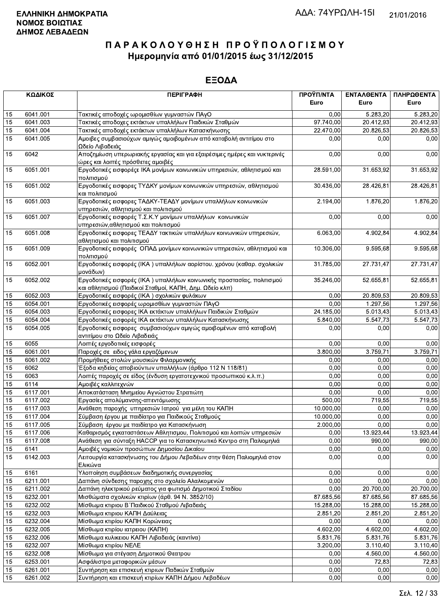|          | ΚΩΔΙΚΟΣ          | <b>ПЕРІГРАФН</b>                                                                                                                  | ΠΡΟΫΠ/ΝΤΑ<br>Euro | ΕΝΤΑΛΘΕΝΤΑ<br>Euro | ΠΛΗΡΩΘΕΝΤΑ<br>Euro |
|----------|------------------|-----------------------------------------------------------------------------------------------------------------------------------|-------------------|--------------------|--------------------|
| 15       | 6041.001         | Τακτικές αποδοχές ωρομισθίων γυμναστών ΠΑγΟ                                                                                       | 0,00              | 5.283.20           | 5.283,20           |
| 15       | 6041.003         | Τακτικές αποδοχες εκτάκτων υπαλλήλων Παιδικών Σταθμών                                                                             | 97.740,00         | 20.412,93          | 20.412,93          |
| 15       | 6041.004         | Τακτικές αποδοχές εκτάκτων υπαλλήλων Κατασκήνωσης                                                                                 | 22.470,00         | 20.826,53          | 20.826,53          |
| 15       | 6041.005         | Αμοιβες συμβασιούχων αμιγώς αμοιβομένων από καταβολή αντιτίμου στο<br>Ωδείο Λιβαδειάς                                             | 0,00              | 0,00               | 0,00               |
| 15       | 6042             | Αποζημίωση υπερωριακής εργασίας και για εξαιρέσιμες ημέρες και νυκτερινές<br>ώρες και λοιπές πρόσθετες αμοιβές                    | 0,00              | 0,00               | 0,00               |
| 15       | 6051.001         | Εργοδοτικές εισφορέςε ΙΚΑ μονίμων κοινωνικών υπηρεσιών, αθλητισμού και<br>πολιτισμού                                              | 28.591,00         | 31.653,92          | 31.653,92          |
| 15       | 6051.002         | Εργοδοτικές εισφορες ΤΥΔΚΥ μονίμων κοινωνικών υπηρεσιών, αθλητισμού<br>και πολιτισμού                                             | 30.436,00         | 28.426,81          | 28.426,81          |
| 15       | 6051.003         | Εργοδοτικές εισφορες ΤΑΔΚΥ-ΤΕΑΔΥ μονίμων υπαλλήλων κοινωνικών<br>υπηρεσιών, αθλητισμού και πολιτισμού                             | 2.194,00          | 1.876,20           | 1.876,20           |
| 15       | 6051.007         | Εργοδοτικές εισφορές Τ.Σ.Κ.Υ μονίμων υπαλλήλων κοινωνικών<br>υπηρεσιών, αθλητισμού και πολιτισμού                                 | 0,00              | 0,00               | 0,00               |
| 15       | 6051.008         | Εργοδοτικές εισφορες ΤΕΑΔΥ τακτικών υπαλλήλων κοινωνικών υπηρεσιών,<br>αθλητισμού και πολιτισμού                                  | 6.063,00          | 4.902,84           | 4.902,84           |
| 15       | 6051.009         | Εργοδοτικές εισφορές ΟΠΑΔ μονίμων κοινωνικών υπηρεσιών, αθλητισμού και<br>πολιτισμού                                              | 10.306,00         | 9.595,68           | 9.595,68           |
| 15       | 6052.001         | Εργοδοτικές εισφορές (ΙΚΑ) υπαλλήλων αορίστου. χρόνου (καθαρ. σχολικών<br>μονάδων)                                                | 31.785,00         | 27.731,47          | 27.731,47          |
| 15       | 6052.002         | Εργοδοτικές εισφορές (ΙΚΑ) υπαλλήλων κοινωνικής προστασίας, πολιτισμού<br>και αθλητισμού (Παιδικοί Σταθμοί, ΚΑΠΗ, Δημ. Ωδείο κλπ) | 35.246,00         | 52.655,81          | 52.655,81          |
| 15       | 6052.003         | Εργοδοτικές εισφορές (ΙΚΑ) σχολικών φυλάκων                                                                                       | 0.00              | 20.809,53          | 20.809,53          |
| 15       | 6054.001         | Εργοδοτικές εισφορές ωρομισθίων γυμναστών ΠΑγΟ                                                                                    | 0,00              | 1.297,56           | 1.297,56           |
| 15       | 6054.003         | Εργοδοτικές εισφορες ΙΚΑ εκτάκτων υπαλλήλων Παιδικών Σταθμών                                                                      | 24.185,00         | 5.013,43           | 5.013,43           |
| 15       | 6054.004         | Εργοδοτικές εισφορές ΙΚΑ εκτάκτων υπαλλήλων Κατασκήνωσης                                                                          | 5.840,00          | 5.547,73           | 5.547,73           |
| 15       | 6054.005         | Εργοδοτικές εισφορες συμβασιούχων αμιγώς αμοιβομένων από καταβολή<br>αντιτίμου στο Ωδείο Λιβαδειάς                                | 0,00              | 0,00               | 0,00               |
| 15       | 6055             | Λοιπές εργοδοτικές εισφορές                                                                                                       | 0.00              | 0,00               | 0,00               |
| 15       | 6061.001         | Παροχές σε ειδος γάλα εργαζόμενων                                                                                                 | 3.800,00          | 3.759,71           | 3.759,71           |
| 15       | 6061.002         | Προμήθειες στολών μουσικών Φιλαρμονικής                                                                                           | 0,00              | 0,00               | 0,00               |
| 15       | 6062             | Έξοδα κηδείας αποβιούντων υπαλλήλων (άρθρο 112 Ν 118/81)                                                                          | 0,00              | 0.00               | 0.00               |
| 15       | 6063             | Λοιπές παροχές σε είδος (ένδυση εργατοτεχνικού προσωπικού κ.λ.π.)                                                                 | 0,00              | 0,00               | 0,00               |
| 15       | 6114             | Αμοιβές καλλιτεχνών                                                                                                               | 0.00              | 0,00               | 0,00               |
| 15       | 6117.001         | Αποκατάσταση Μνημείου Αγνώστου Στρατιώτη                                                                                          | 0,00              | 0,00               | 0,00               |
| 15       | 6117.002         | Εργασίες απολύμανσης-απεντόμωσης                                                                                                  | 500,00            | 719,55             | 719,55             |
| 15       | 6117.003         | Ανάθεση παροχής υπηρεσιών Ιατρού για μέλη του ΚΑΠΗ                                                                                | 10.000,00         | 0,00               | 0,00               |
| 15       | 6117.004         | Σύμβαση έργου με παιδίατρο για Παιδικούς Σταθμούς                                                                                 | 10.000,00         | 0,00               | 0,00               |
| 15       | 6117.005         | Σύμβαση έργου με παιδίατρο για Κατασκήνωση                                                                                        | 2.000,00          | 0,00               | 0,00               |
| 15       | 6117.006         | Καθαρισμός εγκαταστάσεων Αθλητισμου, Πολιτισμού και λοιπών υπηρεσιών                                                              | 0,00              | 13.923,44          | 13.923,44          |
| 15<br>15 | 6117.008         | Ανάθεση για σύνταξη ΗΑCCP για το Κατασκηνωτικό Κεντρο στη Παλιομηλιά<br>Αμοιβές νομικών προσώπων Δημοσίου Δικαίου                 | 0,00<br>0,00      | 990,00<br>0,00     | 990,00             |
| 15       | 6141<br>6142.003 | Λειτουργία κατασκήνωσης του Δήμου Λεβαδέων στην θέση Παλιομηλιά στον<br>Ελικώνα                                                   | 0,00              | 0,00               | 0,00<br>0,00       |
| 15       | 6161             | Υλοποίηση συμβάσεων διαδημοτικής συνεργασίας                                                                                      | 0,00              | 0,00               | 0,00               |
| 15       | 6211.001         | Δαπάνη σύνδεσης παροχης στο σχολείο Αλαλκομενών                                                                                   | 0,00              | 0,00               | 0,00               |
| 15       | 6211.002         | Δαπάνη ηλεκτρικού ρεύματος για φωτισμό Δημοτικού Σταδίου                                                                          | 0,00              | 20.700,00          | 20.700,00          |
| 15       | 6232.001         | Μισθώματα σχολικών κτιρίων (άρθ. 94 Ν. 3852/10)                                                                                   | 87.685,56         | 87.685,56          | 87.685,56          |
| 15       | 6232.002         | Μίσθωμα κτιριου Β΄ Παιδικού Σταθμού Λιβαδειάς                                                                                     | 15.288,00         | 15.288,00          | 15.288,00          |
| 15       | 6232.003         | Μίσθωμα κτιριου ΚΑΠΗ Δαύλειας                                                                                                     | 2.851,20          | 2.851,20           | 2.851,20           |
| 15       | 6232.004         | Μίσθωμα κτιρίου ΚΑΠΗ Κορώνειας                                                                                                    | 0,00              | 0,00               | 0,00               |
| 15       | 6232.005         | Μίσθωμα κτιρίου ιατρειου (ΚΑΠΗ)                                                                                                   | 4.602,00          | 4.602,00           | 4.602,00           |
| 15       | 6232.006         | Μίσθωμα κυλικειου ΚΑΠΗ Λιβαδειάς (καντίνα)                                                                                        | 5.831,76          | 5.831,76           | 5.831,76           |
| 15       | 6232.007         | Μίσθωμα κτιρίου ΝΕΛΕ                                                                                                              | 3.200,00          | 3.110,40           | 3.110,40           |
| 15       | 6232.008         | Μίσθωμα για στέγαση Δημοτικού Θεατρου                                                                                             | 0,00              | 4.560,00           | 4.560,00           |
| 15       | 6253.001         | Ασφάλιστρα μεταφορικών μέσων                                                                                                      | 0,00              | 72,83              | 72,83              |
| 15       | 6261.001         | Συντήρηση και επισκευή κτιριων Παδικών Σταθμών                                                                                    | 0,00              | 0,00               | 0,00               |
| 15       | 6261.002         | Συντήρηση και επισκευή κτιρίων ΚΑΠΗ Δήμου Λεβαδέων                                                                                | 0,00              | 0,00               | 0,00               |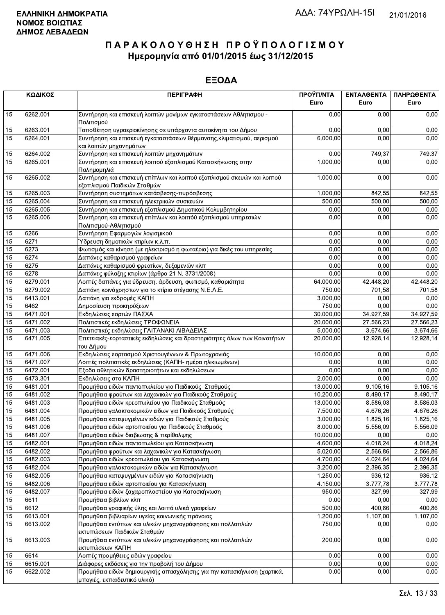|    | ΚΩΔΙΚΟΣ              | <b>ПЕРІГРАФН</b>                                                                                       | ΠΡΟΫΠ/ΝΤΑ<br>Euro | ΕΝΤΑΛΘΕΝΤΑ<br>Euro | ΠΛΗΡΩΘΕΝΤΑ<br>Euro |
|----|----------------------|--------------------------------------------------------------------------------------------------------|-------------------|--------------------|--------------------|
| 15 | 6262.001             | Συντήρηση και επισκευή λοιπών μονίμων εγκαταστάσεων Αθλητισμου -<br>Πολιτισμού                         | 0.00              | 0.00               | 0,00               |
| 15 | 6263.001             | Τοποθέτηση υγραεριοκίνησης σε υπάρχοντα αυτοκίνητα του Δήμου                                           | 0,00              | 0,00               | 0,00               |
| 15 | 6264.001             | Συντήρηση και επισκευή εγκαταστάσεων θέρμανσης, κλιματισμού, αερισμού<br>και λοιπών μηχανημάτων        | 6.000,00          | 0,00               | 0,00               |
| 15 | 6264.002             | Συντήρηση και επισκευή λοιπών μηχανημάτων                                                              | 0,00              | 749,37             | 749,37             |
| 15 | 6265.001             | Συντήρηση και επισκευή λοιπού εξοπλισμού Κατασκήνωσης στην<br>Παλημομηλιά                              | 1.000,00          | 0,00               | 0,00               |
| 15 | 6265.002             | Συντήρηση και επισκευή επίπλων και λοιπού εξοπλισμού σκευών και λοιπού<br>εξοπλισμού Παιδικών Σταθμών  | 1.000,00          | 0,00               | 0,00               |
| 15 | 6265.003             | Συντήρηση συστημάτων κατάσβεσης-πυρόσβεσης                                                             | 1.000,00          | 842,55             | 842,55             |
| 15 | 6265.004             | Συντήρηση και επισκευή ηλεκτρικών συσκευών                                                             | 500,00            | 500,00             | 500,00             |
| 15 | 6265.005             | Συντήρηση και επισκευή εξοπλισμού Δημοτικού Κολυμβητηρίου                                              | 0,00              | 0,00               | 0,00               |
| 15 | 6265.006             | Συντήρηση και επισκευή επίπλων και λοιπόύ εξοπλισμού υπηρεσιών<br>Πολιτισμού-Αθλητισμού                | 0,00              | 0,00               | 0,00               |
| 15 | 6266                 | Συντήρηση Εφαρμογών λογισμικού                                                                         | 0,00              | 0,00               | 0,00               |
| 15 | 6271                 | Υδρευση δημοτικών κτιρίων κ.λ.π.                                                                       | 0,00              | 0,00               | 0,00               |
| 15 | 6273                 | Φωτισμός και κίνηση (με ηλεκτρισμό η φωταέριο) για δικές του υπηρεσίες                                 | 0,00              | 0,00               | 0,00               |
| 15 | 6274                 | Δαπάνες καθαρισμού γραφείων                                                                            | 0,00              | 0,00               | 0,00               |
| 15 | 6275                 | Δαπάνες καθαρισμού φρεατίων, δεξαμενών κλπ                                                             | 0,00              | 0,00               | 0,00               |
| 15 | 6278                 | Δαπάνες φύλαξης κτιρίων (άρθρο 21 Ν. 3731/2008)                                                        | 0,00              | 0,00               | 0,00               |
| 15 | 6279.001             | Λοιπές δαπάνες για ύδρευση, άρδευση, φωτισμό, καθαριότητα                                              | 64.000,00         | 42.448,20          | 42.448,20          |
| 15 | 6279.002             | Δαπάνη κοινόχρηστων για το κτίριο στέγασης Ν.Ε.Λ.Ε.                                                    | 750,00            | 701,58             | 701,58             |
| 15 | 6413.001             | Δαπάνη για εκδρομές ΚΑΠΗ                                                                               | 3.000,00          | 0,00               | 0,00               |
| 15 | 6462                 | Δημοσίευση προκηρύξεων                                                                                 | 750,00            | 0,00               | 0,00               |
| 15 | 6471.001             | Εκδηλώσεις εορτών ΠΑΣΧΑ                                                                                | 30.000,00         | 34.927,59          | 34.927,59          |
| 15 | 6471.002             | Πολιτιστικές εκδηλώσεις ΤΡΟΦΩΝΕΙΑ                                                                      | 20.000,00         | 27.566,23          | 27.566,23          |
| 15 | 6471.003             | Πολιτιστικές εκδηλώσεις ΓΑΙΤΑΝΑΚΙ ΛΙΒΑΔΕΙΑΣ                                                            | 5.000,00          | 3.674,66           | 3.674,66           |
| 15 | 6471.005             | Επετειακές-εορταστικές εκδηλώσεις και δραστηριότητες όλων των Κοινοτήτων<br>του Δήμου                  | 20.000,00         | 12.928,14          | 12.928,14          |
| 15 | 6471.006             | Εκδηλώσεις εορτασμού Χριστουγέννων & Πρωτοχρονιάς                                                      | 10.000,00         | 0,00               | 0,00               |
| 15 | 6471.007             | Λοιπές πολιτιστικές εκδηλώσεις (ΚΑΠΗ- ημέρα ηλικιωμένων)                                               | 0,00              | 0,00               | 0,00               |
| 15 | 6472.001             | Εξοδα αθλητικών δραστηριοτήτων και εκδηλώσεων                                                          | 0,00              | 0,00               | 0,00               |
| 15 | 6473.301             | Εκδηλώσεις στα ΚΑΠΗ                                                                                    | 2.000,00          | 0,00               | 0,00               |
| 15 | 6481.001             | Προμήθεια ειδών παντοπωλείου για Παιδικούς Σταθμούς                                                    | 13.000,00         | 9.105,16           | 9.105,16           |
| 15 | 6481.002             | Προμήθεια φρούτων και λαχανικών για Παιδικούς Σταθμούς                                                 | 10.200,00         | 8.490,17           | 8.490,17           |
| 15 | 6481.003             | Προμήθεια ειδών κρεοπωλείου για Παιδικούς Σταθμούς                                                     | 13.000,00         | 8.586,03           | 8.586,03           |
| 15 | 6481.004             | Προμήθεια γαλακτοκομικών ειδων για Παιδικούς Σταθμούς                                                  | 7.500,00          | 4.676,26           | 4.676,26           |
| 15 | 6481.005             | Προμήθεια κατεψυγμένων ειδών για Παιδικούς Σταθμούς                                                    | 3.000,00          | 1.825, 16          | 1.825,16           |
|    |                      |                                                                                                        |                   |                    |                    |
| 15 | 6481.006<br>6481.007 | Προμήθεια ειδών αρτοποιείου για Παιδικούς Σταθμούς                                                     | 8.000,00          | 5.556,09           | 5.556,09           |
| 15 |                      | Προμήθεια ειδών διαβιωσης & περίθαλψης                                                                 | 10.000,00         | 0,00               | 0,00               |
| 15 | 6482.001             | Προμήθεια ειδών παντοπωλείου για Κατασκήνωση                                                           | 4.600,00          | 4.018,24           | 4.018,24           |
| 15 | 6482.002             | Προμήθεια φρούτων και λαχανικών για Κατασκήνωση                                                        | 5.020,00          | 2.566,86           | 2.566,86           |
| 15 | 6482.003             | Προμήθεια ειδών κρεοπωλείου για Κατασκήνωση                                                            | 4.700,00          | 4.024,64           | 4.024,64           |
| 15 | 6482.004             | Προμήθεια γαλακτοκομικών ειδών για Κατασκήνωση                                                         | 3.200,00          | 2.396,35           | 2.396,35           |
| 15 | 6482.005             | Προμήθεια κατεψυγμένων ειδών για Κατασκήνωση                                                           | 1.250,00          | 936,12             | 936,12             |
| 15 | 6482.006             | Προμήθεια ειδών αρτοποιείου για Κατασκήνωση                                                            | 4.150,00          | 3.777,78           | 3.777,78           |
| 15 | 6482.007             | Προμήθεια ειδών ζαχαροπλαστείου για Κατασκήνωση                                                        | 950,00            | 327,99             | 327,99             |
| 15 | 6611                 | Προμήθεια βιβλίων κλπ                                                                                  | 0,00              | 0,00               | 0,00               |
| 15 | 6612                 | Προμήθεια γραφικής ύλης και λοιπά υλικά γραφείων                                                       | 500,00            | 400,86             | 400,86             |
| 15 | 6613.001             | Προμήθεια βιβλιαρίων υγείας κοινωνικής πρόνοιας                                                        | 1.200,00          | 1.107,00           | 1.107,00           |
| 15 | 6613.002             | Προμήθεια εντύπων και υλικών μηχανογράφησης και πολλαπλών<br>εκτυπώσεων Παιδικών Σταθμών               | 750,00            | 0,00               | 0,00               |
| 15 | 6613.003             | Προμήθεια εντύπων και υλικών μηχανογράφησης και πολλαπλών<br>εκτυπώσεων ΚΑΠΗ                           | 200,00            | 0,00               | 0,00               |
| 15 | 6614                 | Λοιπές προμήθειες ειδών γραφείου                                                                       | 0,00              | 0,00               | 0,00               |
| 15 | 6615.001             | Διάφορες εκδόσεις για την προβολή του Δήμου                                                            | 0,00              | 0,00               | 0,00               |
| 15 | 6622.002             | Προμήθεια ειδών δημιουργικής απασχόλησης για την κατασκήνωση (χαρτικά,<br>μπογιές, εκπαιδευτικό υλικό) | 0,00              | 0,00               | 0,00               |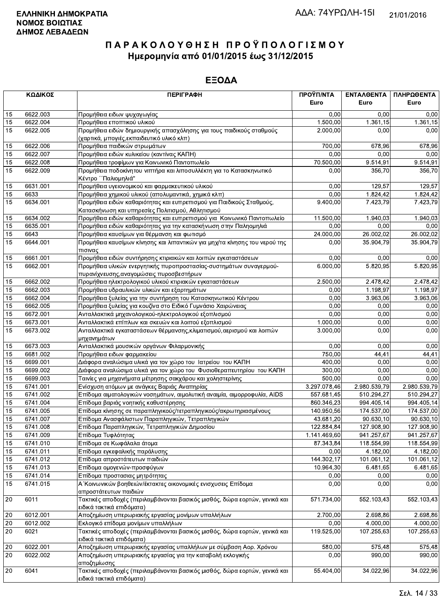|    | ΚΩΔΙΚΟΣ  | <b>ПЕРІГРАФН</b>                                                                                                         | ΠΡΟΫΠ/ΝΤΑ    | ΕΝΤΑΛΘΕΝΤΑ   | ΠΛΗΡΩΘΕΝΤΑ   |
|----|----------|--------------------------------------------------------------------------------------------------------------------------|--------------|--------------|--------------|
|    |          |                                                                                                                          | Euro         | Euro         | Euro         |
| 15 | 6622.003 | Προμήθεια ειδων ψυχαγωγίας                                                                                               | 0.00         | 0.00         | 0,00         |
| 15 | 6622.004 | Προμήθεια εποπτικού υλικού                                                                                               | 1.500,00     | 1.361,15     | 1.361,15     |
| 15 | 6622.005 | Προμήθεια ειδών δημιουργικής απασχόλησης για τους παιδικούς σταθμούς<br>(χαρτικά, μπογιές, εκπαιδευτικό υλικό κλπ)       | 2.000,00     | 0,00         | 0,00         |
| 15 | 6622.006 | Προμήθεια παιδικών στρωμάτων                                                                                             | 700,00       | 678,96       | 678,96       |
| 15 | 6622.007 | Προμήθεια ειδών κυλικείου (καντίνας ΚΑΠΗ)                                                                                | 0,00         | 0,00         | 0,00         |
| 15 | 6622.008 | Προμήθεια τροφίμων για Κοινωνικό Παντοπωλείο                                                                             | 70.500,00    | 9.514,91     | 9.514,91     |
| 15 | 6622.009 | Προμήθεια ποδοκίνητου νιπτήρα και λιποσυλλέκτη για το Κατασκηνωτικό<br>Κέντρο ΄ Παλιομηλιά"                              | 0,00         | 356,70       | 356,70       |
| 15 | 6631.001 | Προμήθεια υγειονομικού και φαρμακευτικού υλικού                                                                          | 0,00         | 129.57       | 129,57       |
| 15 | 6633     | Προμήθεια χημικού υλικού (απολυμαντικά, χημικά κλπ)                                                                      | 0,00         | 1.824,42     | 1.824,42     |
| 15 | 6634.001 | Προμήθεια ειδών καθαριότητας και ευπρεπισμού για Παιδικούς Σταθμούς,<br>Κατασκήνωση και υπηρεσίες Πολιτισμού, Αθλητισμού | 9.400,00     | 7.423,79     | 7.423,79     |
| 15 | 6634.002 | Προμήθεια ειδών καθαριότητας και ευπρεπισμού για Κοινωνικό Παντοπωλείο                                                   | 11.500,00    | 1.940,03     | 1.940,03     |
| 15 | 6635.001 | Προμήθεια ειδών καθαριότητας για την κατασκήνωση στην Παληομηλιά                                                         | 0,00         | 0,00         | 0,00         |
| 15 | 6643     | Προμήθεια καυσίμων για θέρμανση και φωτισμό                                                                              | 24.000,00    | 26.002,02    | 26.002,02    |
| 15 | 6644.001 | Προμήθεια καυσίμων κίνησης και λιπαντικών για μηχ/τα κίνησης του νερού της<br>πισινας                                    | 0,00         | 35.904,79    | 35.904,79    |
| 15 | 6661.001 | Προμήθεια ειδών συντήρησης κτιριακών και λοιπών εγκαταστάσεων                                                            | 0.00         | 0.00         | 0,00         |
| 15 | 6662.001 | Προμήθεια υλικών ενεργητικής πυροπροστασίας-συστημάτων συναγερμού-<br>πυρανίχνευσης, αναγομώσεις πυροσβεστήρων           | 6.000,00     | 5.820,95     | 5.820,95     |
| 15 | 6662.002 | Προμήθεια ηλεκτρολογικού υλικού κτιριακών εγκαταστάσεων                                                                  | 2.500,00     | 2.478,42     | 2.478,42     |
| 15 | 6662.003 | Προμήθεια υδραυλικών υλικών και εξαρτημάτων                                                                              | 0,00         | 1.198,97     | 1.198,97     |
| 15 | 6662.004 | Προμήθεια ξυλείας για την συντήρηση του Κατασκηνωτικού Κέντρου                                                           | 0,00         | 3.963,06     | 3.963,06     |
| 15 | 6662.005 | Προμήθεια ξυλείας για κουζίνα στο Ειδικό Γυμνάσιο Χαιρώνειας                                                             | 0,00         | 0,00         | 0,00         |
| 15 | 6672.001 | Ανταλλακτικά μηχανολογικού-ηλεκτρολογικού εξοπλισμού                                                                     | 0,00         | 0,00         | 0,00         |
| 15 | 6673.001 | Ανταλλακτικά επίπλων και σκευών και λοιπού εξοπλισμού                                                                    | 1.000,00     | 0,00         | 0,00         |
| 15 | 6673.002 | Ανταλλακτικά εγκαταστάσεων θέρμανσης, κλιματισμού, αερισμού και λοιπών<br>μηχανημάτων                                    | 3.000,00     | 0,00         | 0,00         |
| 15 | 6673.003 | Ανταλλακτικά μουσικών οργάνων Φιλαρμονικής                                                                               | 0,00         | 0,00         | 0,00         |
| 15 | 6681.002 | Προμήθεια ειδων φαρμακείου                                                                                               | 750,00       | 44,41        | 44,41        |
| 15 | 6699.001 | Διάφορα αναλώσιμα υλικά για τον χώρο του Ιατρείου του ΚΑΠΗ                                                               | 400,00       | 0.00         | 0,00         |
| 15 | 6699.002 | Διάφορα αναλώσιμα υλικά για τον χώρο του Φυσιοθεραπευτηρίου του ΚΑΠΗ                                                     | 300,00       | 0.00         | 0,00         |
| 15 | 6699.003 | Ταινίες για μηχανήματα μέτρησης σακχάρου και χοληστερίνης                                                                | 500,00       | 0,00         | 0,00         |
| 15 | 6741.001 | Ενίσχυση ατόμων με ανάγκες Βαριάς Αναπηρίας                                                                              | 3.297.078,46 | 2.980.539,79 | 2.980.539,79 |
| 15 | 6741.002 | Επίδομα αιματολογικών νοσημάτων, αιμολυτική αναιμία, αιμορροφυλία, AIDS                                                  | 557.681,45   | 510.294,27   | 510.294,27   |
| 15 | 6741.004 | Επίδομα βαριάς νοητικής καθυστέρησης                                                                                     | 860.346,23   | 994.405,14   | 994.405,14   |
| 15 | 6741.005 | Επίδομα κίνησης σε παραπληγικούς/τετραπληγικούς/ακρωτηριασμένους                                                         | 140.950,56   | 174.537,00   | 174.537,00   |
| 15 | 6741.007 | Επίδομα Ανασφάλιστων Παραπληγικών, Τετραπληγικών                                                                         | 43.681,20    | 90.630,10    | 90.630,10    |
| 15 | 6741.008 | Επίδομα Παραπληγικών, Τετραπληγικών Δημοσίου                                                                             | 122.884,84   | 127.908,90   | 127.908,90   |
| 15 | 6741.009 | Επίδομα Τυφλότητας                                                                                                       | 1.141.469,60 | 941.257,67   | 941.257,67   |
| 15 | 6741.010 | Επίδομα σε Κωφάλαλα άτομα                                                                                                | 87.343,84    | 118.554,99   | 118.554,99   |
| 15 | 6741.011 | Επίδομα εγκεφαλικής παράλυσης                                                                                            | 0,00         | 4.182,00     | 4.182,00     |
| 15 | 6741.012 | Επίδομα απροστάτευτων παιδιών                                                                                            | 144.302,17   | 101.061,12   | 101.061,12   |
| 15 | 6741.013 | Επίδομα ομογενών-προσφύγων                                                                                               | 10.964,30    | 6.481,65     | 6.481,65     |
| 15 | 6741.014 | Επίδομα προστασιας μητρότητας                                                                                            | 0,00         | 0,00         | 0,00         |
| 15 | 6741.015 | Α Κοινωνικών βοηθειών/έκτακτες οικονομικές ενισχυσεις Επίδομα<br>απροστάτευτων παιδιών                                   | 0,00         | 0,00         | 0,00         |
| 20 | 6011     | Τακτικές αποδοχές (περιλαμβάνονται βασικός μισθός, δώρα εορτών, γενικά και<br>ειδικά τακτικά επιδόματα)                  | 571.734,00   | 552.103,43   | 552.103,43   |
| 20 | 6012.001 | Αποζημίωση υπερωριακής εργασίας μονίμων υπαλλήλων                                                                        | 2.700,00     | 2.698,86     | 2.698,86     |
| 20 | 6012.002 | Εκλογικό επίδομα μονίμων υπαλλήλων                                                                                       | 0,00         | 4.000,00     | 4.000,00     |
| 20 | 6021     | Τακτικές αποδοχές (περιλαμβάνονται βασικός μισθός, δώρα εορτών, γενικά και<br>ειδικά τακτικά επιδόματα)                  | 119.525,00   | 107.255,63   | 107.255,63   |
| 20 | 6022.001 | Αποζημίωση υπερωριακής εργασίας υπαλλήλων με σύμβαση Αορ. Χρόνου                                                         | 580,00       | 575,48       | 575,48       |
| 20 | 6022.002 | Αποζημίωση υπερωριακής εργασίας για την καταβολή εκλογικής<br>∣αποζημίωσης                                               | 0,00         | 990,00       | 990,00       |
| 20 | 6041     | Τακτικές αποδοχές (περιλαμβάνονται βασικός μισθός, δώρα εορτών, γενικά και<br>ειδικά τακτικά επιδόματα).                 | 55.404,00    | 34.022,96    | 34.022,96    |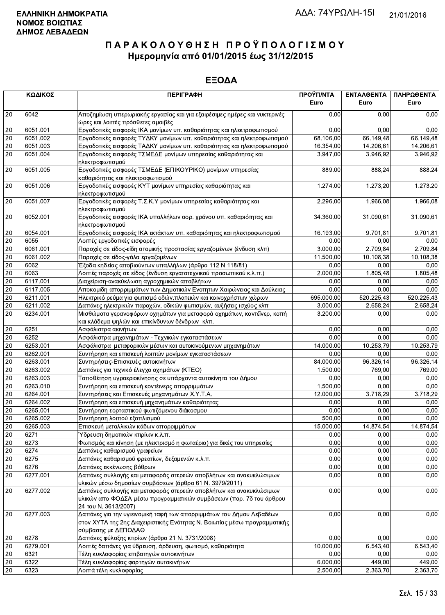|                 | ΚΩΔΙΚΟΣ  | <b>ПЕРІГРАФН</b>                                                                                                                                                         | ΠΡΟΫΠ/ΝΤΑ<br>Euro | ΕΝΤΑΛΘΕΝΤΑ<br>Euro | ΠΛΗΡΩΘΕΝΤΑ<br>Euro |
|-----------------|----------|--------------------------------------------------------------------------------------------------------------------------------------------------------------------------|-------------------|--------------------|--------------------|
| 20              | 6042     | Αποζημίωση υπερωριακής εργασίας και για εξαιρέσιμες ημέρες και νυκτερινές<br>ώρες και λοιπές πρόσθετες αμοιβές                                                           | 0,00              | 0.00               | 0,00               |
| 20              | 6051.001 | Εργοδοτικές εισφορές ΙΚΑ μονίμων υπ. καθαριότητας και ηλεκτροφωτισμού                                                                                                    | 0,00              | 0,00               | 0,00               |
| 20              | 6051.002 | Εργοδοτικές εισφορές ΤΥΔΚΥ μονίμων υπ. καθαριότητας και ηλεκτροφωτισμού                                                                                                  | 68.106,00         | 66.149,48          | 66.149,48          |
| $20\,$          | 6051.003 | Εργοδοτικές εισφορές ΤΑΔΚΥ μονίμων υπ. καθαριότητας και ηλεκτροφωτισμού                                                                                                  | 16.354,00         | 14.206,61          | 14.206,61          |
| 20              | 6051.004 | Εργοδοτικές εισφορές ΤΣΜΕΔΕ μονίμων υπηρεσίας καθαριότητας και                                                                                                           | 3.947,00          | 3.946,92           | 3.946,92           |
| $20\,$          | 6051.005 | ηλεκτροφωτισμού<br>Εργοδοτικές εισφορές ΤΣΜΕΔΕ (ΕΠΙΚΟΥΡΙΚΟ) μονίμων υπηρεσίας<br>καθαριότητας και ηλεκτροφωτισμού                                                        | 889,00            | 888,24             | 888,24             |
| 20              | 6051.006 | Εργοδοτικές εισφορές ΚΥΤ μονίμων υπηρεσίας καθαριότητας και                                                                                                              | 1.274,00          | 1.273,20           | 1.273,20           |
| 20              | 6051.007 | ηλεκτροφωτισμού<br>Εργοδοτικές εισφορές Τ.Σ.Κ.Υ μονίμων υπηρεσίας καθαριότητας και<br>ηλεκτροφωτισμού                                                                    | 2.296,00          | 1.966,08           | 1.966,08           |
| 20              | 6052.001 | Εργοδοτικές εισφορές ΙΚΑ υπαλλήλων αορ. χρόνου υπ. καθαριότητας και<br>ηλεκτροφωτισμού                                                                                   | 34.360,00         | 31.090,61          | 31.090,61          |
| 20              | 6054.001 | Εργοδοτικές εισφορές ΙΚΑ εκτάκτων υπ. καθαριότητας και ηλεκτροφωτισμού                                                                                                   | 16.193,00         | 9.701,81           | 9.701,81           |
| 20              | 6055     | Λοιπές εργοδοτικές εισφορές                                                                                                                                              | 0.00              | 0,00               | 0,00               |
| 20              | 6061.001 | Παροχές σε είδος-είδη ατομικής προστασίας εργαζομένων (ένδυση κλπ)                                                                                                       | 3.000,00          | 2.709,84           | 2.709,84           |
| 20              | 6061.002 | Παροχές σε είδος-γάλα εργαζομένων                                                                                                                                        | 11.500,00         | 10.108.38          | 10.108,38          |
| $20\,$          | 6062     | Έξοδα κηδείας αποβιούντων υπαλλήλων (άρθρο 112 Ν 118/81)                                                                                                                 | 0,00              | 0,00               | 0,00               |
| 20              | 6063     | Λοιπές παροχές σε είδος (ένδυση εργατοτεχνικού προσωπικού κ.λ.π.)                                                                                                        | 2.000,00          | 1.805,48           | 1.805,48           |
| 20              | 6117.001 | Διαχείριση-ανακύκλωση αγροχημικών αποβλήτων                                                                                                                              | 0.00              | 0,00               | 0,00               |
| 20              | 6117.005 | Αποκομιδη απορριμμάτων των Δημοτικών Ενοτητων Χαιρώνειας και Δαύλειας                                                                                                    | 0,00              | 0,00               | 0,00               |
| $20\,$          | 6211.001 | Ηλεκτρικό ρεύμα για φωτισμό οδών, πλατειών και κοινοχρήστων χώρων                                                                                                        | 695.000,00        | 520.225,43         | 520.225,43         |
| 20              | 6211.002 | Δαπάνες ηλεκτρικών παροχών, οδικών φωτισμών, αυξήσεις ισχύος κλπ                                                                                                         | 3.000,00          | 2.658,24           | 2.658,24           |
| 20              | 6234.001 | Μισθώματα γερανοφόρων οχημάτων για μεταφορά οχημάτων, κοντέϊνερ, κοπή<br>και κλάδεμα ψηλών και επικίνδυνων δένδρων κλπ.                                                  | 3.200,00          | 0,00               | 0,00               |
| 20              | 6251     | Ασφάλιστρα ακινήτων                                                                                                                                                      | 0,00              | 0,00               | 0,00               |
| 20              | 6252     | Ασφάλιστρα μηχανημάτων - Τεχνικών εγκαταστάσεων                                                                                                                          | 0,00              | 0,00               | 0,00               |
| 20              | 6253.001 | Ασφάλιστρα μεταφορικών μέσων και αυτοκινούμενων μηχανημάτων                                                                                                              | 14.000,00         | 10.253,79          | 10.253,79          |
| $20\,$          | 6262.001 | Συντήρηση και επισκευή λοιπών μονίμων εγκαταστάσεων                                                                                                                      | 0.00              | 0,00               | 0,00               |
| $20\,$          | 6263.001 | Συντηρήσεις-Επισκευές αυτοκινήτων                                                                                                                                        | 84.000,00         | 96.326,14          | 96.326,14          |
| 20              | 6263.002 | Δαπάνες για τεχνικό έλεγχο οχημάτων (ΚΤΕΟ)                                                                                                                               | 1.500,00          | 769,00             | 769,00             |
| $20\,$          | 6263.003 | Τοποθέτηση υγραεριοκίνησης σε υπάρχοντα αυτοκίνητα του Δήμου                                                                                                             | 0,00              | 0,00               | 0,00               |
| $\overline{20}$ | 6263.010 | Συντήρηση και επισκευή κοντέινερς απορριμμάτων                                                                                                                           | 1.500,00          | 0,00               | 0,00               |
| 20              | 6264.001 | Συντηρήσεις και Επισκευές μηχανημάτων Χ.Υ.Τ.Α.                                                                                                                           | 12.000,00         | 3.718,29           | 3.718,29           |
| 20              | 6264.002 | Συντήρηση και επισκευή μηχανημάτων καθαριότητας                                                                                                                          | 0,00              | 0,00               | 0,00               |
| 20              | 6265.001 | Συντήρηση εορταστικού φωτιζόμενου διάκοσμου                                                                                                                              | 0,00              | 0,00               | 0,00               |
| $20\,$          | 6265.002 | Συντήρηση λοιπού εξοπλισμού                                                                                                                                              | 500,00            | 0,00               | 0,00               |
| $\overline{20}$ | 6265.003 | Επισκευή μεταλλικών κάδων απορριμμάτων                                                                                                                                   | 15.000,00         | 14.874,54          | 14.874,54          |
| 20              | 6271     | Υδρευση δημοτικών κτιρίων κ.λ.π.                                                                                                                                         | 0,00              | 0,00               | 0,00               |
| 20              | 6273     | Φωτισμός και κίνηση (με ηλεκτρισμό η φωταέριο) για δικές του υπηρεσίες                                                                                                   | 0,00              | 0,00               | 0,00               |
| 20              | 6274     | Δαπάνες καθαρισμού γραφείων                                                                                                                                              | 0,00              | 0,00               | 0,00               |
| 20              | 6275     | Δαπάνες καθαρισμού φρεατίων, δεξαμενών κ.λ.π.                                                                                                                            | 0,00              | 0,00               | 0,00               |
| $20\,$          | 6276     | Δαπάνες εκκένωσης βόθρων                                                                                                                                                 | 0,00              | 0,00               | 0,00               |
| 20              | 6277.001 | Δαπάνες συλλογής και μεταφοράς στερεών αποβλήτων και ανακυκλώσιμων                                                                                                       | 0,00              | 0,00               | 0,00               |
|                 |          | υλικών μέσω δημοσίων συμβάσεων (άρθρο 61 Ν. 3979/2011)                                                                                                                   |                   |                    |                    |
| 20              | 6277.002 | Δαπάνες συλλογής και μεταφοράς στερεών αποβλήτων και ανακυκλώσιμων<br>υλικών απο ΦΟΔΣΑ μέσω προγραμματικών συμβάσεων (παρ. 7δ του άρθρου<br>24 του Ν. 3613/2007)         | 0,00              | 0,00               | 0,00               |
| 20              | 6277.003 | Δαπάνες για την υγιεινομική ταφή των απορριμμάτων του Δήμου Λεβαδέων<br>στον ΧΥΤΑ της 2ης Διαχειριστικής Ενότητας Ν. Βοιωτίας μέσω προγραμματικής<br>σύμβασης με ΔΕΠΟΔΑΘ | 0,00              | 0,00               | 0,00               |
| 20              | 6278     | Δαπάνες φύλαξης κτιρίων (άρθρο 21 Ν. 3731/2008)                                                                                                                          | 0,00              | 0,00               | 0,00               |
| 20              | 6279.001 | Λοιπές δαπάνες για ύδρευση, άρδευση, φωτισμό, καθαριότητα                                                                                                                | 10.000,00         | 6.543,40           | 6.543,40           |
| 20              | 6321     | Τέλη κυκλοφορίας επιβατηγών αυτοκινήτων                                                                                                                                  | 0,00              | 0,00               | 0,00               |
| 20              | 6322     | Τέλη κυκλοφορίας φορτηγών αυτοκινήτων                                                                                                                                    | 6.000,00          | 449,00             | 449,00             |
| 20              | 6323     | Λοιπά τέλη κυκλοφορίας                                                                                                                                                   | 2.500,00          | 2.363,70           | 2.363,70           |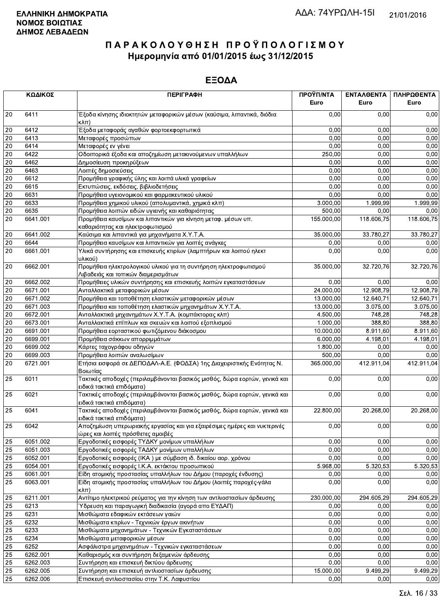|                 | ΚΩΔΙΚΟΣ  | <b>ПЕРІГРАФН</b>                                                                                               | ΠΡΟΫΠ/ΝΤΑ<br>Euro | ΕΝΤΑΛΘΕΝΤΑ<br>Euro | ΠΛΗΡΩΘΕΝΤΑ<br>Euro |
|-----------------|----------|----------------------------------------------------------------------------------------------------------------|-------------------|--------------------|--------------------|
| 20              | 6411     | Έξοδα κίνησης ιδιοκτητών μεταφορικών μέσων (καύσιμα, λιπαντικά, διόδια<br>κλπ)                                 | 0.00              | 0.00               | 0,00               |
| 20              | 6412     | Έξοδα μεταφοράς αγαθών φορτοεκφορτωτικά                                                                        | 0,00              | 0,00               | 0,00               |
| 20              | 6413     | Μεταφορές προσώπων                                                                                             | 0,00              | 0,00               | 0,00               |
| 20              | 6414     | Μεταφορές εν γένει                                                                                             | 0,00              | 0,00               | 0,00               |
| 20              | 6422     | Οδοιπορικά έξοδα και αποζημίωση μετακινούμενων υπαλλήλων                                                       | 250,00            | 0,00               | 0,00               |
| $20\,$          | 6462     | Δημοσίευση προκηρύξεων                                                                                         | 0,00              | 0,00               | 0,00               |
| 20              | 6463     | Λοιπές δημοσιεύσεις                                                                                            | 0,00              | 0,00               | 0,00               |
| 20              | 6612     | Προμήθεια γραφικής ύλης και λοιπά υλικά γραφείων                                                               | 0,00              | 0,00               | 0,00               |
| 20              | 6615     | Εκτυπώσεις, εκδόσεις, βιβλιοδετήσεις                                                                           | 0,00              | 0,00               | 0,00               |
| $\overline{20}$ | 6631     | Προμήθεια υγειονομικού και φαρμακευτικού υλικού                                                                | 0,00              | 0,00               | 0,00               |
| $20\,$          | 6633     | Προμήθεια χημικού υλικού (απολυμαντικά, χημικά κλπ)                                                            | 3.000,00          | 1.999,99           | 1.999,99           |
| $20\,$          | 6635     | Προμήθεια λοιπών ειδών υγιεινής και καθαριότητας                                                               | 500,00            | 0,00               | 0,00               |
| 20              | 6641.001 | Προμήθεια καυσίμων και λιπαντικών για κίνηση μεταφ. μέσων υπ.<br>καθαριότητας και ηλεκτροφωτισμού              | 155.000,00        | 118.606,75         | 118.606,75         |
| 20              | 6641.002 | Καύσιμα και λιπαντικά για μηχανήματα Χ.Υ.Τ.Α.                                                                  | 35.000,00         | 33.780,27          | 33.780,27          |
| $20\,$          | 6644     | Προμήθεια καυσίμων και λιπαντικών για λοιπές ανάγκες                                                           | 0,00              | 0,00               | 0,00               |
| $\overline{20}$ | 6661.001 | Υλικά συντήρησης και επισκευής κτιρίων (λαμπτήρων και λοιπού ηλεκτ<br>υλικού)                                  | 0,00              | 0,00               | 0,00               |
| 20              | 6662.001 | Προμήθεια ηλεκτρολογικού υλικού για τη συντήρηση ηλεκτροφωτισμού<br>Λιβαδειάς και τοπικών διαμερισμάτων        | 35.000,00         | 32.720,76          | 32.720,76          |
| $20\,$          | 6662.002 | Προμήθειες υλικών συντήρησης και επισκευής λοιπών εγκαταστάσεων                                                | 0,00              | 0.00               | 0,00               |
| 20              | 6671.001 | Ανταλλακτικά μεταφορικών μέσων                                                                                 | 24.000,00         | 12.908,79          | 12.908,79          |
| 20              | 6671.002 | Προμήθεια και τοποθέτηση ελαστικών μεταφορικών μέσων                                                           | 13.000,00         | 12.640,71          | 12.640,71          |
| 20              | 6671.003 | Προμήθεια και τοποθέτηση ελαστικών μηχανημάτων Χ.Υ.Τ.Α.                                                        | 13.000,00         | 3.075,00           | 3.075,00           |
| $20\,$          | 6672.001 | Ανταλλακτικά μηχανημάτων Χ.Υ.Τ.Α. (κομπάκτορας κλπ)                                                            | 4.500,00          | 748,28             | 748,28             |
| $20\,$          | 6673.001 | Ανταλλακτικά επίπλων και σκευών και λοιπού εξοπλισμού                                                          | 1.000,00          | 388,80             | 388,80             |
| 20              | 6691.001 | Προμήθεια εορταστικού φωτιζόμενου διάκοσμου                                                                    | 10.000,00         | 8.911,60           | 8.911,60           |
| 20              | 6699.001 | Προμήθεια σάκκων απορριμμάτων                                                                                  | 6.000,00          | 4.198,01           | 4.198,01           |
| 20              | 6699.002 | Κάρτες ταχογράφου οδηγών                                                                                       | 1.800,00          | 0,00               | 0,00               |
| 20              | 6699.003 | Προμήθεια λοιπών αναλωσίμων                                                                                    | 500,00            | 0,00               | 0,00               |
| 20              | 6721.001 | Ετήσια εισφορά σε ΔΕΠΟΔΑΛ-Α.Ε. (ΦΟΔΣΑ) 1ης Διαχειριστικής Ενότητας Ν.<br>Βοιωτίας                              | 365.000,00        | 412.911,04         | 412.911,04         |
| 25              | 6011     | Τακτικές αποδοχές (περιλαμβάνονται βασικός μισθός, δώρα εορτών, γενικά και<br>ειδικά τακτικά επιδόματα)        | 0,00              | 0,00               | 0,00               |
| 25              | 6021     | Τακτικές αποδοχές (περιλαμβάνονται βασικός μισθός, δώρα εορτών, γενικά και<br>ειδικά τακτικά επιδόματα)        | 0,00              | 0,00               | 0,00               |
| 25              | 6041     | Τακτικές αποδοχές (περιλαμβάνονται βασικός μισθός, δώρα εορτών, γενικά και<br>ειδικά τακτικά επιδόματα)        | 22.800,00         | 20.268,00          | 20.268,00          |
| 25              | 6042     | Αποζημίωση υπερωριακής εργασίας και για εξαιρέσιμες ημέρες και νυκτερινές<br>ώρες και λοιπές πρόσθετες αμοιβές | 0,00              | 0,00               | 0,00               |
| 25              | 6051.002 | Εργοδοτικές εισφορές ΤΥΔΚΥ μονίμων υπαλλήλων                                                                   | 0.00              | 0.00               | 0,00               |
| 25              | 6051.003 | Εργοδοτικές εισφορές ΤΑΔΚΥ μονίμων υπαλλήλων                                                                   | 0,00              | 0,00               | 0,00               |
| 25              | 6052.001 | Εργοδοτικές εισφορές (ΙΚΑ) με σύμβαση ιδ. δικαίου αορ. χρόνου                                                  | 0,00              | 0,00               | 0,00               |
| $\overline{25}$ | 6054.001 | Εργοδοτικές εισφορές Ι.Κ.Α. εκτάκτου προσωπικού                                                                | 5.968,00          | 5.320,53           | 5.320,53           |
| 25              | 6061.001 | Είδη ατομικής προστασίας υπαλλήλων του Δήμου (παροχές ένδυσης)                                                 | 0,00              | 0,00               | 0,00               |
| 25              | 6063.001 | Είδη ατομικής προστασίας υπαλλήλων του Δήμου (λοιπές παροχές-γάλα<br>$\kappa\lambda\pi$ )                      | 0,00              | 0,00               | 0,00               |
| 25              | 6211.001 | Αντίτιμο ηλεκτρικού ρεύματος για την κίνηση των αντλιοστασίων άρδευσης                                         | 230.000,00        | 294.605,29         | 294.605,29         |
| 25              | 6213     | Ύδρευση και παραγωγική διαδικασία (αγορά απο ΕΥΔΑΠ)                                                            | 0,00              | 0,00               | 0,00               |
| 25              | 6231     | Μισθώματα εδαφικών εκτάσεων γαιών                                                                              | 0,00              | 0,00               | 0,00               |
| 25              | 6232     | Μισθώματα κτιρίων - Τεχνικών έργων ακινήτων                                                                    | 0,00              | 0,00               | 0,00               |
| 25              | 6233     | Μισθώματα μηχανημάτων - Τεχνικών Εγκαταστάσεων                                                                 | 0,00              | 0,00               | 0,00               |
| $\overline{25}$ | 6234     | Μισθώματα μεταφορικών μέσων                                                                                    | 0,00              | 0,00               | 0,00               |
| 25              | 6252     | Ασφάλιστρα μηχανημάτων - Τεχνικών εγκαταστάσεων                                                                | 0,00              | 0,00               | 0,00               |
| 25              | 6262.001 | Καθαρισμός και συντήρηση δεξαμενών άρδευσης                                                                    | 0,00              | 0,00               | 0,00               |
| 25              | 6262.003 | Συντήρηση και επισκευή δικτύου άρδευσης                                                                        | 0,00              | 0,00               | 0,00               |
| 25              | 6262.005 | Συντήρηση και επισκευή αντλιοστασίων άρδευσης                                                                  | 15.000,00         | 9.499,29           | 9.499,29           |
| 25              | 6262.006 | Επισκευή αντλιοστασίου στην Τ.Κ. Λαφυστίου                                                                     | 0,00              | 0,00               | 0,00               |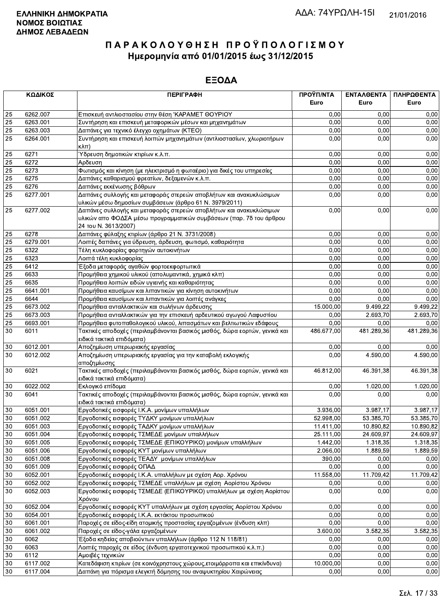|    | ΚΩΔΙΚΟΣ  | <b>ПЕРІГРАФН</b>                                                                                                                                                 | ΠΡΟΫΠ/ΝΤΑ<br>Euro | ΕΝΤΑΛΘΕΝΤΑ<br>Euro | ΠΛΗΡΩΘΕΝΤΑ<br>Euro |
|----|----------|------------------------------------------------------------------------------------------------------------------------------------------------------------------|-------------------|--------------------|--------------------|
| 25 | 6262.007 | Επισκευή αντλιοστασίου στην θέση 'ΚΑΡΑΜΕΤ ΘΟΥΡΙΟΥ                                                                                                                | 0,00              | 0.00               | 0,00               |
| 25 | 6263.001 | Συντήρηση και επισκευή μεταφορικών μέσων και μηχανημάτων                                                                                                         | 0,00              | 0,00               | 0,00               |
| 25 | 6263.003 | Δαπάνες για τεχνικό έλεγχο οχημάτων (ΚΤΕΟ)                                                                                                                       | 0,00              | 0,00               | 0,00               |
| 25 | 6264.001 | Συντήρηση και επισκευή λοιπών μηχανημάτων (αντλιοστασίων, χλωριοτήρων<br>$\kappa\lambda\pi$                                                                      | 0,00              | 0,00               | 0,00               |
| 25 | 6271     | Ύδρευση δημοτικών κτιρίων κ.λ.π.                                                                                                                                 | 0,00              | 0,00               | 0,00               |
| 25 | 6272     | Αρδευση                                                                                                                                                          | 0,00              | 0,00               | 0,00               |
| 25 | 6273     | Φωτισμός και κίνηση (με ηλεκτρισμό η φωταέριο) για δικές του υπηρεσίες                                                                                           | 0,00              | 0,00               | 0,00               |
| 25 | 6275     | Δαπάνες καθαρισμού φρεατίων, δεξαμενών κ.λ.π.                                                                                                                    | 0,00              | 0.00               | 0,00               |
| 25 | 6276     | Δαπάνες εκκένωσης βόθρων                                                                                                                                         | 0,00              | 0.00               | 0,00               |
| 25 | 6277.001 | Δαπάνες συλλογής και μεταφοράς στερεών αποβλήτων και ανακυκλώσιμων<br>υλικών μέσω δημοσίων συμβάσεων (άρθρο 61 Ν. 3979/2011)                                     | 0,00              | 0,00               | 0,00               |
| 25 | 6277.002 | Δαπάνες συλλογής και μεταφοράς στερεών αποβλήτων και ανακυκλώσιμων<br>υλικών απο ΦΟΔΣΑ μέσω προγραμματικών συμβάσεων (παρ. 7δ του άρθρου<br>24 του Ν. 3613/2007) | 0,00              | 0,00               | 0,00               |
| 25 | 6278     | Δαπάνες φύλαξης κτιρίων (άρθρο 21 Ν. 3731/2008)                                                                                                                  | 0,00              | 0,00               | 0,00               |
| 25 | 6279.001 | Λοιπές δαπάνες για ύδρευση, άρδευση, φωτισμό, καθαριότητα                                                                                                        | 0,00              | 0,00               | 0,00               |
| 25 | 6322     | Τέλη κυκλοφορίας φορτηγών αυτοκινήτων                                                                                                                            | 0,00              | 0,00               | 0,00               |
| 25 | 6323     | Λοιπά τέλη κυκλοφορίας                                                                                                                                           | 0,00              | 0.00               | 0,00               |
| 25 | 6412     | Έξοδα μεταφοράς αγαθών φορτοεκφορτωτικά                                                                                                                          | 0,00              | 0,00               | 0,00               |
| 25 | 6633     | Προμήθεια χημικού υλικού (απολυμαντικά, χημικά κλπ)                                                                                                              | 0,00              | 0,00               | 0,00               |
| 25 | 6635     | Προμήθεια λοιπών ειδών υγιεινής και καθαριότητας                                                                                                                 | 0,00              | 0,00               | 0,00               |
| 25 | 6641.001 | Προμήθεια καυσίμων και λιπαντικών για κίνηση αυτοκινήτων                                                                                                         | 0,00              | 0,00               | 0,00               |
| 25 | 6644     | Προμήθεια καυσίμων και λιπαντικών για λοιπές ανάγκες                                                                                                             | 0,00              | 0,00               | 0,00               |
| 25 | 6673.002 | Προμήθεια ανταλλακτικών και σωλήνων άρδευσης                                                                                                                     | 15.000,00         | 9.499,22           | 9.499,22           |
| 25 | 6673.003 | Προμήθεια ανταλλακτικών για την επισκευή αρδευτικού αγωγού Λαφυστίου                                                                                             | 0,00              | 2.693,70           | 2.693,70           |
| 25 | 6693.001 | Προμήθεια φυτοπαθολογικού υλικού, λιπασμάτων και βελτιωτικών εδάφους                                                                                             | 0,00              | 0.00               | 0,00               |
| 30 | 6011     | Τακτικές αποδοχές (περιλαμβάνονται βασικός μισθός, δώρα εορτών, γενικά και<br>ειδικά τακτικά επιδόματα)                                                          | 486.677,00        | 481.289,36         | 481.289,36         |
| 30 | 6012.001 | Αποζημίωση υπερωριακής εργασίας                                                                                                                                  | 0,00              | 0.00               | 0,00               |
| 30 | 6012.002 | Αποζημίωση υπερωριακής εργασίας για την καταβολή εκλογικής<br>αποζημίωσης                                                                                        | 0,00              | 4.590,00           | 4.590,00           |
| 30 | 6021     | Τακτικές αποδοχές (περιλαμβάνονται βασικός μισθός, δώρα εορτών, γενικά και<br>ειδικά τακτικά επιδόματα)                                                          | 46.812,00         | 46.391,38          | 46.391,38          |
| 30 | 6022.002 | Εκλογικό επίδομα                                                                                                                                                 | 0,00              | 1.020,00           | 1.020,00           |
| 30 | 6041     | Τακτικές αποδοχές (περιλαμβάνονται βασικός μισθός, δώρα εορτών, γενικά και<br>ειδικά τακτικά επιδόματα)                                                          | 0,00              | 0,00               | 0,00               |
| 30 | 6051.001 | Εργοδοτικές εισφορές Ι.Κ.Α. μονίμων υπαλλήλων                                                                                                                    | 3.936,00          | 3.987,17           | 3.987,17           |
| 30 | 6051.002 | Εργοδοτικές εισφορές ΤΥΔΚΥ μονίμων υπαλλήλων                                                                                                                     | 52.998,00         | 53.385,70          | 53.385,70          |
| 30 | 6051.003 | Εργοδοτικές εισφορές ΤΑΔΚΥ μονίμων υπαλλήλων                                                                                                                     | 11.411,00         | 10.890,82          | 10.890,82          |
| 30 | 6051.004 | Εργοδοτικές εισφορές ΤΣΜΕΔΕ μονίμων υπαλλήλων                                                                                                                    | 25.111,00         | 24.609,97          | 24.609,97          |
| 30 | 6051.005 | Εργοδοτικές εισφορές ΤΣΜΕΔΕ (ΕΠΙΚΟΥΡΙΚΟ) μονίμων υπαλλήλων                                                                                                       | 1.442,00          | 1.318,35           | 1.318,35           |
| 30 | 6051.006 | Εργοδοτικές εισφορές ΚΥΤ μονίμων υπαλλήλων                                                                                                                       | 2.066,00          | 1.889,59           | 1.889,59           |
| 30 | 6051.008 | Εργοδοτικές εισφορές ΤΕΑΔΥ μονίμων υπαλλήλων                                                                                                                     | 390,00            | 0,00               | 0,00               |
| 30 | 6051.009 | Εργοδοτικές εισφορές ΟΠΑΔ                                                                                                                                        | 0,00              | 0,00               | 0,00               |
| 30 | 6052.001 | Εργοδοτικές εισφορές Ι.Κ.Α. υπαλλήλων με σχέση Αορ. Χρόνου                                                                                                       | 11.558,00         | 11.709,42          | 11.709,42          |
| 30 | 6052.002 | Εργοδοτικές εισφορές ΤΣΜΕΔΕ υπαλλήλων με σχέση Αορίστου Χρόνου                                                                                                   | 0,00              | 0,00               | 0.00               |
| 30 | 6052.003 | Εργοδοτικές εισφορές ΤΣΜΕΔΕ (ΕΠΙΚΟΥΡΙΚΟ) υπαλλήλων με σχέση Αορίστου<br>Χρόνου                                                                                   | 0,00              | 0,00               | 0,00               |
| 30 | 6052.004 | Εργοδοτικές εισφορές ΚΥΤ υπαλλήλων με σχέση εργασίας Αορίστου Χρόνου                                                                                             | 0,00              | 0,00               | 0,00               |
| 30 | 6054.001 | Εργοδοτικές εισφορές Ι.Κ.Α. εκτάκτου προσωπικού                                                                                                                  | 0,00              | 0,00               | 0,00               |
| 30 | 6061.001 | Παροχές σε είδος-είδη ατομικής προστασίας εργαζομένων (ένδυση κλπ)                                                                                               | 0,00              | 0,00               | 0,00               |
| 30 | 6061.002 | Παροχές σε είδος-γάλα εργαζομένων                                                                                                                                | 3.600,00          | 3.582,35           | 3.582,35           |
| 30 | 6062     | Έξοδα κηδείας αποβιούντων υπαλλήλων (άρθρο 112 Ν 118/81)                                                                                                         | 0,00              | 0,00               | 0,00               |
| 30 | 6063     | Λοιπές παροχές σε είδος (ένδυση εργατοτεχνικού προσωπικού κ.λ.π.)                                                                                                | 0,00              | 0,00               | 0,00               |
| 30 | 6112     | Αμοιβές τεχνικών                                                                                                                                                 | 0,00              | 0,00               | 0,00               |
| 30 | 6117.002 | Κατεδάφιση κτιρίων (σε κοινόχρηστους χώρους, ετοιμόρροπα και επικίνδυνα)                                                                                         | 10.000,00         | 0,00               | 0,00               |
| 30 | 6117.004 | Δαπάνη νια πόρισμα ελενκτή δόμησης του αναψυκτηρίου Χαιρώνειας                                                                                                   | 0.00              | 0.00               | 0.00               |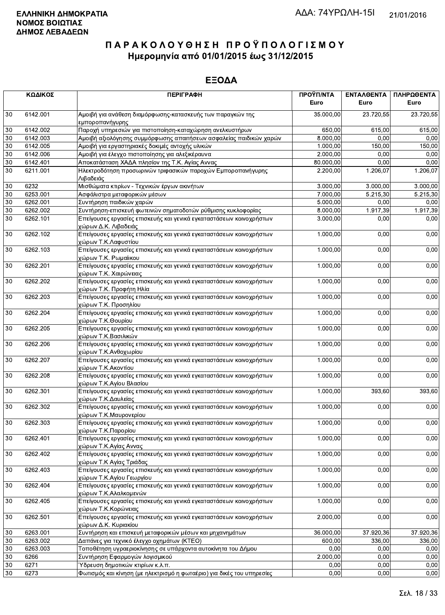|        | ΚΩΔΙΚΟΣ  | <b>ПЕРІГРАФН</b>                                                                                | ΠΡΟΫΠ/ΝΤΑ<br>Euro | ΕΝΤΑΛΘΕΝΤΑ<br>Euro | ΠΛΗΡΩΘΕΝΤΑ<br>Euro |
|--------|----------|-------------------------------------------------------------------------------------------------|-------------------|--------------------|--------------------|
| 30     | 6142.001 | Αμοιβή για ανάθεση διαμόρφωσης-κατασκευής των παραγκών της<br>εμποροπανήγυρης                   | 35.000,00         | 23.720,55          | 23.720,55          |
| 30     | 6142.002 | Παροχή υπηρεσιών για πιστοποίηση-καταχώρηση ανελκυστήρων                                        | 650,00            | 615,00             | 615,00             |
| 30     | 6142.003 | Αμοιβή αξιολόγησης συμμόρφωσης απαιτήσεων ασφαλείας παιδικών χαρών                              | 8.000,00          | 0.00               | 0,00               |
| 30     | 6142.005 | Αμοιβή για εργαστηριακές δοκιμές αντοχής υλικών                                                 | 1.000,00          | 150,00             | 150,00             |
| 30     | 6142.006 | Αμοιβή για έλεγχο πιστοποίησης για αλεξικέραυνα                                                 | 2.000,00          | 0,00               | 0,00               |
| 30     | 6142.401 | Αποκατάσταση ΧΑΔΑ πλησίον της Τ.Κ. Αγίας Αννας                                                  | 80.000,00         | 0,00               | 0,00               |
| 30     | 6211.001 | Ηλεκτροδότηση προσωρινών τριφασικών παροχών Εμποροπανήγυρης<br>Λιβαδειάς                        | 2.200,00          | 1.206,07           | 1.206,07           |
| $30\,$ | 6232     | Μισθώματα κτιρίων - Τεχνικών έργων ακινήτων                                                     | 3.000,00          | 3.000,00           | 3.000,00           |
| 30     | 6253.001 | Ασφάλιστρα μεταφορικών μέσων                                                                    | 7.000,00          | 5.215,30           | 5.215,30           |
| 30     | 6262.001 | Συντήρηση παιδικών χαρών                                                                        | 5.000,00          | 0,00               | 0,00               |
| 30     | 6262.002 | Συντήρηση-επισκευή φωτεινών σηματοδοτών ρύθμισης κυκλοφορίας                                    | 8.000,00          | 1.917,39           | 1.917,39           |
| 30     | 6262.101 | Επείγουσες εργασίες επισκευής και γενικά εγκαταστάσεων κοινοχρήστων<br>χώρων Δ.Κ. Λιβαδειάς     | 3.000,00          | 0,00               | 0,00               |
| 30     | 6262.102 | Επείγουσες εργασίες επισκευής και γενικά εγκαταστάσεων κοινοχρήστων<br>χώρων Τ.Κ.Λαφυστίου      | 1.000,00          | 0,00               | 0,00               |
| 30     | 6262.103 | Επείγουσες εργασίες επισκευής και γενικά εγκαταστάσεων κοινοχρήστων<br>χώρων Τ.Κ. Ρωμαίικου     | 1.000,00          | 0,00               | 0,00               |
| 30     | 6262.201 | Επείγουσες εργασίες επισκευής και γενικά εγκαταστάσεων κοινοχρήστων<br>χώρων Τ.Κ. Χαιρώνειας    | 1.000,00          | 0,00               | 0,00               |
| 30     | 6262.202 | Επείγουσες εργασίες επισκευής και γενικά εγκαταστάσεων κοινοχρήστων<br>χώρων Τ.Κ. Προφήτη Ηλία  | 1.000,00          | 0,00               | 0,00               |
| 30     | 6262.203 | Επείγουσες εργασίες επισκευής και γενικά εγκαταστάσεων κοινοχρήστων<br>χώρων Τ.Κ. Προσηλίου     | 1.000,00          | 0,00               | 0,00               |
| 30     | 6262.204 | Επείγουσες εργασίες επισκευής και γενικά εγκαταστάσεων κοινοχρήστων<br>χώρων Τ.Κ.Θουρίου        | 1.000,00          | 0,00               | 0,00               |
| 30     | 6262.205 | Επείγουσες εργασίες επισκευής και γενικά εγκαταστάσεων κοινοχρήστων<br>χώρων Τ.Κ.Βασιλικών      | 1.000,00          | 0,00               | 0,00               |
| 30     | 6262.206 | Επείγουσες εργασίες επισκευής και γενικά εγκαταστάσεων κοινοχρήστων<br>χώρων Τ.Κ.Ανθοχωρίου     | 1.000,00          | 0,00               | 0,00               |
| 30     | 6262.207 | Επείγουσες εργασίες επισκευής και γενικά εγκαταστάσεων κοινοχρήστων<br>χώρων Τ.Κ.Ακοντίου       | 1.000,00          | 0,00               | 0,00               |
| 30     | 6262.208 | Επείγουσες εργασίες επισκευής και γενικά εγκαταστάσεων κοινοχρήστων<br>χώρων Τ.Κ.Αγίου Βλασίου  | 1.000,00          | 0,00               | 0,00               |
| 30     | 6262.301 | Επείγουσες εργασίες επισκευής και γενικά εγκαταστάσεων κοινοχρήστων<br>χώρων Τ.Κ.Δαυλείας       | 1.000,00          | 393,60             | 393,60             |
| 30     | 6262.302 | Επείγουσες εργασίες επισκευής και γενικά εγκαταστάσεων κοινοχρήστων<br>χώρων Τ.Κ.Μαυρονερίου    | 1.000,00          | 0,00               | 0,00               |
| 30     | 6262.303 | Επείγουσες εργασίες επισκευής και γενικά εγκαταστάσεων κοινοχρήστων<br>χώρων Τ.Κ.Παρορίου       | 1.000,00          | 0,00               | 0,00               |
| 30     | 6262.401 | Επείγουσες εργασίες επισκευής και γενικά εγκαταστάσεων κοινοχρήστων<br>χώρων Τ.Κ.Αγίας Αννας    | 1.000,00          | 0,00               | 0,00               |
| 30     | 6262.402 | Επείγουσες εργασίες επισκευής και γενικά εγκαταστάσεων κοινοχρήστων<br>χώρων Τ.Κ Αγίας Τριάδας  | 1.000,00          | 0,00               | 0,00               |
| 30     | 6262.403 | Επείγουσες εργασίες επισκευής και γενικά εγκαταστάσεων κοινοχρήστων<br>χώρων Τ.Κ.Αγίου Γεωργίου | 1.000,00          | 0,00               | 0,00               |
| 30     | 6262.404 | Επείγουσες εργασίες επισκευής και γενικά εγκαταστάσεων κοινοχρήστων<br>χώρων Τ.Κ.Αλαλκομενών    | 1.000,00          | 0,00               | 0,00               |
| 30     | 6262.405 | Επείγουσες εργασίες επισκευής και γενικά εγκαταστάσεων κοινοχρήστων<br>χώρων Τ.Κ.Κορώνειας      | 1.000,00          | 0,00               | 0,00               |
| 30     | 6262.501 | Επείγουσες εργασίες επισκευής και γενικά εγκαταστάσεων κοινοχρήστων<br>χώρων Δ.Κ. Κυριακίου     | 2.000,00          | 0,00               | 0,00               |
| 30     | 6263.001 | Συντήρηση και επισκευή μεταφορικών μέσων και μηχανημάτων                                        | 36.000,00         | 37.920,36          | 37.920,36          |
| 30     | 6263.002 | Δαπάνες για τεχνικό έλεγχο οχημάτων (ΚΤΕΟ)                                                      | 600,00            | 336,00             | 336,00             |
| 30     | 6263.003 | Τοποθέτηση υγραεριοκίνησης σε υπάρχοντα αυτοκίνητα του Δήμου                                    | 0,00              | 0,00               | 0,00               |
| 30     | 6266     | Συντήρηση Εφαρμογών λογισμικού                                                                  | 2.000,00          | 0,00               | 0,00               |
| 30     | 6271     | Ύδρευση δημοτικών κτιρίων κ.λ.π.                                                                | 0,00              | 0,00               | 0,00               |
| 30     | 6273     | Φωτισμός και κίνηση (με ηλεκτρισμό η φωταέριο) για δικές του υπηρεσίες                          | 0,00              | 0,00               | 0,00               |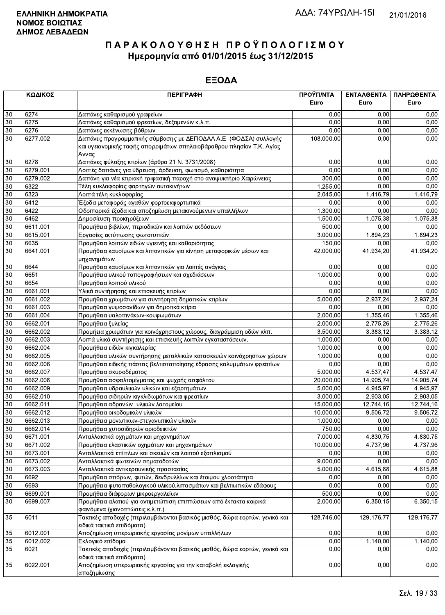|          | ΚΩΔΙΚΟΣ              | <b>ПЕРІГРАФН</b>                                                                                       | ΠΡΟΫΠ/ΝΤΑ  | ΕΝΤΑΛΘΕΝΤΑ       | ΠΛΗΡΩΘΕΝΤΑ   |
|----------|----------------------|--------------------------------------------------------------------------------------------------------|------------|------------------|--------------|
|          |                      |                                                                                                        | Euro       | Euro             | Euro         |
| 30       | 6274                 | Δαπάνες καθαρισμού γραφείων                                                                            | 0,00       | 0.00             | 0,00         |
| 30       | 6275                 | Δαπάνες καθαρισμού φρεατίων, δεξαμενών κ.λ.π.                                                          | 0,00       | 0,00             | 0,00         |
| 30       | 6276                 | Δαπάνες εκκένωσης βόθρων                                                                               | 0,00       | 0,00             | 0,00         |
| 30       | 6277.002             | Δαπάνες προγραμματικής σύμβασης με ΔΕΠΟΔΑΛ Α.Ε (ΦΟΔΣΑ) συλλογής                                        | 108.000,00 | 0,00             | 0,00         |
|          |                      | και υγειονομικής ταφής απορριμάτων σπηλαιοβάραθρου πλησίον Τ.Κ. Αγίας                                  |            |                  |              |
|          |                      | Αννας                                                                                                  |            |                  |              |
| 30       | 6278                 | Δαπάνες φύλαξης κτιρίων (άρθρο 21 Ν. 3731/2008)                                                        | 0,00       | 0,00             | 0,00         |
| 30       | 6279.001             | Λοιπές δαπάνες για ύδρευση, άρδευση, φωτισμό, καθαριότητα                                              | 0.00       | 0,00             | 0,00         |
| 30       | 6279.002             | Δαπάνη για νέα κτιριακή τριφασική παροχή στο αναψυκτήριο Χαιρώνειας                                    | 300.00     | 0,00             | 0,00         |
| 30       | 6322                 | Τέλη κυκλοφορίας φορτηγών αυτοκινήτων                                                                  | 1.255,00   | 0,00             | 0,00         |
| 30       | 6323                 | Λοιπά τέλη κυκλοφορίας                                                                                 | 2.045,00   | 1.416,79         | 1.416,79     |
| 30       | 6412                 | Έξοδα μεταφοράς αγαθών φορτοεκφορτωτικά                                                                | 0,00       | 0,00             | 0,00         |
| 30       | 6422                 | Οδοιπορικά έξοδα και αποζημίωση μετακινούμενων υπαλλήλων                                               | 1.300,00   | 0,00             | 0,00         |
| 30       | 6462                 | Δημοσίευση προκηρύξεων                                                                                 | 1.500,00   | 1.075,38         | 1.075,38     |
| 30       | 6611.001             | Προμήθεια βιβλίων, περιοδικών και λοιπών εκδόσεων                                                      | 500,00     | 0,00             | 0,00         |
| 30       | 6615.001             | Εργασίες εκτύπωσης φωτοτυπιών                                                                          | 3.000,00   | 1.894,23         | 1.894,23     |
| 30       | 6635                 | Προμήθεια λοιπών ειδών υγιεινής και καθαριότητας                                                       | 150,00     | 0,00             | 0,00         |
| 30       | 6641.001             | Προμήθεια καυσίμων και λιπαντικών για κίνηση μεταφορικών μέσων και                                     | 42.000,00  | 41.934,20        | 41.934,20    |
|          |                      | μηχανημάτων                                                                                            |            |                  |              |
| 30       | 6644                 | Προμήθεια καυσίμων και λιπαντικών για λοιπές ανάγκες                                                   | 0,00       | 0.00             | 0,00         |
| 30       | 6651                 | Προμήθεια υλικού τοπογραφήσεων και σχεδιάσεων                                                          | 1.000,00   | 0,00             | 0,00         |
| 30       | 6654                 | Προμήθεια λοιπού υλικού                                                                                | 0,00       | 0,00             | 0,00         |
| 30       | 6661.001             | Υλικά συντήρησης και επισκευής κτιρίων                                                                 | 0,00       | 0,00             | 0,00         |
| 30       | 6661.002             | Προμήθεια χρωμάτων για συντήρηση δημοτικών κτιρίων                                                     | 5.000,00   | 2.937,24         | 2.937,24     |
| 30       | 6661.003             | Προμήθεια γυψοσανίδων για δημοτικά κτίρια                                                              | 0.00       | 0.00             | 0.00         |
| 30       | 6661.004             | Προμήθεια υαλοπινάκων-κουφωμάτων                                                                       | 2.000,00   | 1.355,46         | 1.355,46     |
| 30       | 6662.001             | Προμήθεια ξυλείας                                                                                      | 2.000,00   | 2.775,26         | 2.775,26     |
| 30       | 6662.002             | Προμήεια χρωμάτων για κοινόχρηστους χώρους, διαγράμμιση οδών κλπ.                                      | 3.500,00   | 3.383,12         | 3.383,12     |
| 30       | 6662.003             | Λοιπά υλικά συντήρησης και επισκευής λοιπών εγκαταστάσεων.                                             | 1.000,00   | 0,00             | 0,00         |
| 30       | 6662.004             | Προμήθεια ειδών κιγκαλερίας                                                                            | 1.000,00   | 0,00             | 0,00         |
| 30       | 6662.005             | Προμήθεια υλικών συντήρησης μεταλλικών κατασκευών κοινόχρηστων χώρων                                   | 1.000,00   | 0,00             | 0,00         |
| 30       | 6662.006             | Προμήθεια ειδικής πάστας βελτιστοποίησης έδρασης καλυμμάτων φρεατίων                                   | 0,00       | 0,00             | 0,00         |
| 30       | 6662.007             | Προμήθεια σκυροδέματος                                                                                 | 5.000,00   | 4.537,47         | 4.537,47     |
| 30       | 6662.008             | Προμήθεια ασφαλτομίγματος και ψυχρής ασφάλτου                                                          | 20.000,00  | 14.905,74        | 14.905,74    |
| 30       | 6662.009             | Προμήθεια υδραυλικών υλικών και εξαρτημάτων                                                            | 5.000,00   | 4.945,97         | 4.945,97     |
| 30       | 6662.010             | Προμήθεια σιδηρών κιγκλιδωμάτων και φρεατίων                                                           | 3.000,00   | 2.903,05         | 2.903,05     |
| 30       | 6662.011             | Προμήθεια αδρανών υλικών λατομείου                                                                     | 15.000,00  | 12.744,16        | 12.744,16    |
| 30       | 6662.012             | Προμήθεια οικοδομικών υλικών                                                                           | 10.000,00  | 9.506,72         | 9.506,72     |
| 30       | 6662.013             | Προμήθεια μονωτικων-στεγανωτικών υλικών                                                                | 1.000,00   | 0,00             | 0,00         |
| 30       | 6662.014             | Προμήθεια χυτοσιδηρών οριοδεικτών                                                                      | 750,00     | 0,00             | 0,00         |
| 30       | 6671.001             | Ανταλλακτικά οχημάτων και μηχανημάτων                                                                  | 7.000,00   | 4.830,75         | 4.830,75     |
|          |                      |                                                                                                        | 10.000,00  |                  |              |
| 30<br>30 | 6671.002<br>6673.001 | Προμήθεια ελαστικών οχημάτων και μηχανημάτων<br>Ανταλλακτικά επίπλων και σκευών και λοιπού εξοπλισμού  | 0,00       | 4.737,96<br>0,00 | 4.737,96     |
| 30       | 6673.002             | Ανταλλακτικά φωτεινών σηματοδοτών                                                                      | 9.000,00   | 0,00             | 0,00<br>0,00 |
| 30       | 6673.003             | Ανταλλακτικά αντικεραυνικής προστασίας                                                                 | 5.000,00   | 4.615,88         | 4.615,88     |
| 30       | 6692                 | Προμήθεια σπόρων, φυτών, δενδρυλλίων και έτοιμου χλοοτάπητα                                            | 0,00       | 0,00             | 0,00         |
| 30       |                      | Προμήθεια φυτοπαθολογικού υλικού,λιπασμάτων και βελτιωτικών εδάφους                                    | 0,00       |                  | 0,00         |
| 30       | 6693                 |                                                                                                        | 500,00     | 0,00<br>0,00     | 0,00         |
| 30       | 6699.001<br>6699.007 | Προμήθεια διάφορων μικροεργαλείων<br>Προμήθεια αλατιού για αντιμετώπιση επιπτώσεων από έκτακτα καιρικά | 2.000,00   | 6.350, 15        | 6.350,15     |
|          |                      | φαινόμενα (χιονοπτώσεις κ.λ.π.)                                                                        |            |                  |              |
| 35       | 6011                 | Τακτικές αποδοχές (περιλαμβάνονται βασικός μισθός, δώρα εορτών, γενικά και                             | 128.746,00 | 129.176,77       | 129.176,77   |
|          |                      | ειδικά τακτικά επιδόματα)                                                                              |            |                  |              |
| 35       | 6012.001             | Αποζημίωση υπερωριακής εργασίας μονίμων υπαλλήλων                                                      | 0,00       | 0,00             | 0,00         |
|          |                      | Εκλογικό επίδομα                                                                                       | 0,00       | 1.140,00         | 1.140,00     |
| 35<br>35 | 6012.002<br>6021     | Τακτικές αποδοχές (περιλαμβάνονται βασικός μισθός, δώρα εορτών, γενικά και                             | 0,00       | 0,00             | 0,00         |
|          |                      | ειδικά τακτικά επιδόματα)                                                                              |            |                  |              |
| 35       | 6022.001             | Αποζημίωση υπερωριακής εργασίας για την καταβολή εκλογικής                                             | 0,00       | 0,00             | 0,00         |
|          |                      | αποζημίωσης                                                                                            |            |                  |              |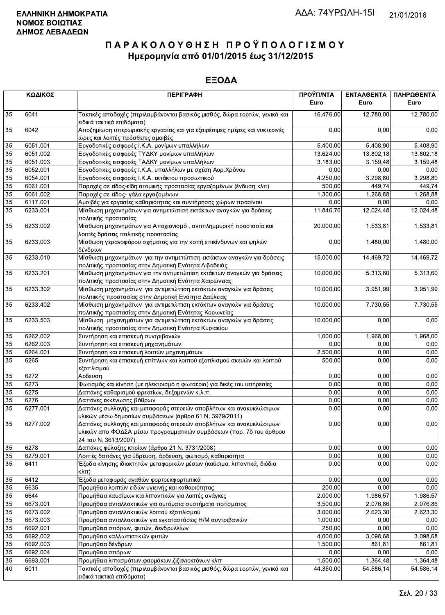|    | ΚΩΔΙΚΟΣ  | <b>ПЕРІГРАФН</b>                                                                                                                                                 | ΠΡΟΫΠ/ΝΤΑ<br>Euro | ΕΝΤΑΛΘΕΝΤΑ<br>Euro | ΠΛΗΡΩΘΕΝΤΑ<br>Euro |
|----|----------|------------------------------------------------------------------------------------------------------------------------------------------------------------------|-------------------|--------------------|--------------------|
|    |          |                                                                                                                                                                  |                   |                    |                    |
| 35 | 6041     | Τακτικές αποδοχές (περιλαμβάνονται βασικός μισθός, δώρα εορτών, γενικά και<br>ειδικά τακτικά επιδόματα)                                                          | 16.476,00         | 12.780,00          | 12.780,00          |
| 35 | 6042     | Αποζημίωση υπερωριακής εργασίας και για εξαιρέσιμες ημέρες και νυκτερινές<br>ώρες και λοιπές πρόσθετες αμοιβές                                                   | 0,00              | 0,00               | 0,00               |
| 35 | 6051.001 | Εργοδοτικές εισφορές Ι.Κ.Α. μονίμων υπαλλήλων                                                                                                                    | 5.400,00          | 5.408,90           | 5.408,90           |
| 35 | 6051.002 | Εργοδοτικές εισφορές ΤΥΔΚΥ μονίμων υπαλλήλων                                                                                                                     | 13.624,00         | 13.802,18          | 13.802,18          |
| 35 | 6051.003 | Εργοδοτικές εισφορές ΤΑΔΚΥ μονίμων υπαλλήλων                                                                                                                     | 3.183,00          | 3.159,48           | 3.159,48           |
| 35 | 6052.001 | Εργοδοτικες εισφορές Ι.Κ.Α. υπαλλήλων με σχέση Αορ.Χρόνου                                                                                                        | 0,00              | 0,00               | 0,00               |
| 35 | 6054.001 | Εργοδοτικές εισφορές Ι.Κ.Α. εκτάκτου προσωπικού                                                                                                                  | 4.250,00          | 3.298,80           | 3.298,80           |
| 35 | 6061.001 | Παροχές σε είδος-είδη ατομικής προστασίας εργαζομένων (ένδυση κλπ)                                                                                               | 500,00            | 449,74             | 449,74             |
| 35 | 6061.002 | Παροχές σε είδος- γάλα εργαζομένων                                                                                                                               | 1.300,00          | 1.268,88           | 1.268,88           |
| 35 | 6117.001 | Αμοιβές για εργασίες καθαριότητας και συντήρησης χώρων πρασίνου                                                                                                  | 0,00              | 0,00               | 0,00               |
| 35 | 6233.001 | Μίσθωση μηχανημάτων για αντιμετώπιση εκτάκτων αναγκών για δράσεις<br>πολιτικής προστασίας                                                                        | 11.846,76         | 12.024,48          | 12.024,48          |
| 35 | 6233.002 | Μίσθωση μηχανημάτων για Αποχιονισμό, αντιπλημμυρική προστασία και<br>λοιπές δράσεις πολιτικής προστασίας                                                         | 20.000,00         | 1.533,81           | 1.533,81           |
| 35 | 6233.003 | Μίσθωση γερανοφόρου οχήματος για την κοπή επικίνδυνων και ψηλών<br>δένδρων                                                                                       | 0,00              | 1.480,00           | 1.480,00           |
| 35 | 6233.010 | Μίσθωση μηχανημάτων για την αντιμετώπιση εκτάκτων αναγκών για δράσεις<br>πολιτικής προστασίας στην Δημοτική Ενότητα Λιβαδειάς                                    | 15.000,00         | 14.469,72          | 14.469,72          |
| 35 | 6233.201 | Μίσθωση μηχανημάτων για την αντιμετώπιση εκτάκτων αναγκών για δράσεις<br>πολιτικής προστασίας στην Δημοτική Ενότητα Χαιρώνειας                                   | 10.000,00         | 5.313,60           | 5.313,60           |
| 35 | 6233.302 | Μίσθωση μηχανημάτων για αντιμετώπιση εκτάκτων αναγκών για δράσεις<br>πολιτιικής προστασίας στην Δημοτική Ενότητα Δαύλειας                                        | 10.000,00         | 3.951,99           | 3.951,99           |
| 35 | 6233.402 | Μίσθωση μηχανημάτων για αντιμετώπιση εκτάκτων αναγκών για δράσεις<br>πολιτικής προστασίας στην Δημοτική Ενότητας Κορωνείας                                       | 10.000,00         | 7.730,55           | 7.730,55           |
| 35 | 6233.503 | Μίσθωση μηχανημάτων για αντιμετώπιση εκτάκτων αναγκών για δράσεις<br>πολιτικής προστασίας στην Δημοτική Ενότητα Κυριακίου                                        | 10.000,00         | 0,00               | 0,00               |
| 35 | 6262.002 | Συντήρηση και επισκευή συντριβανιών                                                                                                                              | 1.000,00          | 1.968,00           | 1.968,00           |
| 35 | 6262.003 | Συντήρηση και επισκευή μηχανημάτων.                                                                                                                              | 0,00              | 0,00               | 0,00               |
| 35 | 6264.001 | Συντήρηση και επισκευή λοιπών μηχανημάτων                                                                                                                        | 2.500,00          | 0,00               | 0,00               |
| 35 | 6265     | Συντήρηση και επισκευή επίπλων και λοιπού εξοπλισμού σκευών και λοιπού<br>εξοπλισμού                                                                             | 500,00            | 0,00               | 0,00               |
| 35 | 6272     | Αρδευση                                                                                                                                                          | 0,00              | 0.00               | 0,00               |
| 35 | 6273     | Φωτισμός και κίνηση (με ηλεκτρισμό η φωταέριο) για δικές του υπηρεσίες                                                                                           | 0,00              | 0,00               | 0,00               |
| 35 | 6275     | Δαπάνες καθαρισμού φρεατίων, δεξαμενών κ.λ.π.                                                                                                                    | 0,00              | 0,00               | 0,00               |
| 35 | 6276     | Δαπάνες εκκένωσης βόθρων                                                                                                                                         | 0,00              | 0,00               | 0,00               |
| 35 | 6277.001 | Δαπάνες συλλογής και μεταφοράς στερεών αποβλήτων και ανακυκλώσιμων<br>υλικών μέσω δημοσίων συμβάσεων (άρθρο 61 Ν. 3979/2011)                                     | 0,00              | 0,00               | 0,00               |
| 35 | 6277.002 | Δαπάνες συλλογής και μεταφοράς στερεών αποβλήτων και ανακυκλώσιμων<br>υλικών απο ΦΟΔΣΑ μέσω προγραμματικών συμβάσεων (παρ. 7δ του άρθρου<br>24 TOU N. 3613/2007) | 0,00              | 0,00               | 0,00               |
| 35 | 6278     | Δαπάνες φύλαξης κτιρίων (άρθρο 21 Ν. 3731/2008)                                                                                                                  | 0,00              | 0,00               | 0,00               |
| 35 | 6279.001 | Λοιπές δαπάνες για ύδρευση, άρδευση, φωτισμό, καθαριότητα                                                                                                        | 0,00              | 0,00               | 0,00               |
| 35 | 6411     | Έξοδα κίνησης ιδιοκτητών μεταφορικών μέσων (καύσιμα, λιπαντικά, διόδια<br>$K\lambda\pi$ )                                                                        | 0,00              | 0,00               | 0,00               |
| 35 | 6412     | Έξοδα μεταφοράς αγαθών φορτοεκφορτωτικά                                                                                                                          | 0,00              | 0,00               | 0,00               |
| 35 | 6635     | Προμήθεια λοιπών ειδών υγιεινής και καθαριότητας                                                                                                                 | 200,00            | 0,00               | 0,00               |
| 35 | 6644     | Προμήθεια καυσίμων και λιπαντικών για λοιπές ανάγκες                                                                                                             | 2.000,00          | 1.986,57           | 1.986,57           |
| 35 | 6673.001 | Προμήθεια ανταλλακτικών για αυτόματα συστήματα ποτίσματος                                                                                                        | 3.500,00          | 2.076,86           | 2.076,86           |
| 35 | 6673.002 | Προμήθεια ανταλλακτικών λοιπού εξοπλισμού                                                                                                                        | 3.000,00          | 2.623,30           | 2.623,30           |
| 35 | 6673.003 | Προμήθεια ανταλλακτικών για εγκαταστάσεις Η/Μ συντριβανιών                                                                                                       | 1.000,00          | 0,00               | 0,00               |
| 35 | 6692.001 | Προμήθεια σπόρων, φυτών, δενδρυλλίων                                                                                                                             | 250,00            | 0,00               | 0,00               |
| 35 | 6692.002 | Προμήθεια καλλωπιστικών φυτών                                                                                                                                    | 4.000,00          | 3.098,68           | 3.098,68           |
| 35 | 6692.003 | Προμήθεια δένδρων                                                                                                                                                | 1.500,00          | 861,81             | 861,81             |
| 35 | 6692.004 | Προμήθεια σπόρων                                                                                                                                                 | 0,00              | 0,00               | 0,00               |
| 35 | 6693.001 | Προμήθεια λιπασμάτων, φαρμάκων, ζιζανιοκτόνων κλπ                                                                                                                | 1.500,00          | 1.364,48           | 1.364,48           |
| 40 | 6011     | Τακτικές αποδοχές (περιλαμβάνονται βασικός μισθός, δώρα εορτών, γενικά και<br>ειδικά τακτικά επιδόματα).                                                         | 44.350,00         | 54.586,14          | 54.586,14          |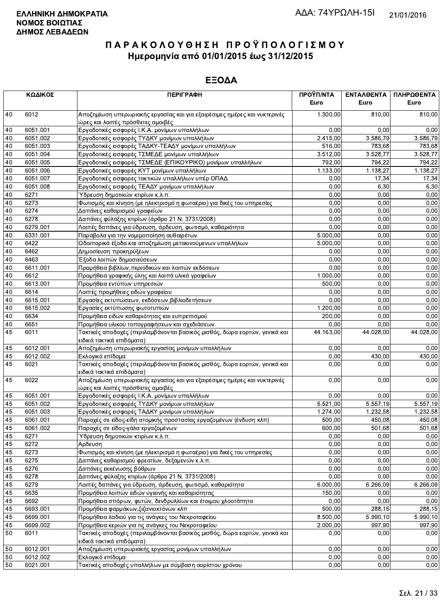|    | ΚΩΔΙΚΟΣ  | <b>ПЕРІГРАФН</b>                                                                                               | ΠΡΟΫΠ/ΝΤΑ | ΕΝΤΑΛΘΕΝΤΑ | ΠΛΗΡΩΘΕΝΤΑ |
|----|----------|----------------------------------------------------------------------------------------------------------------|-----------|------------|------------|
|    |          |                                                                                                                | Euro      | Euro       | Euro       |
| 40 | 6012     | Αποζημίωση υπερωριακής εργασίας και για εξαιρέσιμες ημέρες και νυκτερινές<br>ώρες και λοιπές πρόσθετες αμοιβές | 1.300,00  | 810,00     | 810,00     |
| 40 | 6051.001 | Εργοδοτικές εισφορές Ι.Κ.Α. μονίμων υπαλλήλων                                                                  | 0,00      | 0.00       | 0,00       |
| 40 | 6051.002 | Εργοδοτικές εισφορές ΤΥΔΚΥ μονίμων υπαλλήλων                                                                   | 2.415,00  | 3.586,79   | 3.586,79   |
| 40 | 6051.003 | Εργοδοτικές εισφορές ΤΑΔΚΥ-ΤΕΑΔΥ μονίμων υπαλλήλων                                                             | 516,00    | 783,68     | 783,68     |
| 40 | 6051.004 | Εργοδοτικές εισφορές ΤΣΜΕΔΕ μονίμων υπαλλήλων                                                                  | 3.512,00  | 3.528,77   | 3.528,77   |
| 40 | 6051.005 | Εργοδοτικές εισφορές ΤΣΜΕΔΕ (ΕΠΙΚΟΥΡΙΚΟ) μονίμων υπαλλήλων                                                     | 792,00    | 794,22     | 794,22     |
| 40 | 6051.006 | Εργοδοτικές εισφορές ΚΥΤ μονίμων υπαλλήλων                                                                     | 1.133,00  | 1.138,27   | 1.138,27   |
| 40 | 6051.007 | Εργοδοτικές εισφορες τακτικών υπαλλήλων υπέρ ΟΠΑΔ                                                              | 0,00      | 17,34      | 17,34      |
| 40 | 6051.008 | Εργοδοτικές εισφορές ΤΕΑΔΥ μονίμων υπαλλήλων                                                                   | 0,00      | 6,30       | 6,30       |
| 40 | 6271     | Ύδρευση δημοτικών κτιρίων κ.λ.π.                                                                               | 0,00      | 0,00       | 0,00       |
| 40 | 6273     | Φωτισμός και κίνηση (με ηλεκτρισμό η φωταέριο) για δικές του υπηρεσίες                                         | 0,00      | 0,00       | 0,00       |
| 40 | 6274     | Δαπάνες καθαρισμού γραφείων                                                                                    | 0,00      | 0,00       | 0,00       |
| 40 | 6278     | Δαπάνες φύλαξης κτιρίων (άρθρο 21 Ν. 3731/2008)                                                                | 0,00      | 0,00       | 0,00       |
| 40 | 6279.001 | Λοιπές δαπάνες για ύδρευση, άρδευση, φωτισμό, καθαριότητα                                                      | 0,00      | 0,00       | 0,00       |
| 40 | 6331.001 | Παράβολα για την νομιμοποίηση αυθαιρέτων                                                                       | 5.000,00  | 0,00       | 0,00       |
| 40 | 6422     | Οδοιπορικά έξοδα και αποζημίωση μετακινούμενων υπαλλήλων                                                       | 5.000,00  | 0.00       | 0,00       |
| 40 | 6462     | Δημοσίευση προκηρύξεων                                                                                         | 0,00      | 0,00       | 0,00       |
| 40 | 6463     | Έξοδα λοιπών δημοσιεύσεων                                                                                      | 0,00      | 0,00       | 0,00       |
| 40 | 6611.001 | Προμήθεια βιβλίων, περιοδικών και λοιπών εκδόσεων                                                              | 0,00      | 0,00       | 0,00       |
| 40 | 6612     | Προμήθεια γραφικής ύλης και λοιπά υλικά γραφείων                                                               | 1.000,00  | 0,00       | 0,00       |
| 40 | 6613.001 | Προμήθεια εντύπων υπηρεσιών                                                                                    | 500,00    | 0,00       | 0,00       |
| 40 | 6614     | Λοιπές προμήθειες ειδών γραφείου                                                                               | 0,00      | 0,00       | 0,00       |
| 40 | 6615.001 | Εργασίες εκτυπώσεων, εκδόσεων, βιβλιοδετήσεων                                                                  | 0,00      | 0,00       | 0,00       |
| 40 | 6615.002 | Εργασίες εκτύπωσης φωτοτυπιών                                                                                  | 1.200,00  | 0,00       | 0,00       |
| 40 | 6634     | Προμήθεια ειδών καθαριότητας και ευπρεπισμού                                                                   | 200,00    | 0,00       | 0,00       |
| 40 | 6651     | Προμήθεια υλικού τοπογραφήσεων και σχεδιάσεων                                                                  | 0,00      | 0,00       | 0,00       |
| 45 | 6011     | Τακτικές αποδοχές (περιλαμβάνονται βασικός μισθός, δώρα εορτών, γενικά και<br>ειδικά τακτικά επιδόματα)        | 44.163,00 | 44.028,00  | 44.028,00  |
| 45 | 6012.001 | Αποζημίωση υπερωριακής εργασίας μονίμων υπαλλήλων                                                              | 0,00      | 0.00       | 0,00       |
| 45 | 6012.002 | Εκλογικό επίδομα                                                                                               | 0,00      | 430,00     | 430,00     |
| 45 | 6021     | Τακτικές αποδοχές (περιλαμβάνονται βασικός μισθός, δώρα εορτών, γενικά και                                     | 0,00      | 0,00       | 0,00       |
|    |          | ειδικά τακτικά επιδόματα)                                                                                      |           |            |            |
| 45 | 6022     | Αποζημίωση υπερωριακής εργασίας και για εξαιρέσιμες ημέρες και νυκτερινές<br>ώρες και λοιπές πρόσθετες αμοιβές | 0,00      | 0.00       | 0,00       |
| 45 | 6051.001 | Εργοδοτικές εισφορές Ι.Κ.Α. μονίμων υπαλλήλων                                                                  | 0,00      | 0,00       | 0,00       |
| 45 | 6051.002 | Εργοδοτικές εισφορές ΤΥΔΚΥ μονίμων υπαλλήλων                                                                   | 5.521,00  | 5.557,19   | 5.557,19   |
| 45 | 6051.003 | Εργοδοτικές εισφορές ΤΑΔΚΥ μονίμων υπαλλήλων                                                                   | 1.274,00  | 1.232,58   | 1.232,58   |
| 45 | 6061.001 | Παροχές σε είδος-είδη ατομικής προστασίας εργαζομένων (ένδυση κλπ)                                             | 500,00    | 450,08     | 450,08     |
| 45 | 6061.002 | Παροχές σε είδος-γάλα εργαζομένων                                                                              | 600,00    | 501,68     | 501,68     |
| 45 | 6271     | Ύδρευση δημοτικών κτιρίων κ.λ.π.                                                                               | 0,00      | 0,00       | 0,00       |
| 45 | 6272     | Αρδευση                                                                                                        | 0,00      | 0.00       | 0,00       |
| 45 | 6273     | Φωτισμός και κίνηση (με ηλεκτρισμό η φωταέριο) για δικές του υπηρεσίες                                         | 0,00      | 0,00       | 0,00       |
| 45 | 6275     | Δαπάνες καθαρισμού φρεατίων, δεξαμενών κ.λ.π.                                                                  | 0,00      | 0,00       | 0,00       |
| 45 | 6276     | Δαπάνες εκκένωσης βόθρων                                                                                       | 0,00      | 0,00       | 0,00       |
| 45 | 6278     | Δαπάνες φύλαξης κτιρίων (άρθρο 21 Ν. 3731/2008)                                                                | 0,00      | 0,00       | 0,00       |
| 45 | 6279     | Λοιπές δαπάνες για ύδρευση, άρδευση, φωτισμό, καθαριότητα                                                      | 6.000,00  | 6.266,09   | 6.266,09   |
| 45 | 6635     | Προμήθεια λοιπών ειδών υγιεινής και καθαριότητας                                                               | 150,00    | 0,00       | 0,00       |
| 45 | 6692     | Προμήθεια σπόρων, φυτών, δενδρυλλίων και έτοιμου χλοοτάπητα                                                    | 0,00      | 0,00       | 0,00       |
| 45 | 6693.001 | Προμήθεια φαρμάκων, ζιζανιοκτόνων κλπ                                                                          | 500,00    | 288,15     | 288,15     |
| 45 | 6699.001 | Προμήθεια λαδιού για τις ανάγκες του Νεκροταφείου                                                              | 8.500,00  | 5.990,10   | 5.990,10   |
| 45 | 6699.002 | Προμήθεια κεριών για τις ανάγκες του Νεκροταφείου                                                              | 2.000,00  | 997,90     | 997,90     |
| 50 | 6011     | Τακτικές αποδοχές (περιλαμβάνονται βασικός μισθός, δώρα εορτών, γενικά και                                     | 0,00      | 0,00       | 0,00       |
|    |          | ειδικά τακτικά επιδόματα)                                                                                      |           |            |            |
| 50 | 6012.001 | Αποζημίωση υπερωριακής εργασίας μονίμων υπαλλήλων                                                              | 0,00      | 0,00       | 0,00       |
| 50 | 6012.002 | Εκλογικό επίδομα                                                                                               | 0,00      | 0,00       | 0,00       |
| 50 | 6021.001 | Τακτικές αποδοχές υπαλλήλων με σύμβαση αορίστου χρόνου                                                         | 0,00      | 0,00       | 0,00       |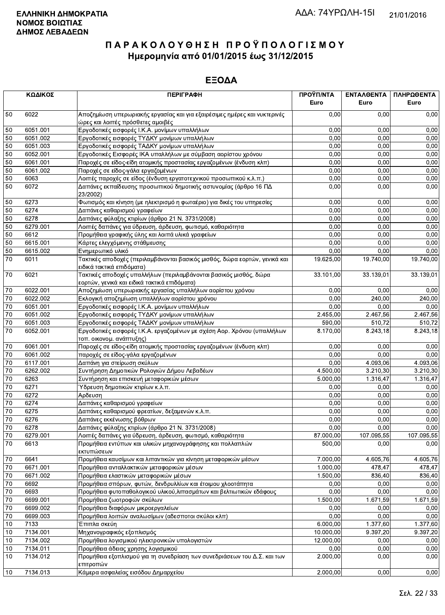|                 | ΚΩΔΙΚΟΣ  | <b>ПЕРІГРАФН</b>                                                                                                  | ΠΡΟΫΠ/ΝΤΑ<br>Euro | ΕΝΤΑΛΘΕΝΤΑ<br>Euro | ΠΛΗΡΩΘΕΝΤΑ<br>Euro |
|-----------------|----------|-------------------------------------------------------------------------------------------------------------------|-------------------|--------------------|--------------------|
| 50              | 6022     | Αποζημίωση υπερωριακής εργασίας και για εξαιρέσιμες ημέρες και νυκτερινές<br>ώρες και λοιπές πρόσθετες αμοιβές    | 0,00              | 0,00               | 0,00               |
| 50              | 6051.001 | Εργοδοτικές εισφορές Ι.Κ.Α. μονίμων υπαλλήλων                                                                     | 0,00              | 0,00               | 0,00               |
| 50              | 6051.002 | Εργοδοτικές εισφορές ΤΥΔΚΥ μονίμων υπαλλήλων                                                                      | 0,00              | 0,00               | 0,00               |
| 50              | 6051.003 | Εργοδοτικές εισφορές ΤΑΔΚΥ μονίμων υπαλλήλων                                                                      | 0,00              | 0,00               | 0,00               |
| 50              | 6052.001 | Εργοδοτικές Εισφορές ΙΚΑ υπαλλήλων με σύμβαση αορίστου χρόνου                                                     | 0,00              | 0,00               | 0,00               |
| 50              | 6061.001 | Παροχές σε είδος-είδη ατομικής προστασίας εργαζομένων (ένδυση κλπ)                                                | 0,00              | 0,00               | 0,00               |
| 50              | 6061.002 | Παροχές σε είδος-γάλα εργαζομένων                                                                                 | 0.00              | 0,00               | 0,00               |
| 50              | 6063     | Λοιπές παροχές σε είδος (ένδυση εργατοτεχνικού προσωπικού κ.λ.π.)                                                 | 0,00              | 0,00               | 0,00               |
| 50              | 6072     | Δαπάνες εκπαίδευσης προσωπικού δημοτικής αστυνομίας (άρθρο 16 ΠΔ<br>23/2002)                                      | 0,00              | 0,00               | 0,00               |
| 50              | 6273     | Φωτισμός και κίνηση (με ηλεκτρισμό η φωταέριο) για δικές του υπηρεσίες                                            | 0,00              | 0,00               | 0,00               |
| 50              | 6274     | Δαπάνες καθαρισμού γραφείων                                                                                       | 0,00              | 0,00               | 0,00               |
| 50              | 6278     | Δαπάνες φύλαξης κτιρίων (άρθρο 21 Ν. 3731/2008)                                                                   | 0,00              | 0,00               | 0,00               |
| 50              | 6279.001 | Λοιπές δαπάνες για ύδρευση, άρδευση, φωτισμό, καθαριότητα                                                         | 0,00              | 0,00               | 0,00               |
| 50              | 6612     | Προμήθεια γραφικής ύλης και λοιπά υλικά γραφείων                                                                  | 0.00              | 0,00               | 0,00               |
| 50              | 6615.001 | Κάρτες ελεγχόμενης στάθμευσης                                                                                     | 0,00              | 0,00               | 0,00               |
| 50              | 6615.002 | Ενημερωτικό υλικό                                                                                                 | 0,00              | 0,00               | 0,00               |
| 70              | 6011     | Τακτικές αποδοχές (περιλαμβάνονται βασικός μισθός, δώρα εορτών, γενικά και<br>ειδικά τακτικά επιδόματα)           | 19.625,00         | 19.740,00          | 19.740,00          |
| 70              | 6021     | Τακτικές αποδοχές υπαλλήλων (περιλαμβάνονται βασικός μισθός, δώρα<br>εορτών, γενικά και ειδικά τακτικά επιδόματα) | 33.101,00         | 33.139,01          | 33.139,01          |
| 70              | 6022.001 | Αποζημίωση υπερωριακής εργασίας υπαλλήλων αορίστου χρόνου                                                         | 0,00              | 0,00               | 0,00               |
| 70              | 6022.002 | Εκλογική αποζημίωση υπαλλήλων αορίστου χρόνου                                                                     | 0,00              | 240,00             | 240,00             |
| 70              | 6051.001 | Εργοδοτικές εισφορές Ι.Κ.Α. μονίμων υπαλλήλων                                                                     | 0,00              | 0,00               | 0,00               |
| 70              | 6051.002 | Εργοδοτικές εισφορές ΤΥΔΚΥ μονίμων υπαλλήλων                                                                      | 2.455,00          | 2.467,56           | 2.467,56           |
| $70\,$          | 6051.003 | Εργοδοτικές εισφορές ΤΑΔΚΥ μονίμων υπαλλήλων                                                                      | 590,00            | 510,72             | 510,72             |
| 70              | 6052.001 | Εργοδοτικές εισφορές Ι.Κ.Α. εργαζομένων με σχέση Αορ. Χρόνου (υπαλλήλων<br>τοπ. οικονομ. ανάπτυξης)               | 8.170,00          | 8.243,18           | 8.243,18           |
| $70\,$          | 6061.001 | Παροχές σε είδος-είδη ατομικής προστασίας εργαζομένων (ένδυση κλπ)                                                | 0,00              | 0,00               | 0,00               |
| $70\,$          | 6061.002 | παροχές σε είδος-γάλα εργαζομένων                                                                                 | 0,00              | 0,00               | 0,00               |
| 70              | 6117.001 | Δαπάνη για στείρωση σκύλων                                                                                        | 0,00              | 4.093,06           | 4.093,06           |
| 70              | 6262.002 | Συντήρηση Δημοτικών Ρολογιών Δήμου Λεβαδέων                                                                       | 4.500,00          | 3.210,30           | 3.210,30           |
| $70\,$          | 6263     | Συντήρηση και επισκευή μεταφορικών μέσων                                                                          | 5.000,00          | 1.316,47           | 1.316,47           |
| 70              | 6271     | Ύδρευση δημοτικών κτιρίων κ.λ.π.                                                                                  | 0,00              | 0,00               | 0,00               |
| $\overline{70}$ | 6272     | Αρδευση                                                                                                           | 0,00              | 0.00               | 0,00               |
| 70              | 6274     | Δαπάνες καθαρισμού γραφείων                                                                                       | 0,00              | 0,00               | 0,00               |
| $\overline{70}$ | 6275     | Δαπάνες καθαρισμού φρεατίων, δεξαμενών κ.λ.π.                                                                     | 0,00              | 0,00               | 0,00               |
| $\overline{70}$ | 6276     | Δαπάνες εκκένωσης βόθρων                                                                                          | 0,00              | 0,00               | 0,00               |
| 70              | 6278     | Δαπάνες φύλαξης κτιρίων (άρθρο 21 Ν. 3731/2008)                                                                   | 0,00              | 0,00               | 0,00               |
| $70\,$          | 6279.001 | Λοιπές δαπάνες για ύδρευση, άρδευση, φωτισμό, καθαριότητα                                                         | 87.000,00         | 107.095,55         | 107.095.55         |
| 70              | 6613     | Προμήθεια εντύπων και υλικών μηχανογράφησης και πολλαπλών<br>εκτυπώσεων                                           | 500,00            | 0,00               | 0,00               |
| $70\,$          | 6641     | Προμήθεια καυσίμων και λιπαντικών για κίνηση μεταφορικών μέσων                                                    | 7.000,00          | 4.605,76           | 4.605,76           |
| $70\,$          | 6671.001 | Προμήθεια ανταλλακτικών μεταφορικών μέσων                                                                         | 1.000,00          | 478,47             | 478,47             |
| 70              | 6671.002 | Προμήθεια ελαστικών μεταφορικών μέσων                                                                             | 1.500,00          | 836,40             | 836,40             |
| 70              | 6692     | Προμήθεια σπόρων, φυτών, δενδρυλλίων και έτοιμου χλοοτάπητα                                                       | 0,00              | 0,00               | 0,00               |
| 70              | 6693     | Προμήθεια φυτοπαθολογικού υλικού, λιπασμάτων και βελτιωτικών εδάφους                                              | 0,00              | 0,00               | 0,00               |
| 70              | 6699.001 | Προμήθεια ζωοτροφών σκύλων                                                                                        | 1.500,00          | 1.671,59           | 1.671,59           |
| $70\,$          | 6699.002 | Προμήθεια διαφόρων μικροεργαλείων                                                                                 | 0,00              | 0,00               | 0,00               |
| $\overline{70}$ | 6699.003 | Προμήθεια λοιπών αναλωσίμων (αδεσποτοι σκύλοι κλπ)                                                                | 0,00              | 0,00               | 0,00               |
| 10              | 7133     | Έπιπλα σκεύη                                                                                                      | 6.000,00          | 1.377,60           | 1.377,60           |
| $10$            | 7134.001 | Μηχανογραφικός εξοπλισμός                                                                                         | 10.000,00         | 9.397,20           | 9.397,20           |
| 10              | 7134.002 | Προμήθεια λογισμικού ηλεκτρονικών υπολογιστών                                                                     | 12.000,00         | 0,00               | 0,00               |
| 10              | 7134.011 | Προμήθεια άδειας χρησης λογισμικού                                                                                | 0,00              | 0,00               | 0,00               |
| 10              | 7134.012 | Προμήθεια εξοπλισμού για τη συνεδρίαση των συνεδριάσεων του Δ.Σ. και των<br>επιτροπών                             | 2.000,00          | 0,00               | 0,00               |
| 10              | 7134.013 | Κάμερα ασφαλείας εισόδου Δημαρχείου                                                                               | 2.000,00          | 0,00               | 0,00               |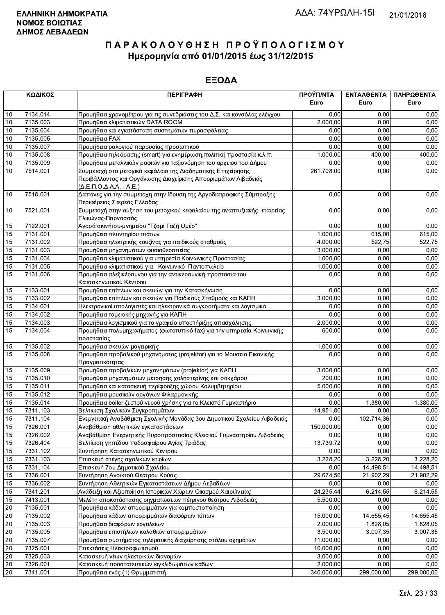|                 | ΚΩΔΙΚΟΣ  | <b>ПЕРІГРАФН</b>                                                                                                                                                                 | ΠΡΟΫΠ/ΝΤΑ<br>Euro | ΕΝΤΑΛΘΕΝΤΑ<br>Euro    | ΠΛΗΡΩΘΕΝΤΑ<br>Euro |
|-----------------|----------|----------------------------------------------------------------------------------------------------------------------------------------------------------------------------------|-------------------|-----------------------|--------------------|
|                 |          |                                                                                                                                                                                  |                   |                       |                    |
| 10              | 7134.014 | Προμήθεια χρονομέτρου για τις συνεδριάσεις του Δ.Σ. και κονσόλας ελέγχου                                                                                                         | 0,00              | 0.00                  | 0,00               |
| 10              | 7135.003 | Προμήθεια κλιματιστικών DATA ROOM                                                                                                                                                | 2.000,00          | 0,00                  | 0,00               |
| 10              | 7135.004 | Προμήθεια και εγκατάσταση συστημάτων πυρασφάλειας                                                                                                                                | 0,00              | 0,00                  | 0,00               |
| 10              | 7135.005 | Προμήθεια FAX                                                                                                                                                                    | 0,00              | 0,00                  | 0,00               |
| $10$            | 7135.007 | Προμήθεια ρολογιού παρουσίας προσωπικού                                                                                                                                          | 0,00              | 0,00                  | 0,00               |
| $10$            | 7135.008 | Προμήθεια τηλεόρασης (smart) για ενημέρωση, πολιτική προστασία κ.λ.π.                                                                                                            | 1.000,00          | 400,00                | 400,00             |
| 10              | 7135.009 | Προμήθεια μεταλλικών ραφιών για ταξιονόμηση του αρχειου του Δήμου                                                                                                                | 0,00              | 0,00                  | 0,00               |
| 10              | 7514.001 | Συμμετοχή στο μετοχικό κεφάλαιο της Διαδημοτικής Επιχείρησης<br>Περιβάλλοντος και Οργάνωσης Διαχείρισης Απορριμμάτων Λιβαδειάς<br>$(\Delta E \Pi. O. \Delta A. \Lambda. - A.E.)$ | 261.708,00        | 0,00                  | 0,00               |
| 10              | 7518.001 | Δαπάνες για την συμμετοχη στην ίδρυση της Αργοδιατροφικής Σύμπραξης<br>Περιφέρειας Στερεάς Ελλαδας                                                                               | 0,00              | 0,00                  | 0,00               |
| 10              | 7521.001 | Συμμετοχή στην αύξηση του μετοχικού κεφαλαίου της αναπτυξιακής εταιρείας<br>Ελικώνας-Παρνασσός                                                                                   | 0,00              | 0,00                  | 0,00               |
| 15              | 7122.001 | Αγορά ακινήτου-μνημείου "Τζαμί Γαζή Ομέρ"                                                                                                                                        | 0,00              | 0,00                  | 0,00               |
| 15              | 7131.001 | Προμήθεια πλυντηρίου πιάτων                                                                                                                                                      | 1.000,00          | 615,00                | 615,00             |
| 15              | 7131.002 | Προμήθεια ηλεκτρικής κουζίνας για παιδικούς σταθμούς                                                                                                                             | 4.000,00          | 522,75                | 522,75             |
| 15              | 7131.003 | Προμήθεια μηχανημάτων φυσιοθεραπείας                                                                                                                                             | 3.000,00          | 0,00                  | 0,00               |
| 15              | 7131.004 | Προμήθεια κλιματιστικού για υπηρεσία Κοινωνικής Προστασίας                                                                                                                       | 1.000,00          | 0,00                  | 0,00               |
| 15              | 7131.005 | Προμήθεια κλιματιστικού για Κοινωνικό Παντοπωλείο                                                                                                                                | 1.000,00          | 0,00                  | 0,00               |
| 15              | 7131.006 | Προμήθεια αλεξικέραυνου για την αντικεραυνική προστασια του<br>Κατασκηνωτικού Κέντρου                                                                                            | 0,00              | 0,00                  | 0,00               |
| 15              | 7133.001 | Προμήθεια επίπλων και σκευών για την Κατασκήνωση                                                                                                                                 | 0,00              | 0,00                  | 0,00               |
| 15              | 7133.002 | Προμήθεια επίπλων και σκευών για Παιδικούς Σταθμούς και ΚΑΠΗ                                                                                                                     | 3.000,00          | 0,00                  | 0,00               |
| 15              | 7134.001 | Ηλεκτρονικοί υπολογιστές και ηλεκτρονικά συγκροτήματα και λογισμικά                                                                                                              | 0,00              | 0,00                  | 0,00               |
| 15              | 7134.002 | Προμήθεια ταμειακής μηχανής για ΚΑΠΗ                                                                                                                                             | 0,00              | 0,00                  | 0,00               |
| 15              | 7134.003 | Προμήθεια λογισμικού για το γραφείο υποστήριξης απασχόλησης                                                                                                                      | 2.000,00          | 0,00                  | 0,00               |
| 15              | 7134.004 | Προμήθεια πολυμηχανήματος (φωτοτυπικό-fax) για την υπηρεσία Κοινωνικής<br>προστασίας                                                                                             | 600,00            | 0,00                  | 0,00               |
| 15              | 7135.002 | Προμήθεια σκευών μαγειρικής                                                                                                                                                      | 1.000,00          | 0,00                  | 0,00               |
| $\overline{15}$ | 7135.008 | Προμηθεια προβολικού μηχανήματος (projektor) για το Μουσειο Εικονικής<br>Πραγματικότητας                                                                                         | 0,00              | 0,00                  | 0,00               |
| 15              | 7135.009 | Προμήθεια προβολικών μηχανημάτων (projektor) για ΚΑΠΗ                                                                                                                            | 3.000,00          | 0,00                  | 0,00               |
| 15              | 7135.010 | Προμήθεια μηχανημάτων μέτρησης χοληστερίνης και σακχάρου                                                                                                                         | 200,00            | 0,00                  | 0,00               |
| 15              | 7135.011 | Προμήθεια και κατασκευή περίφραξης χώρου Κολυμβητηρίου                                                                                                                           | 5.000,00          | 0,00                  | 0,00               |
| 15              | 7135.012 | Προμήθεια μουσικών οργάνων Φιλαρμονικής                                                                                                                                          | 0,00              | 0,00                  | 0,00               |
| 15              | 7135.014 | Προμήθεια boiler ζεστού νερού χρήσης για το Κλειστό Γυμναστήριο                                                                                                                  | 0,00              | 1.380,00              | 1.380,00           |
| 15              | 7311.103 | Βελτιωση Σχολικών Συγκροτημάτων                                                                                                                                                  | 14.951,80         | 0,00                  | 0,00               |
| 15              | 7311.104 | Ενεργειακή Αναβάθμιση Σχολικής Μονάδας 3ου Δημοτικού Σχολείου Λιβαδειάς                                                                                                          | 0,00              | 102.714,36            | 0,00               |
| $\overline{15}$ | 7326.001 | Αναβάθμιση αθλητικών εγκαταστάσεων                                                                                                                                               | 150.000,00        | 0,00                  | 0,00               |
| 15              | 7326.002 | Αναβάθμιση Ενεργητικής Πυροπροστασίας Κλειστού Γυμναστηρίου Λιβαδειάς                                                                                                            | 0,00              | 0,00                  | 0,00               |
| 15              | 7326.404 | Βελτίωση γηπέδου ποδοσφαίρου Αγίας Τριάδας                                                                                                                                       | 13.739,72         | 0,00                  | 0,00               |
| 15              | 7331.102 | Συντήρηση Κατασκηνωτικού Κέντρου                                                                                                                                                 | 0,00              | 0,00                  | 0,00               |
| 15              | 7331.103 | Επισκευή στέγης σχολικών κτιρίων                                                                                                                                                 | 3.228.20          | 3.228,20              | 3.228,20           |
| 15              | 7331.104 | Επισκευή 7ου Δημοτικού Σχολείου                                                                                                                                                  | 0,00              | 14.498,51             | 14.498,51          |
| 15              | 7336.001 | Συντήρηση Ανοικτού Θεάτρου Κρύας.                                                                                                                                                | 29.674,56         | 21.902,29             | 21.902,29          |
| 15              | 7336.002 | Συντήρηση Αθλητικών Εγκαταστάσεων Δήμου Λεβαδέων                                                                                                                                 | 0,00              | 0,00                  | 0,00               |
| 15              | 7341.201 | Ανάδειξη και Αξιοποίηση Ιστορικών Χώρων Οικισμού Χαιρώνειας                                                                                                                      | 24.235,44         | 6.214,55              | 6.214,55           |
| 15              | 7413.001 | Μελέτη αποκατάστασης ρηγματώσεων πέτρινου θεάτρου Λιβαδειάς                                                                                                                      | 5.500,00          | 0,00                  | 0,00               |
| $20\,$          | 7135.001 | Προμήθεια κάδων απορριμμάτων για κομποστοποίηση                                                                                                                                  | 0,00              | 0,00                  | 0,00               |
| 20              | 7135.002 | Προμήθεια κάδων απορριμμάτων διαφόρων τύπων                                                                                                                                      | 15.000,00         | 14.655,45             | 14.655,45          |
| 20              | 7135.003 | Προμήθεια διαφόρων εργαλείων                                                                                                                                                     | 2.000,00          | $\overline{1.828,05}$ | 1.828,05           |
| $20\,$          | 7135.005 | Προμήθεια επιστήλιων καλαθιών απορριμμάτων                                                                                                                                       | 3.500,00          | 3.007,35              | 3.007,35           |
| $20\,$          | 7135.007 | Προμήθεια συστήματος τηλεματικής διαχείρησης στόλου οχημάτων                                                                                                                     | 11.000,00         | 0,00                  | 0,00               |
| $20\,$          | 7325.001 | Επεκτάσεις Ηλεκτροφωτισμού                                                                                                                                                       | 10.000,00         | 0,00                  | 0,00               |
| 20              | 7325.003 | Κατασκευή νέων ηλεκτρικών διανομών                                                                                                                                               | 3.000,00          | 0,00                  | 0,00               |
| 20              | 7326.001 | Κατασκευή προστατευτικών κιγκλιδωμάτων κάδων                                                                                                                                     | 2.000,00          | 0,00                  | 0,00               |
| 20              | 7341.001 | Προμήθεια ενός (1) Θρυμματιστή                                                                                                                                                   | 340.000,00        | 299.000,00            | 299.000,00         |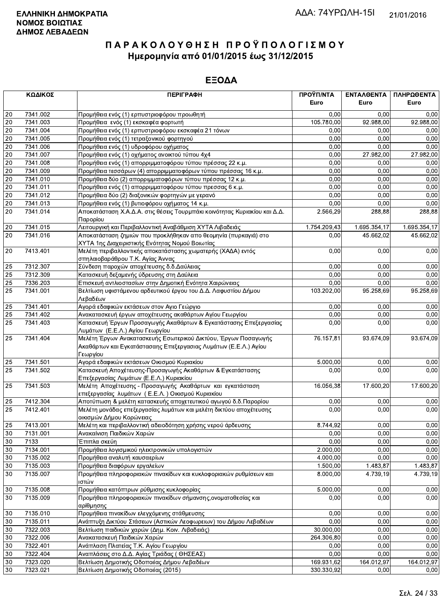|                 | ΚΩΔΙΚΟΣ<br><b>ПЕРІГРАФН</b> |                                                                                                                                               | ΠΡΟΫΠ/ΝΤΑ<br>Euro         | <b>ENTAAGENTA</b><br>Euro | ΠΛΗΡΩΘΕΝΤΑ<br>Euro |
|-----------------|-----------------------------|-----------------------------------------------------------------------------------------------------------------------------------------------|---------------------------|---------------------------|--------------------|
| 20              | 7341.002                    | Προμήθεια ενός (1) ερπυστριοφόρου προωθητή                                                                                                    | 0,00                      | 0.00                      | 0,00               |
| 20              | 7341.003                    | Προμήθεια ενός (1) εκσκαφέα φορτωτή                                                                                                           | 105.780,00                | 92.988,00                 | 92.988,00          |
| 20              | 7341.004                    | Προμήθεια ενός (1) ερπυστριοφόρου εκσκαφέα 21 τόνων                                                                                           | 0.00                      | 0,00                      | 0,00               |
| 20              | 7341.005                    | Προμήθεια ενός (1) τετραξονικού φορτηγού                                                                                                      | 0,00                      | 0,00                      | 0,00               |
| 20              | 7341.006                    | Προμήθεια ενός (1) υδροφόρου οχήματος                                                                                                         | 0,00                      | 0,00                      | 0,00               |
| $\overline{20}$ | 7341.007                    | Προμήθεια ενός (1) οχήματος ανοικτού τύπου 4χ4                                                                                                | 0,00                      | 27.982,00                 | 27.982,00          |
| $20\,$          | 7341.008                    | Προμήθεια ενός (1) απορριμματοφόρου τύπου πρέσσας 22 κ.μ.                                                                                     | 0.00                      | 0,00                      | 0.00               |
| $\overline{20}$ | 7341.009                    | Προμήθεια τεσσάρων (4) απορριμματοφόρων τύπου πρέσσας 16 κ.μ.                                                                                 | 0,00                      | 0.00                      | 0,00               |
| $\overline{20}$ | 7341.010                    | Προμήθεια δύο (2) απορριμματοφόρων τύπου πρέσσας 12 κ.μ.                                                                                      | 0,00                      | 0,00                      | 0,00               |
| 20              | 7341.011                    | Προμήθεια ενός (1) απορριμματοφόρου τύπου πρεσσας 6 κ.μ.                                                                                      | 0,00                      | 0,00                      | 0,00               |
| 20              | 7341.012                    | Προμήθεια δύο (2) διαξονικών φορτηγών με γερανό                                                                                               | 0,00                      | 0,00                      | 0,00               |
| $20\,$          | 7341.013                    | Προμήθεια ενός (1) βυτιοφόρου οχήματος 14 κ.μ.                                                                                                | 0,00                      | 0,00                      | 0,00               |
| 20              | 7341.014                    | Αποκατάσταση Χ.Α.Δ.Α. στις θέσεις Τουρμπάκι κοινότητας Κυριακίου και Δ.Δ.<br>Παρορίου                                                         | 2.566,29                  | 288,88                    | 288,88             |
| 20              | 7341.015                    | Λειτουργική και Περιβαλλοντική Αναβάθμιση ΧΥΤΑ Λιβαδειάς                                                                                      | $\overline{1.754.209,43}$ | 1.695.354,17              | 1.695.354,17       |
| 20              | 7341.016                    | Αποκατάσταση ζημιών που προκλήθηκαν απο θεομηνία (πυρκαγιά) στο<br>ΧΥΤΑ 1ης Διαχειριστικής Ενότητας Νομού Βοιωτίας                            | 0.00                      | 45.662,02                 | 45.662,02          |
| 20              | 7413.401                    | Μελέτη περιβαλλοντικής αποκατάστασης χωματερής (ΧΑΔΑ) εντός<br>σπηλαιοβαράθρου Τ.Κ. Αγίας Άννας                                               | 0,00                      | 0,00                      | 0,00               |
| 25              | 7312.307                    | Σύνδεση παροχών αποχέτευσης δ.δ. Δαύλειας                                                                                                     | 0,00                      | 0.00                      | 0,00               |
| 25              | 7312.309                    | Κατασκευή δεξαμενής ύδρευσης στη Δαύλεια                                                                                                      | 0,00                      | 0,00                      | 0,00               |
| $\overline{25}$ | 7336.203                    | Επισκευή αντλιοστασίων στην Δημοτική Ενότητα Χαιρώνειας                                                                                       | 0,00                      | 0,00                      | 0,00               |
| 25              | 7341.001                    | Βελτίωση υφιστάμενου αρδευτικού έργου του Δ.Δ. Λαφυστίου Δήμου<br>Λεβαδέων                                                                    | 103.202,00                | 95.258,69                 | 95.258,69          |
| 25              | 7341.401                    | Αγορά εδαφικών εκτάσεων στον Αγιο Γεώργιο                                                                                                     | 0,00                      | 0,00                      | 0,00               |
| 25              | 7341.402                    | Ανακατασκευή έργων αποχέτευσης ακαθάρτων Αγίου Γεωργίου                                                                                       | 0,00                      | 0,00                      | 0,00               |
| 25              | 7341.403                    | Κατασκευή Έργων Προσαγωγής Ακαθάρτων & Εγκατάστασης Επεξεργασίας<br>Λυμάτων (Ε.Ε.Λ.) Αγίου Γεωργίου                                           | 0,00                      | 0,00                      | 0,00               |
| 25              | 7341.404                    | Μελέτη Έργων Ανακατασκευής Εσωτερικού Δικτύου, Έργων Ποσαγωγής<br>Ακαθάρτων και Εγκατάστασαης Επεξεργασιας Λυμάτων (Ε.Ε.Λ.) Αγίου<br>Γεωργίου | 76.157,81                 | 93.674,09                 | 93.674,09          |
| 25              | 7341.501                    | Αγορά εδαφικών εκτάσεων Οικισμού Κυριακίου                                                                                                    | 5.000,00                  | 0,00                      | 0,00               |
| $\overline{25}$ | 7341.502                    | Κατασκευή Αποχέτευσης-Προσαγωγής Ακαθάρτων & Εγκατάστασης<br>Επεξεργασίας Λυμάτων (Ε.Ε.Λ.) Κυριακίου                                          | 0,00                      | 0,00                      | 0,00               |
| 25              | 7341.503                    | Μελέτη Αποχέτευσης - Προσαγωγής Ακαθάρτων και εγκατάσταση<br>επεξεργασίας λυμάτων (Ε.Ε.Λ.) Οικισμού Κυριακίου                                 | 16.056,38                 | 17.600,20                 | 17.600,20          |
| 25              | 7412.304                    | Αποτύπωση & μελέτη κατασκευής αποχετευτικού αγωγού δ.δ. Παρορίου                                                                              | 0,00                      | 0,00                      | 0,00               |
| 25              | 7412.401                    | Μελέτη μονάδας επεξεργασίας λυμάτων και μελέτη δικτύου αποχέτευσης<br>οικισμών Δήμου Κορώνειας                                                | 0,00                      | 0,00                      | 0,00               |
| $\overline{25}$ | 7413.001                    | Μελέτη και περιβαλλοντική αδειοδότηση χρήσης νερού άρδευσης                                                                                   | 8.744,92                  | 0,00                      | 0,00               |
| 30              | 7131.001                    | Ανακαίνιση Παιδικών Χαρών                                                                                                                     | 0,00                      | 0,00                      | 0,00               |
| 30              | 7133                        | Έπιπλα σκεύη                                                                                                                                  | 0,00                      | 0,00                      | 0,00               |
| 30              | 7134.001                    | Προμήθεια λογισμικού ηλεκτρονικών υπολογιστών                                                                                                 | 2.000,00                  | 0,00                      | 0,00               |
| $30\,$          | 7135.002                    | Προμήθεια αναλυτή καυσαερίων                                                                                                                  | 4.000,00                  | 0,00                      | 0,00               |
| 30              | 7135.003                    | Προμήθεια διαφόρων εργαλείων                                                                                                                  | 1.500,00                  | 1.483,87                  | 1.483,87           |
| 30              | 7135.007                    | Προμήθεια πληροφοριακών πινακίδων και κυκλοφοριακών ρυθμίσεων και<br>ιστών                                                                    | 8.000,00                  | 4.739,19                  | 4.739,19           |
| $30\,$          | 7135.008                    | Προμήθεια κατόπτρων ρύθμισης κυκλοφορίας                                                                                                      | 5.000,00                  | 0,00                      | 0,00               |
| 30              | 7135.009                    | Προμήθεια πληροφοριακών πινακίδων σήμανσης, ονοματοθεσίας και<br>αρίθμησης                                                                    | 0,00                      | 0,00                      | 0,00               |
| $30\,$          | 7135.010                    | Προμήθεια πινακίδων ελεγχόμενης στάθμευσης                                                                                                    | 0,00                      | 0,00                      | 0,00               |
| 30              | 7135.011                    | Ανάπτυξη Δικτύου Στάσεων (Αστικών Λεοφωρειων) του Δήμου Λεβαδέων                                                                              | 0,00                      | 0,00                      | 0,00               |
| $30\,$          | 7322.003                    | Βελτίωση παιδικών χαρών (Δημ. Κοιν. Λιβαδειάς)                                                                                                | 30.000,00                 | 0,00                      | 0,00               |
| 30              | 7322.006                    | Ανακατασκευή Παιδικών Χαρών                                                                                                                   | 264.306,80                | 0,00                      | 0,00               |
| 30              | 7322.401                    | Ανάπλαση Πλατείας Τ.Κ. Αγίου Γεωργίου                                                                                                         | 0,00                      | 0,00                      | 0,00               |
| 30              | 7322.404                    | Αναπλάσεις στο Δ.Δ. Αγίας Τριάδας (ΘΗΣΕΑΣ)                                                                                                    | 0,00                      | 0,00                      | 0,00               |
| 30              | 7323.020                    | Βελτίωση Δημοτικής Οδοποιίας Δήμου Λεβαδέων                                                                                                   | 169.931,62                | 164.012,97                | 164.012,97         |
| 30              | 7323.021                    | Βελτίωση Δημοτικής Οδοποιίας (2015)                                                                                                           | 330.330,92                | 0,00                      | 0,00               |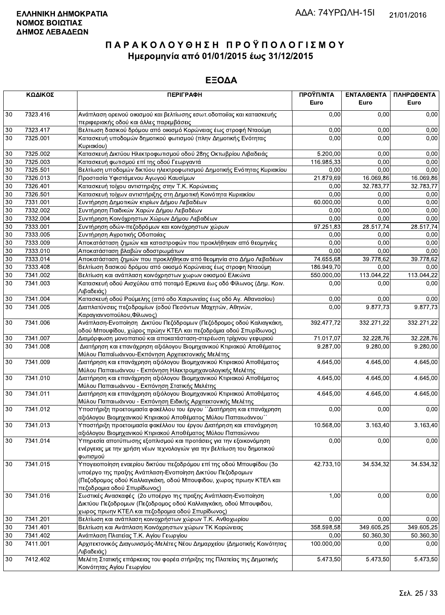|          | ΚΩΔΙΚΟΣ<br><b>ПЕРІГРАФН</b> |                                                                                                                                                                                                                                       | ΠΡΟΫΠ/ΝΤΑ<br>Euro       | ΕΝΤΑΛΘΕΝΤΑ<br>Euro | ΠΛΗΡΩΘΕΝΤΑ<br>Euro |
|----------|-----------------------------|---------------------------------------------------------------------------------------------------------------------------------------------------------------------------------------------------------------------------------------|-------------------------|--------------------|--------------------|
| 30       | 7323.416                    | Ανάπλαση ορεινού οικισμού και βελτίωσης εσωτ. οδοποιΐας και κατασκευής<br>περιφεριακής οδού και άλλες παρεμβάσεις                                                                                                                     | 0,00                    | 0,00               | 0,00               |
| 30       | 7323.417                    | Βελτιωση δασικού δρόμου από οικισμό Κορώνειας έως στροφή Νταούμη                                                                                                                                                                      | 0,00                    | 0,00               | 0,00               |
| 30       | 7325.001                    | Κατασκευή υποδομών δημοτικού φωτισμού (πλην Δημοτικής Ενότητας<br>Κυριακίου)                                                                                                                                                          | 0,00                    | 0.00               | 0,00               |
| 30       | 7325.002                    | Κατασκευή Δικτύου Ηλεκτροφωτισμού οδού 28ης Οκτωβρίου Λιβαδειάς                                                                                                                                                                       | 5.200,00                | 0.00               | 0,00               |
| 30       | 7325.003                    | Κατασκευή φωτισμού επί της οδού Γεωργαντά                                                                                                                                                                                             | 116.985,33              | 0,00               | 0,00               |
| 30       | 7325.501                    | Βελτίωση υποδομών δικτύου ηλεκτροφωτισμού Δημοτικής Ενότητας Κυριακίου                                                                                                                                                                | 0,00                    | 0,00               | 0,00               |
| 30       | 7326.013                    | Προστασία Υφιστάμενου Αγωγού Καυσίμων                                                                                                                                                                                                 | 21.879,69               | 16.069,86          | 16.069,86          |
| 30       | 7326.401                    | Κατασκευή τοίχου αντιστηριξης στην Τ.Κ. Κορώνειας                                                                                                                                                                                     | 0,00                    | 32.783,77          | 32.783,77          |
| 30       | 7326.501                    | Κατασκευή τοίχων αντιστήριξης στη Δημοτική Κοινότητα Κυριακίου                                                                                                                                                                        | 0,00                    | 0,00               | 0,00               |
| 30       | 7331.001                    | Συντήρηση Δημοτικών κτιρίων Δήμου Λεβαδέων                                                                                                                                                                                            | 60.000,00               | 0.00               | 0,00               |
| 30       | 7332.002                    | Συντήρηση Παιδικών Χαρών Δήμου Λεβαδέων                                                                                                                                                                                               | 0,00                    | 0,00               | 0,00               |
| 30       | 7332.004                    | Συντήρηση Κοινόχρηστων Χώρων Δήμου Λεβαδέων                                                                                                                                                                                           | 0,00                    | 0,00               | 0,00               |
| 30       | 7333.001                    | Συντήρηση οδών-πεζοδρόμων και κοινόχρηστων χώρων                                                                                                                                                                                      | 97.251,83               | 28.517,74          | 28.517,74          |
| 30       | 7333.005                    | Συντήρηση Αγροτικής Οδοποιίας                                                                                                                                                                                                         | 0,00                    | 0,00               | 0,00               |
| 30       | 7333.009                    | Αποκατάσταση ζημιών και καταστροφών που προκλήθηκαν από θεομηνίες                                                                                                                                                                     | 0.00                    | 0.00               | 0,00               |
| 30       | 7333.010                    | Αποκατάσταση βλαβών οδοστρωμάτων                                                                                                                                                                                                      | 0,00                    | 0,00<br>39.778,62  | 0,00               |
| 30<br>30 | 7333.014<br>7333.408        | Αποκατάσταση ζημιών που προκλήθηκαν από θεομηνία στο Δήμο Λεβαδέων<br>Βελτίωση δασικού δρόμου από οικισμό Κορώνειας έως στροφη Νταούμη                                                                                                | 74.655,68<br>186.949,70 | 0,00               | 39.778,62<br>0,00  |
| 30       | 7341.002                    | Βελτίωση και ανάπλαση κοινόχρηστων χωρων οικισμού Ελικώνα                                                                                                                                                                             | 550.000,00              | 113.044,22         | 113.044,22         |
| 30       | 7341.003                    | Κατασκευή οδού Αισχύλου από ποταμό Ερκυνα έως οδό Φίλωνος (Δημ. Κοιν.<br>Λιβαδειάς)                                                                                                                                                   | 0,00                    | 0,00               | 0,00               |
| 30       | 7341.004                    | Κατασκευή οδού Ρούμελης (από οδο Χαιρωνείας έως οδό Αγ. Αθανασίου)                                                                                                                                                                    | 0,00                    | 0,00               | 0,00               |
| 30       | 7341.005                    | Διαπλατύνσεις πεζοδρομίων (οδού Πεσόντων Μαχητών, Αθηνών,<br>Καραγιαννοπούλου, Φίλωνος)                                                                                                                                               | 0,00                    | 9.877,73           | 9.877,73           |
| 30       | 7341.006                    | Ανάπλαση-Ενοποίηση Δικτύου Πεζόδρομων (Πεζόδρομος οδού Καλιαγκάκη,<br>οδού Μπουφίδου, χώρος πρώην ΚΤΕΛ και πεζοδρόμια οδού Σπυρίδωνος)                                                                                                | 392.477,72              | 332.271,22         | 332.271,22         |
| 30       | 7341.007                    | Διαμόρφωση μονοπατιού και αποκατάσταση-στερέωση τρίχινου γεφυριού                                                                                                                                                                     | 71.017,07               | 32.228,76          | 32.228,76          |
| 30       | 7341.008                    | Διατήρηση και επανάχρηση αξιόλογου Βιομηχανικού Κτιριακού Αποθέματος<br>Μύλου Παπαϊωάννου-Εκπόνηση Αρχιτεκτονικής Μελέτης                                                                                                             | 9.287,00                | 9.280,00           | 9.280,00           |
| 30       | 7341.009                    | Διατήρηση και επανάχρηση αξιόλογου Βιομηχανικού Κτιριακού Αποθέματος<br>Μύλου Παπαιωάννου - Εκπόνηση Ηλεκτρομηχανολογικής Μελέτης                                                                                                     | 4.645,00                | 4.645,00           | 4.645,00           |
| 30       | 7341.010                    | Διατήρηση και επανάχρηση αξιόλογου Βιομηχανικού Κτιριακού Αποθέματος<br>Μύλου Παπαιωάννου - Εκπόνηση Στατικής Μελέτης                                                                                                                 | 4.645,00                | 4.645,00           | 4.645,00           |
| 30       | 7341.011                    | Διατήρηση και επανάχρηση αξιόλογου Βιομηχανικού Κτιριακού Αποθέματος<br>Μύλου Παπαιωάννου - Εκπόνηση Ειδικής Αρχιτεκτονικής Μελέτης                                                                                                   | 4.645,00                | 4.645,00           | 4.645,00           |
| 30       | 7341.012                    | Υποστήριξη προετοιμασία φακέλλου του έργου ΄΄Διατήρηση και επανάχρηση<br>αξιόλογου Βιομηχανικού Κτιριακού Αποθέματος Μύλου Παπαιωάννου''                                                                                              | 0,00                    | 0,00               | 0,00               |
| 30       | 7341.013                    | Υποστήριξη προετοιμασία φακέλλου του έργου Διατήρηση και επανάχρηση<br>αξιόλογου Βιομηχανικού Κτιριακού Αποθέματος Μύλου Παπαιώννου                                                                                                   | 10.568,00               | 3.163,40           | 3.163,40           |
| 30       | 7341.014                    | Υπηρεσία αποτύπωσης εξοπλισμού και προτάσεις για την εξοικονόμηση<br>ενέργειας με την χρήση νέων τεχνολογιών για την βελτίωση του δημοτικού<br>φωτισμού                                                                               | 0,00                    | 0,00               | 0,00               |
| 30       | 7341.015                    | Υπογειοποίηση εναερίου δικτύου πεζοδρόμου επί της οδού Μπουφίδου (3ο<br>υποέργο της πραξης Ανάπλαση-Ενοποίηση Δικτύου Πεζοδρομων<br>(Πεζοδρομος οδού Καλλιαγκάκη, οδού Μπουφιδου, χωρος πρωην ΚΤΕΛ και<br>πεζοδρομια οδού Σπυρίδωνος) | 42.733,10               | 34.534,32          | 34.534,32          |
| 30       | 7341.016                    | Σωστικές Ανασκαφές (2ο υποέργο της πραξης Ανάπλαση-Ενοποίηση<br>Δικτύου Πεζοδρομων (Πεζοδρομος οδού Καλλιαγκάκη, οδού Μπουφιδου,<br>χωρος πρωην ΚΤΕΛ και πεζοδρομια οδού Σπυρίδωνος)                                                  | 1,00                    | 0,00               | 0,00               |
| 30       | 7341.201                    | Βελτίωση και ανάπλαση κοινοχρήστων χώρων Τ.Κ. Ανθοχωρίου                                                                                                                                                                              | 0,00                    | 0,00               | 0,00               |
| 30       | 7341.401                    | Βελτίωση και Ανάπλαση Κοινόχρηστων χώρων ΤΚ Κορώνειας                                                                                                                                                                                 | 358.598,58              | 349.605,25         | 349.605,25         |
| 30       | 7341.402                    | Ανάπλαση Πλατείας Τ.Κ. Αγίου Γεωργίου                                                                                                                                                                                                 | 0,00                    | 50.360,30          | 50.360,30          |
| 30       | 7411.001                    | Αρχιτεκτονικός Διαγωνισμός-Μελέτες Νέου Δημαρχείου (Δημοτικής Κοινότητας<br>Λιβαδειάς)                                                                                                                                                | 100.000,00              | 0,00               | 0,00               |
| 30       | 7412.402                    | Μελέτη Στατικής επάρκειας του φορέα στήριξης της Πλατείας της Δημοτικής<br>Κοινότητας Ανίου Γεωρνίου.                                                                                                                                 | 5.473,50                | 5.473,50           | 5.473,50           |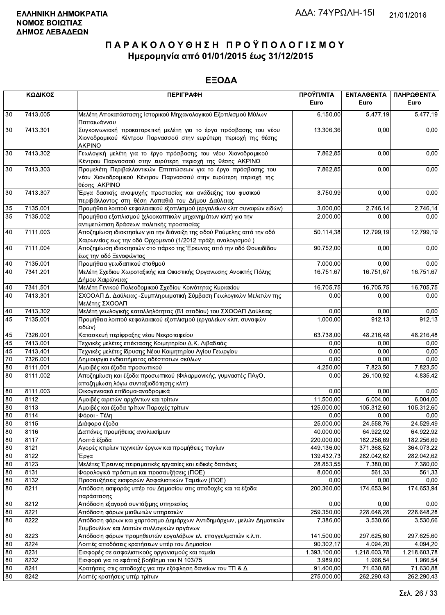|    | ΚΩΔΙΚΟΣ  | <b>ПЕРІГРАФН</b>                                                                                                                                      | ΠΡΟΫΠ/ΝΤΑ<br>Euro | ΕΝΤΑΛΘΕΝΤΑ<br>Euro | ΠΛΗΡΩΘΕΝΤΑ<br>Euro |
|----|----------|-------------------------------------------------------------------------------------------------------------------------------------------------------|-------------------|--------------------|--------------------|
| 30 | 7413.005 | Μελέτη Αποκατάστασης Ιστορικού Μηχανολογικού Εξοπλισμού Μύλων<br>Παπαιωάννου                                                                          | 6.150,00          | 5.477,19           | 5.477,19           |
| 30 | 7413.301 | Συγκοινωνιακή προκαταρκτική μελέτη για το έργο πρόσβασης του νέου<br>Χιονοδρομικού Κέντρου Παρνασσού στην ευρύτερη περιοχή της θέσης<br><b>AKPINO</b> | 13.306,36         | 0,00               | 0,00               |
| 30 | 7413.302 | Γεωλογική μελέτη για το έργο πρόσβασης του νέου Χιονοδρομικού<br>Κέντρου Παρνασσού στην ευρύτερη περιοχή της θέσης ΑΚΡΙΝΟ                             | 7.862,85          | 0,00               | 0,00               |
| 30 | 7413.303 | Προμελέτη Περιβαλλοντικών Επιπτώσεων για το έργο πρόσβασης του<br>νέου Χιονοδρομικού Κέντρου Παρνασσού στην ευρύτερη περιοχή της<br>θέσης AKPINO      | 7.862,85          | 0.00               | 0,00               |
| 30 | 7413.307 | Έργα δασικής αναψυχής προστασίας και ανάδειξης του φυσικού<br>περιβάλλοντος στη θέση Λαπαθιά του Δήμου Δαύλειας                                       | 3.750,99          | 0,00               | 0,00               |
| 35 | 7135.001 | Προμήθεια λοιπού κεφαλαιακού εξοπλισμού (εργαλείων κλπ συναφών ειδών)                                                                                 | 3.000,00          | 2.746,14           | 2.746,14           |
| 35 | 7135.002 | Προμήθεια εξοπλισμού (χλοοκοπτικών μηχανημάτων κλπ) για την<br>αντιμετώπιση δράσεων πολιτικής προστασίας                                              | 2.000,00          | 0,00               | 0,00               |
| 40 | 7111.003 | Αποζημίωση ιδιοκτησίων για την διάνοιξη της οδού Ρούμελης από την οδό<br>Χαιρωνείας εως την οδό Ορχομενού (1/2012 πράξη αναλογισμού)                  | 50.114,38         | 12.799,19          | 12.799,19          |
| 40 | 7111.004 | Αποζημίωση ιδιοκτησιών στο πάρκο της Έρκυνας από την οδό Θουκιδίδου<br>έως την οδό Ξενοφώντος                                                         | 90.752,00         | 0,00               | 0,00               |
| 40 | 7135.001 | Προμήθεια γεωδαιτικού σταθμού                                                                                                                         | 7.000,00          | 0,00               | 0,00               |
| 40 | 7341.201 | Μελέτη Σχεδιου Χωροταξικής και Οικιστικής Οργανωσης Ανοικτής Πόλης<br>Δήμου Χαιρώνειας                                                                | 16.751,67         | 16.751,67          | 16.751,67          |
| 40 | 7341.501 | Μελέτη Γενικού Πολεοδομικού Σχεδίου Κοινότητας Κυριακίου                                                                                              | 16.705,75         | 16.705,75          | 16.705,75          |
| 40 | 7413.301 | ΣΧΟΟΑΠ Δ. Δαύλειας -Συμπληρωματική Σύμβαση Γεωλογικών Μελετών της<br>Μελέτης ΣΧΟΟΑΠ                                                                   | 0.00              | 0,00               | 0,00               |
| 40 | 7413.302 | Μελέτη γεωλογικής καταλληλότητας (Β1 σταδίου) του ΣΧΟΟΑΠ Δαύλειας                                                                                     | 0,00              | 0,00               | 0,00               |
| 45 | 7135.001 | Προμήθεια λοιπού κεφαλαιακού εξοπλισμού (εργαλείων κλπ. συναφών<br> ειδών)                                                                            | 1.000,00          | 912, 13            | 912,13             |
| 45 | 7326.001 | Κατασκευή περίφραξης νέου Νεκροταφείου                                                                                                                | 63.738,00         | 48.216,48          | 48.216,48          |
| 45 | 7413.001 | Τεχνικές μελέτες επέκτασης Κοιμητηρίου Δ.Κ. Λιβαδειάς                                                                                                 | 0,00              | 0,00               | 0,00               |
| 45 | 7413.401 | Τεχνικές μελέτες ίδρυσης Νέου Κοιμητηρίου Αγίου Γεωργίου                                                                                              | 0,00              | 0,00               | 0,00               |
| 70 | 7326.001 | Δημιουργια ενδιαιτήματος αδέσποτων σκύλων                                                                                                             | 0,00              | 0,00               | 0,00               |
| 80 | 8111.001 | Αμοιβές και έξοδα προσωπικού                                                                                                                          | 4.250,00          | 7.823,50           | 7.823,50           |
| 80 | 8111.002 | Αποζημίωση και έξοδα προσωπικού (Φιλαρμονικής, γυμναστές ΠΑγΟ,<br>αποζημίωση λόγω συνταξιοδότησης κλπ)                                                | 0,00              | 26.100,92          | 4.835,42           |
| 80 | 8111.003 | Οικογενειακό επίδομα-αναδρομικά                                                                                                                       | 0.00              | 0,00               | 0,00               |
| 80 | 8112     | Αμοιβές αιρετών αρχόντων και τρίτων                                                                                                                   | 11.500,00         | 6.004,00           | 6.004,00           |
| 80 | 8113     | Αμοιβές και έξοδα τρίτων Παροχές τρίτων                                                                                                               | 125.000,00        | 105.312,60         | 105.312,60         |
| 80 | 8114     | Φόροι - Τέλη                                                                                                                                          | 0,00              | 0,00               | 0,00               |
| 80 | 8115     | Διάφορα έξοδα                                                                                                                                         | 25.000,00         | 24.558,76          | 24.529,49          |
| 80 | 8116     | Δαπάνες προμήθειας αναλωσίμων                                                                                                                         | 40.000,00         | 64.922,92          | 64.922,92          |
| 80 | 8117     | Λοιπά έξοδα                                                                                                                                           | 220.000,00        | 182.256,69         | 182.256,69         |
| 80 | 8121     | Αγορές κτιρίων τεχνικών έργων και προμήθειες παγίων                                                                                                   | 449.136,00        | 371.368,52         | 364.073,22         |
| 80 | 8122     | Έργα                                                                                                                                                  | 139.432,73        | 282.042,62         | 282.042,62         |
| 80 | 8123     | Μελέτες Έρευνες πειραματικές εργασίες και ειδικές δαπάνες                                                                                             | 28.853,55         | 7.380,00           | 7.380,00           |
| 80 | 8131     | Φορολογικά πρόστιμα και προσαυξήσεις (ΠΟΕ)                                                                                                            | 8.000,00          | 561,33             | 561,33             |
| 80 | 8132     | Προσαυξήσεις εισφορών Ασφαλιστικών Ταμείων (ΠΟΕ)                                                                                                      | 0,00              | 0,00               | 0,00               |
| 80 | 8211     | Απόδοση εισφοράς υπέρ του Δημοσίου στις αποδοχές και τα έξοδα<br>παράστασης                                                                           | 200.360,00        | 174.653,94         | 174.653,94         |
| 80 | 8212     | Απόδοση εξαγορά συντάξιμης υπηρεσίας                                                                                                                  | 0,00              | 0,00               | 0,00               |
| 80 | 8221     | Απόδοση φόρων μισθωτών υπηρεσιών                                                                                                                      | 259.350,00        | 228.648,28         | 228.648,28         |
| 80 | 8222     | Απόδοση φόρων και χαρτόσημο Δημάρχων Αντιδημάρχων, μελών Δημοτικών<br>Συμβουλίων και λοιπών συλλογικών οργάνων                                        | 7.386,00          | 3.530,66           | 3.530.66           |
| 80 | 8223     | Απόδοση φόρων προμηθευτών εργολάβων ελ. επαγγελματιών κ.λ.π.                                                                                          | 141.500,00        | 297.625,60         | 297.625,60         |
| 80 | 8224     | Λοιπές αποδόσεις κρατήσεων υπέρ του Δημοσίου                                                                                                          | 90.302,17         | 4.094,20           | 4.094,20           |
| 80 | 8231     | Εισφορές σε ασφαλιστικούς οργανισμούς και ταμεία                                                                                                      | 1.393.100,00      | 1.218.603,78       | 1.218.603,78       |
| 80 | 8232     | Εισφορά για το εφάπαξ βοήθημα του Ν 103/75                                                                                                            | 3.989,00          | 1.966,54           | 1.966,54           |
| 80 | 8241     | Κρατήσεις στις αποδοχές για την εξόφληση δανείων του ΤΠ & Δ                                                                                           | 91.400,00         | 71.630,88          | 71.630,88          |
| 80 | 8242     | Λοιπές κρατήσεις υπέρ τρίτων                                                                                                                          | 275.000,00        | 262.290,43         | 262.290,43         |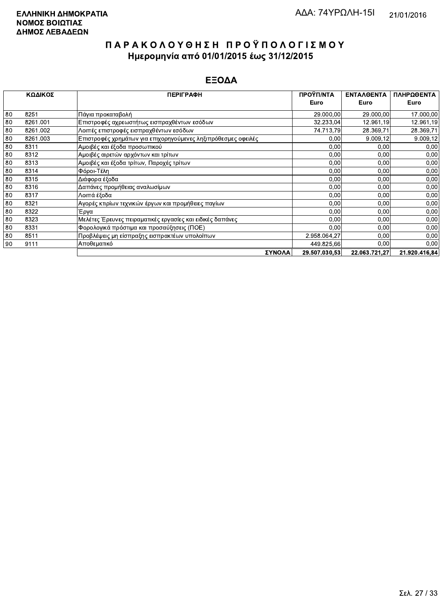|    | ΚΩΔΙΚΟΣ  | <b>ПЕРІГРАФН</b>                                              | ΠΡΟΫΠ/ΝΤΑ<br>Euro | <b>ENTAAOENTA</b><br>Euro | ΠΛΗΡΩΘΕΝΤΑ<br>Euro |
|----|----------|---------------------------------------------------------------|-------------------|---------------------------|--------------------|
| 80 | 8251     | Πάγια προκαταβολή                                             | 29.000,00         | 29.000,00                 | 17.000,00          |
| 80 | 8261.001 | Επιστροφές αχρεωστήτως εισπραχθέντων εσόδων                   | 32.233,04         | 12.961,19                 | 12.961,19          |
| 80 | 8261.002 | Λοιπές επιστροφές εισπραχθέντων εσόδων                        | 74.713,79         | 28.369.71                 | 28.369,71          |
| 80 | 8261.003 | Επιστροφές χρημάτων για επιχορηγούμενες ληξιπρόθεσμες οφειλές | 0,00              | 9.009,12                  | 9.009,12           |
| 80 | 8311     | Αμοιβές και έξοδα προσωπικού                                  | 0,00              | 0,00                      | 0,00               |
| 80 | 8312     | Αμοιβές αιρετών αρχόντων και τρίτων                           | 0,00              | 0,00                      | 0.00               |
| 80 | 8313     | Αμοιβές και έξοδα τρίτων, Παροχές τρίτων                      | 0,00              | 0,00                      | 0,00               |
| 80 | 8314     | Φόροι-Τέλη                                                    | 0,00              | 0,00                      | 0,00               |
| 80 | 8315     | Διάφορα έξοδα                                                 | 0,00              | 0.00                      | 0,00               |
| 80 | 8316     | Δαπάνες προμήθειας αναλωσίμων                                 | 0,00              | 0,00                      | 0,00               |
| 80 | 8317     | Λοιπά έξοδα                                                   | 0,00              | 0,00                      | 0,00               |
| 80 | 8321     | Αγορές κτιρίων τεχνικών έργων και προμήθειες παγίων           | 0,00              | 0,00                      | 0.00               |
| 80 | 8322     | Έργα                                                          | 0,00              | 0,00                      | 0.00               |
| 80 | 8323     | Μελέτες Έρευνες πειραματικές εργασίες και ειδικές δαπάνες     | 0,00              | 0,00                      | 0,00               |
| 80 | 8331     | Φορολογικά πρόστιμα και προσαύξησεις (ΠΟΕ)                    | 0,00              | 0,00                      | 0,00               |
| 80 | 8511     | Προβλέψεις μη είσπραξης εισπρακτέων υπολοίπων                 | 2.958.064,27      | 0,00                      | 0,00               |
| 90 | 9111     | Αποθεματικό                                                   | 449.825,66        | 0,00                      | 0,00               |
|    |          | ΣΥΝΟΛΑ                                                        | 29.507.030.53     | 22.063.721.27             | 21.920.416.84      |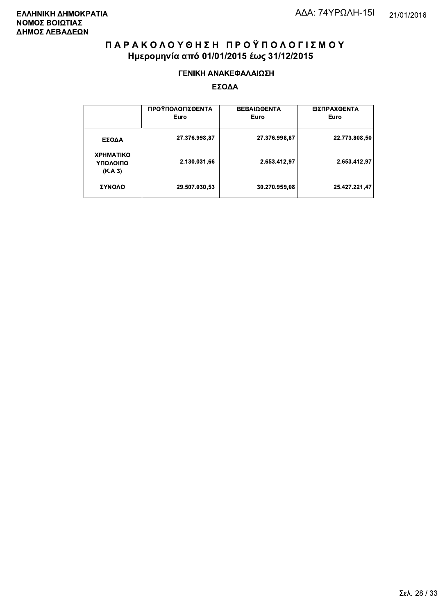#### ΓΕΝΙΚΗ ΑΝΑΚΕΦΑΛΑΙΩΣΗ

|                                         | ΠΡΟΫΠΟΛΟΓΙΣΘΕΝΤΑ<br>Euro | <b>ΒΕΒΑΙΩΘΕΝΤΑ</b><br>Euro | ΕΙΣΠΡΑΧΘΕΝΤΑ<br>Euro |
|-----------------------------------------|--------------------------|----------------------------|----------------------|
| ΕΣΟΔΑ                                   | 27.376.998,87            | 27.376.998.87              | 22.773.808,50        |
| <b>XPHMATIKO</b><br>ΥΠΟΛΟΙΠΟ<br>(K.A.3) | 2.130.031,66             | 2.653.412.97               | 2.653.412.97         |
| ΣΥΝΟΛΟ                                  | 29.507.030,53            | 30.270.959,08              | 25.427.221.47        |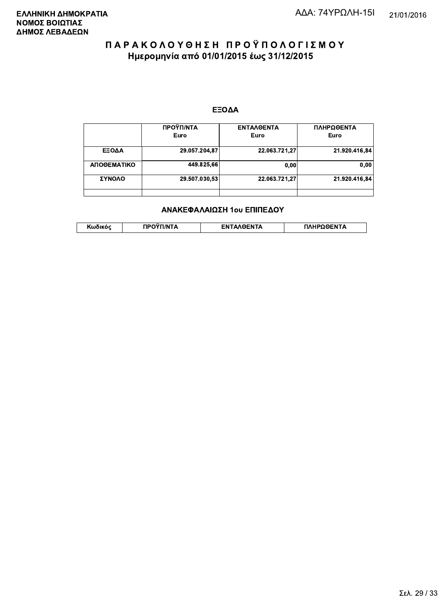#### ΕΞΟΔΑ

|             | ΠΡΟΫΠ/ΝΤΑ     | <b>ENTAAGENTA</b> | ΠΛΗΡΩΘΕΝΤΑ    |
|-------------|---------------|-------------------|---------------|
|             | Euro          | Euro              | Euro          |
| ΕΞΟΔΑ       | 29.057.204,87 | 22.063.721.27     | 21.920.416.84 |
| ΑΠΟΘΕΜΑΤΙΚΟ | 449.825,66    | 0,00              | 0,00          |
| ΣΥΝΟΛΟ      | 29.507.030,53 | 22.063.721,27     | 21.920.416.84 |
|             |               |                   |               |

#### ΑΝΑΚΕΦΑΛΑΙΩΣΗ 1ου ΕΠΙΠΕΔΟΥ

|  | . | <b>TINTA</b> | ົ° PENTA | ΗΡΩΘΕΝΤΔ |
|--|---|--------------|----------|----------|
|--|---|--------------|----------|----------|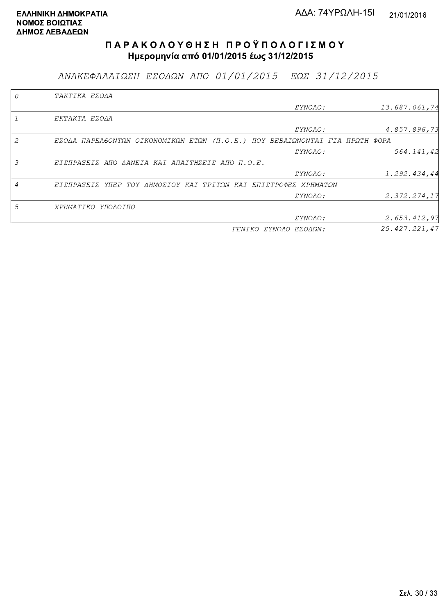ΑΝΑΚΕΦΑΛΑΙΩΣΗ ΕΣΟΔΩΝ ΑΠΟ 01/01/2015 ΕΩΣ 31/12/2015

|                | TAKTIKA EZOAA                                                               |                       |               |
|----------------|-----------------------------------------------------------------------------|-----------------------|---------------|
|                |                                                                             | <i>EYNOAO:</i>        | 13.687.061,74 |
|                | EKTAKTA EZOAA                                                               |                       |               |
|                |                                                                             | <i>EYNOAO:</i>        | 4.857.896,73  |
| 2              | EΣΟΔΑ ΠΑΡΕΛΘΟΝΤΩΝ ΟΙΚΟΝΟΜΙΚΩΝ ΕΤΩΝ (Π.Ο.Ε.) ΠΟΥ ΒΕΒΑΙΩΝΟΝΤΑΙ ΓΙΑ ΠΡΩΤΗ ΦΟΡΑ |                       |               |
|                |                                                                             | ΣΥΝΟΛΟ:               | 564.141,42    |
| 3              | EIZNPASEIZ ANO AANEIA KAI ANAITHZEIZ ANO N.O.E.                             |                       |               |
|                |                                                                             | ΣΥΝΟΛΟ:               | 1.292.434,44  |
| $\overline{A}$ | ΕΙΣΠΡΑΞΕΙΣ ΥΠΕΡ ΤΟΥ ΔΗΜΟΣΙΟΥ ΚΑΙ ΤΡΙΤΩΝ ΚΑΙ ΕΠΙΣΤΡΟΦΕΣ ΧΡΗΜΑΤΩΝ             |                       |               |
|                |                                                                             | ΣΥΝΟΛΟ:               | 2.372.274,17  |
| 5              | ΧΡΗΜΑΤΙΚΟ ΥΠΟΛΟΙΠΟ                                                          |                       |               |
|                |                                                                             | ΣΥΝΟΛΟ:               | 2.653.412,97  |
|                |                                                                             | ΓΕΝΙΚΟ ΣΥΝΟΛΟ ΕΣΟΔΩΝ: | 25.427.221,47 |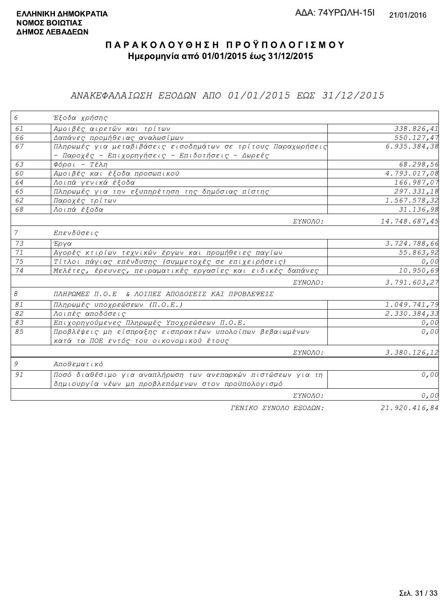### ANAΚΕΦΑΛΑΙΩΣΗ ΕΞΟΔΩΝ ΑΠΟ 01/01/2015 ΕΩΣ 31/12/2015

| 6              | Έξοδα χρήσης                                                  |               |
|----------------|---------------------------------------------------------------|---------------|
| 61             | Αμοιβές αιρετών και τρίτων                                    | 338.826,41    |
| 66             | Δαπάνες προμήθειας αναλωσίμων                                 | 550.127,47    |
| 67             | Πληρωμές για μεταβιβάσεις εισοδημάτων σε τρίτους Παραχωρήσεις | 6.935.384,38  |
|                | - Παροχές - Επιχορηγήσεις - Επιδοτήσεις - Δωρεές              |               |
| 63             | $\Phi$ όροι - Τέλη                                            | 68.298,56     |
| 60             | Αμοιβές και έξοδα προσωπικού                                  | 4.793.017,08  |
| 64             | Λοιπά γενικά έξοδα                                            | 166.987,07    |
| 65             | Πληρωμές για την εξυπηρέτηση της δημόσιας πίστης              | 297.331,18    |
| 62             | Παροχές τρίτων                                                | 1.567.578,32  |
| 68             | Λοιπά έξοδα                                                   | 31.136,98     |
|                | ΣΥΝΟΛΟ:                                                       | 14.748.687,45 |
| $\overline{7}$ | Επενδύσεις                                                    |               |
| 73             | Έργα                                                          | 3.724.788,66  |
| 71             | Αγορές κτιρίων τεχνικών έργων και προμήθειες παγίων           | 55.863,92     |
| 75             | Τίτλοι πάγιας επένδυσης (συμμετοχές σε επιχειρήσεις)          | 0,00          |
| 74             | Μελέτες, έρευνες, πειραματικές εργασίες και ειδικές δαπάνες   | 10.950,69     |
|                | ΣΥΝΟΛΟ:                                                       | 3.791.603,27  |
| $\mathcal S$   | ΠΛΗΡΩΜΕΣ Π.Ο.Ε & ΛΟΙΠΕΣ ΑΠΟΔΟΣΕΙΣ ΚΑΙ ΠΡΟΒΛΕΨΕΙΣ              |               |
| 81             | Πληρωμές υποχρεώσεων (Π.Ο.Ε.)                                 | 1.049.741,79  |
| 82             | Λοιπές αποδόσεις                                              | 2.330.384,33  |
| 83             | Επιχορηγούμενες Πληρωμές Υποχρεώσεων Π.Ο.Ε.                   | 0,00          |
| 85             | Προβλέψεις μη είσπραξης εισπρακτέων υπολοίπων βεβαιωμένων     | 0,00          |
|                | κατά τα ΠΟΕ εντός του οικονομικού έτους                       |               |
|                | ΣΥΝΟΛΟ:                                                       | 3.380.126,12  |
| 9              | Αποθεματικό                                                   |               |
| 91             | Ποσό διαθέσιμο για αναπλήρωση των ανεπαρκών πιστώσεων για τη  | 0,00          |
|                | δημιουργία νέων μη προβλεπόμενων στον προϋπολογισμό           |               |
|                | ΣΥΝΟΛΟ:                                                       | 0,00          |
|                | FENIKO XYNOAO EROAON.                                         | 21920416.84   |

*ΓΕΝΙΚΟ ΣΥΝΟΛΟ ΕΞΟΔΩΝ:* 

21.920.416,84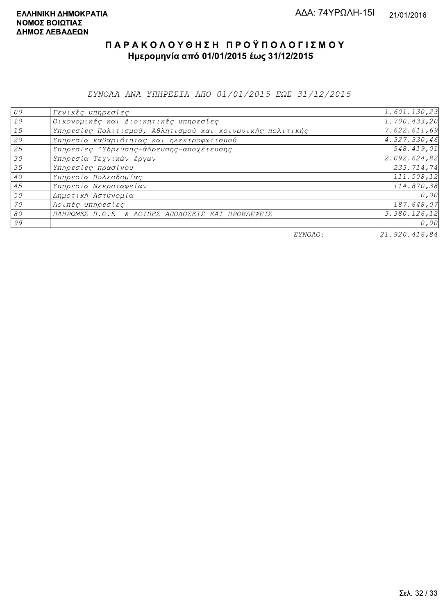ΣΥΝΟΛΑ ΑΝΑ ΥΠΗΡΕΣΙΑ ΑΠΟ 01/01/2015 ΕΩΣ 31/12/2015

| 00 | Γενικές υπηρεσίες                                         | 1.601.130,23 |
|----|-----------------------------------------------------------|--------------|
| 10 | Οικονομικές και Διοικητικές υπηρεσίες                     | 1.700.433,20 |
| 15 | Υπηρεσίες Πολιτισμού, Αθλητισμού και κοινωνικής πολιτικής | 7.622.611,69 |
| 20 | Υπηρεσία καθαριότητας και ηλεκτροφωτισμού                 | 4.327.330,46 |
| 25 | Υπηρεσίες 'Υδρευσης-άδρευσης-αποχέτευσης                  | 548.419,01   |
| 30 | Υπηρεσία Τεχνικών έργων                                   | 2.092.624,82 |
| 35 | Υπηρεσίες πρασίνου                                        | 233.714,74   |
| 40 | Υπηρεσία Πολεοδομίας                                      | 111.508,12   |
| 45 | Υπηρεσία Νεκροταφείων                                     | 114.870,38   |
| 50 | Δημοτική Αστυνομία                                        | 0,00         |
| 70 | Λοιπές υπηρεσίες                                          | 187.648,07   |
| 80 | ΠΛΗΡΩΜΕΣ Π.Ο.Ε & ΛΟΙΠΕΣ ΑΠΟΔΟΣΕΙΣ ΚΑΙ ΠΡΟΒΛΕΨΕΙΣ          | 3.380.126,12 |
| 99 |                                                           | 0,00         |

ΣΥΝΟΛΟ:

21.920.416,84